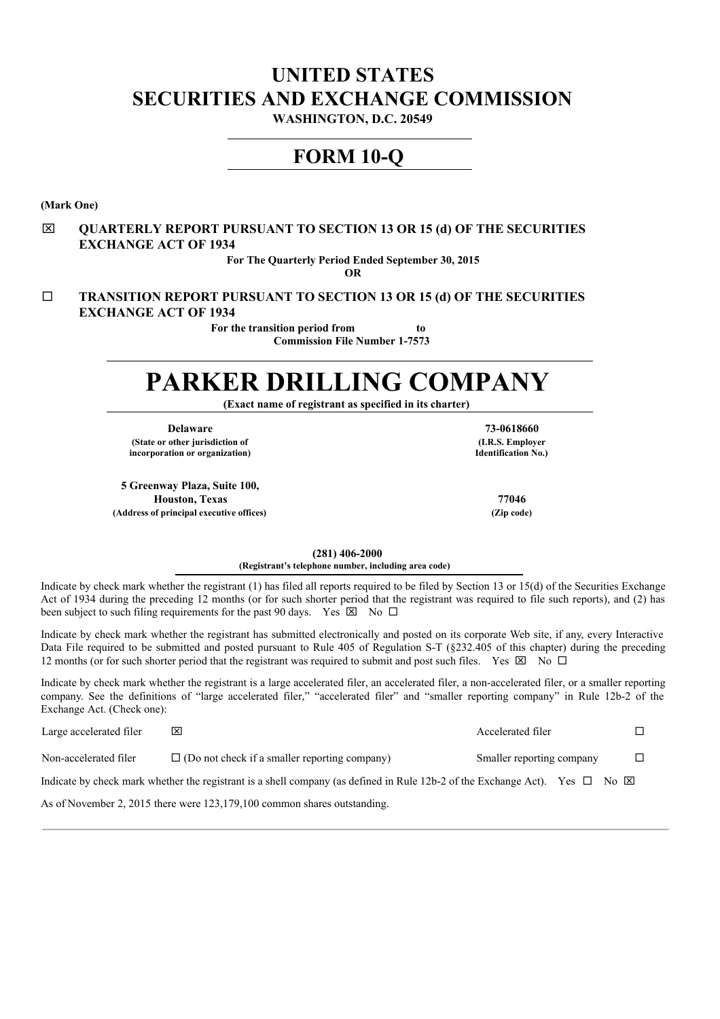# **UNITED STATES SECURITIES AND EXCHANGE COMMISSION**

**WASHINGTON, D.C. 20549**

# **FORM 10-Q**

**(Mark One)**

# x **QUARTERLY REPORT PURSUANT TO SECTION 13 OR 15 (d) OF THE SECURITIES EXCHANGE ACT OF 1934**

**For The Quarterly Period Ended September 30, 2015**

**OR**

¨ **TRANSITION REPORT PURSUANT TO SECTION 13 OR 15 (d) OF THE SECURITIES EXCHANGE ACT OF 1934**

> **For the transition period from to Commission File Number 1-7573**

# **PARKER DRILLING COMPANY**

**(Exact name of registrant as specified in its charter)**

**Delaware 73-0618660 (State or other jurisdiction of incorporation or organization)**

**5 Greenway Plaza, Suite 100, Houston, Texas 77046 (Address of principal executive offices) (Zip code)**

**(I.R.S. Employer Identification No.)**

**(281) 406-2000**

**(Registrant's telephone number, including area code)**

Indicate by check mark whether the registrant (1) has filed all reports required to be filed by Section 13 or 15(d) of the Securities Exchange Act of 1934 during the preceding 12 months (or for such shorter period that the registrant was required to file such reports), and (2) has been subject to such filing requirements for the past 90 days. Yes  $\boxtimes$  No  $\Box$ 

Indicate by check mark whether the registrant has submitted electronically and posted on its corporate Web site, if any, every Interactive Data File required to be submitted and posted pursuant to Rule 405 of Regulation S-T (§232.405 of this chapter) during the preceding 12 months (or for such shorter period that the registrant was required to submit and post such files. Yes  $\boxtimes$  No  $\Box$ 

Indicate by check mark whether the registrant is a large accelerated filer, an accelerated filer, a non-accelerated filer, or a smaller reporting company. See the definitions of "large accelerated filer," "accelerated filer" and "smaller reporting company" in Rule 12b-2 of the Exchange Act. (Check one):

| Large accelerated filer |                                                                                                                                             | Accelerated filer         |    |
|-------------------------|---------------------------------------------------------------------------------------------------------------------------------------------|---------------------------|----|
| Non-accelerated filer   | $\Box$ (Do not check if a smaller reporting company)                                                                                        | Smaller reporting company | П. |
|                         | Indicate by check mark whether the registrant is a shell company (as defined in Rule 12b-2 of the Exchange Act). Yes $\square$ No $\square$ |                           |    |

As of November 2, 2015 there were 123,179,100 common shares outstanding.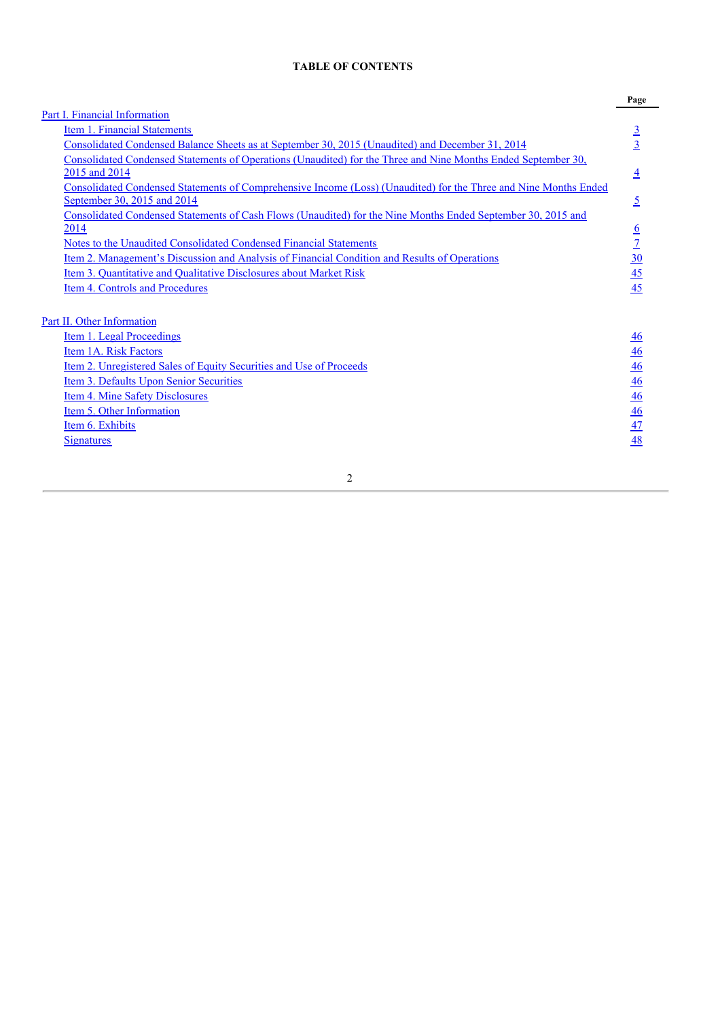# **TABLE OF CONTENTS**

|                                                                                                                  | Page                         |
|------------------------------------------------------------------------------------------------------------------|------------------------------|
| Part I. Financial Information                                                                                    |                              |
| Item 1. Financial Statements                                                                                     |                              |
| Consolidated Condensed Balance Sheets as at September 30, 2015 (Unaudited) and December 31, 2014                 | $\frac{3}{3}$                |
| Consolidated Condensed Statements of Operations (Unaudited) for the Three and Nine Months Ended September 30,    |                              |
| 2015 and 2014                                                                                                    | $\overline{4}$               |
| Consolidated Condensed Statements of Comprehensive Income (Loss) (Unaudited) for the Three and Nine Months Ended |                              |
| September 30, 2015 and 2014                                                                                      | $\overline{5}$               |
| Consolidated Condensed Statements of Cash Flows (Unaudited) for the Nine Months Ended September 30, 2015 and     |                              |
| 2014                                                                                                             | $rac{6}{7}$<br>$rac{30}{45}$ |
| Notes to the Unaudited Consolidated Condensed Financial Statements                                               |                              |
| Item 2. Management's Discussion and Analysis of Financial Condition and Results of Operations                    |                              |
| Item 3. Quantitative and Qualitative Disclosures about Market Risk                                               |                              |
| Item 4. Controls and Procedures                                                                                  | 45                           |
|                                                                                                                  |                              |
| Part II. Other Information                                                                                       |                              |
| Item 1. Legal Proceedings                                                                                        | <u>46</u>                    |
| Item 1A. Risk Factors                                                                                            | $\frac{46}{5}$               |
| <u>Item 2. Unregistered Sales of Equity Securities and Use of Proceeds</u>                                       | $\frac{46}{5}$               |
| Item 3. Defaults Upon Senior Securities                                                                          | $\frac{46}{5}$               |
| <b>Item 4. Mine Safety Disclosures</b>                                                                           | $\frac{46}{5}$               |
| Item 5. Other Information                                                                                        | $\frac{46}{47}$              |
| Item 6. Exhibits                                                                                                 |                              |
| <b>Signatures</b>                                                                                                | 48                           |
|                                                                                                                  |                              |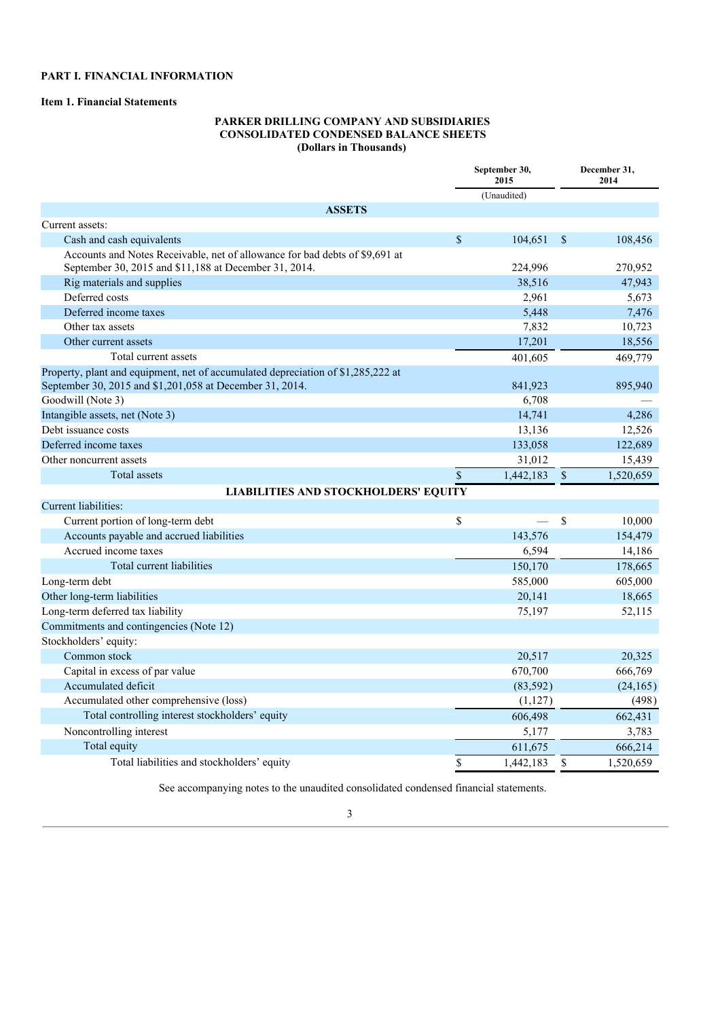# **PART I. FINANCIAL INFORMATION**

# **Item 1. Financial Statements**

# **PARKER DRILLING COMPANY AND SUBSIDIARIES CONSOLIDATED CONDENSED BALANCE SHEETS (Dollars in Thousands)**

|                                                                                                                                              | September 30,<br>2015 | December 31,<br>2014       |
|----------------------------------------------------------------------------------------------------------------------------------------------|-----------------------|----------------------------|
|                                                                                                                                              | (Unaudited)           |                            |
| <b>ASSETS</b>                                                                                                                                |                       |                            |
| Current assets:                                                                                                                              |                       |                            |
| $\mathcal{S}$<br>Cash and cash equivalents                                                                                                   | 104,651               | <sup>\$</sup><br>108,456   |
| Accounts and Notes Receivable, net of allowance for bad debts of \$9,691 at<br>September 30, 2015 and \$11,188 at December 31, 2014.         | 224,996               | 270,952                    |
| Rig materials and supplies                                                                                                                   | 38,516                | 47,943                     |
| Deferred costs                                                                                                                               | 2,961                 | 5,673                      |
| Deferred income taxes                                                                                                                        | 5,448                 | 7,476                      |
| Other tax assets                                                                                                                             | 7,832                 | 10,723                     |
| Other current assets                                                                                                                         | 17,201                | 18,556                     |
| Total current assets                                                                                                                         | 401,605               | 469,779                    |
| Property, plant and equipment, net of accumulated depreciation of \$1,285,222 at<br>September 30, 2015 and \$1,201,058 at December 31, 2014. | 841,923               | 895,940                    |
| Goodwill (Note 3)                                                                                                                            | 6,708                 |                            |
| Intangible assets, net (Note 3)                                                                                                              | 14,741                | 4.286                      |
| Debt issuance costs                                                                                                                          | 13,136                | 12,526                     |
| Deferred income taxes                                                                                                                        | 133,058               | 122,689                    |
| Other noncurrent assets                                                                                                                      | 31,012                | 15,439                     |
| $\mathbf S$<br>Total assets                                                                                                                  | 1,442,183             | $\mathbb{S}$<br>1,520,659  |
| <b>LIABILITIES AND STOCKHOLDERS' EQUITY</b>                                                                                                  |                       |                            |
| Current liabilities:                                                                                                                         |                       |                            |
| \$<br>Current portion of long-term debt                                                                                                      |                       | $\mathbf S$<br>10,000      |
| Accounts payable and accrued liabilities                                                                                                     | 143,576               | 154,479                    |
| Accrued income taxes                                                                                                                         | 6,594                 | 14,186                     |
| Total current liabilities                                                                                                                    | 150,170               | 178,665                    |
| Long-term debt                                                                                                                               | 585,000               | 605,000                    |
| Other long-term liabilities                                                                                                                  | 20,141                | 18,665                     |
| Long-term deferred tax liability                                                                                                             | 75,197                | 52,115                     |
| Commitments and contingencies (Note 12)                                                                                                      |                       |                            |
| Stockholders' equity:                                                                                                                        |                       |                            |
| Common stock                                                                                                                                 | 20,517                | 20,325                     |
| Capital in excess of par value                                                                                                               | 670,700               | 666,769                    |
| Accumulated deficit                                                                                                                          | (83, 592)             | (24, 165)                  |
| Accumulated other comprehensive (loss)                                                                                                       | (1,127)               | (498)                      |
| Total controlling interest stockholders' equity                                                                                              | 606,498               | 662,431                    |
| Noncontrolling interest                                                                                                                      | 5,177                 | 3,783                      |
| Total equity                                                                                                                                 | 611,675               | 666,214                    |
| Total liabilities and stockholders' equity<br>\$                                                                                             | 1,442,183             | <sup>\$</sup><br>1,520,659 |

See accompanying notes to the unaudited consolidated condensed financial statements.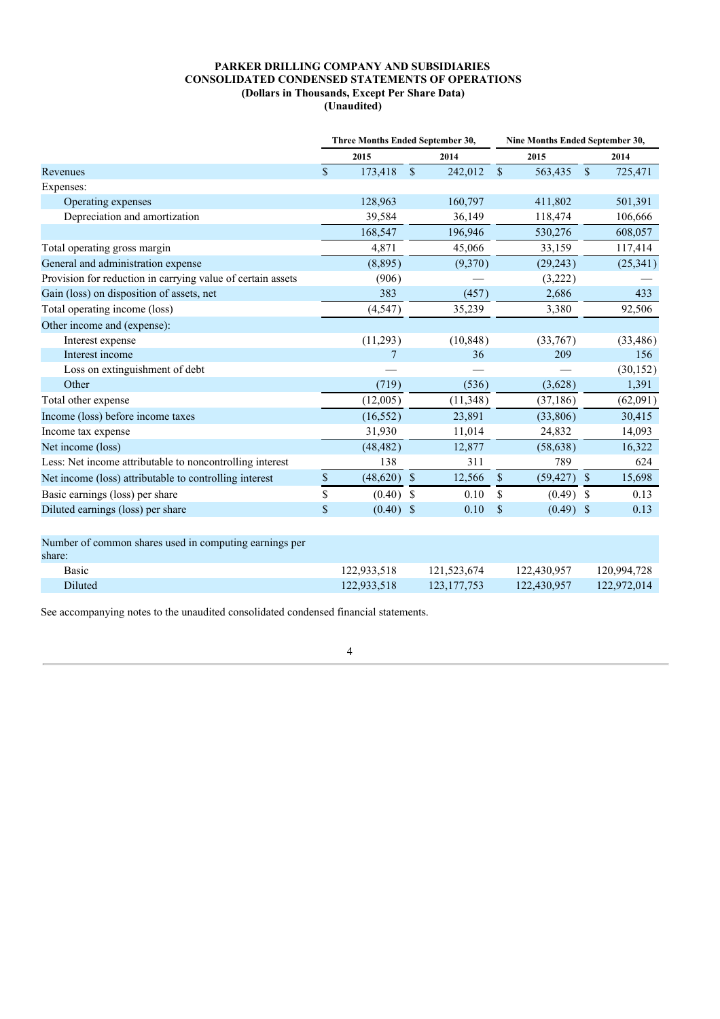# **PARKER DRILLING COMPANY AND SUBSIDIARIES CONSOLIDATED CONDENSED STATEMENTS OF OPERATIONS (Dollars in Thousands, Except Per Share Data) (Unaudited)**

|                                                             | Three Months Ended September 30, |              |              |           | Nine Months Ended September 30, |             |               |           |  |
|-------------------------------------------------------------|----------------------------------|--------------|--------------|-----------|---------------------------------|-------------|---------------|-----------|--|
|                                                             |                                  | 2015<br>2014 |              |           | 2015                            |             |               | 2014      |  |
| Revenues                                                    | \$                               | 173,418      | \$           | 242,012   | \$                              | 563,435     | $\sqrt{\ }$   | 725,471   |  |
| Expenses:                                                   |                                  |              |              |           |                                 |             |               |           |  |
| Operating expenses                                          |                                  | 128,963      |              | 160,797   |                                 | 411,802     |               | 501,391   |  |
| Depreciation and amortization                               |                                  | 39,584       |              | 36,149    |                                 | 118,474     |               | 106,666   |  |
|                                                             |                                  | 168,547      |              | 196,946   |                                 | 530,276     |               | 608,057   |  |
| Total operating gross margin                                |                                  | 4,871        |              | 45,066    |                                 | 33,159      |               | 117,414   |  |
| General and administration expense                          |                                  | (8,895)      |              | (9,370)   |                                 | (29, 243)   |               | (25, 341) |  |
| Provision for reduction in carrying value of certain assets |                                  | (906)        |              |           |                                 | (3,222)     |               |           |  |
| Gain (loss) on disposition of assets, net                   |                                  | 383          |              | (457)     |                                 | 2,686       |               | 433       |  |
| Total operating income (loss)                               |                                  | (4, 547)     |              | 35,239    |                                 | 3,380       |               | 92,506    |  |
| Other income and (expense):                                 |                                  |              |              |           |                                 |             |               |           |  |
| Interest expense                                            |                                  | (11,293)     |              | (10, 848) |                                 | (33,767)    |               | (33, 486) |  |
| Interest income                                             |                                  | 7            |              | 36        |                                 | 209         |               | 156       |  |
| Loss on extinguishment of debt                              |                                  |              |              |           |                                 |             |               | (30, 152) |  |
| Other                                                       |                                  | (719)        |              | (536)     |                                 | (3,628)     |               | 1,391     |  |
| Total other expense                                         |                                  | (12,005)     |              | (11, 348) |                                 | (37, 186)   |               | (62,091)  |  |
| Income (loss) before income taxes                           |                                  | (16, 552)    |              | 23,891    |                                 | (33,806)    |               | 30,415    |  |
| Income tax expense                                          |                                  | 31,930       |              | 11,014    |                                 | 24,832      |               | 14,093    |  |
| Net income (loss)                                           |                                  | (48, 482)    |              | 12,877    |                                 | (58, 638)   |               | 16,322    |  |
| Less: Net income attributable to noncontrolling interest    |                                  | 138          |              | 311       |                                 | 789         |               | 624       |  |
| Net income (loss) attributable to controlling interest      | \$                               | (48,620)     | \$           | 12,566    | $\mathbb{S}$                    | (59, 427)   | $\mathbb{S}$  | 15,698    |  |
| Basic earnings (loss) per share                             | \$                               | (0.40)       | \$           | 0.10      | \$                              | (0.49)      | <sup>\$</sup> | 0.13      |  |
| Diluted earnings (loss) per share                           | \$                               | (0.40)       | $\mathbb{S}$ | 0.10      | \$                              | $(0.49)$ \$ |               | 0.13      |  |
| Number of common shares used in computing earnings per      |                                  |              |              |           |                                 |             |               |           |  |

| share:  |             |             |             |             |
|---------|-------------|-------------|-------------|-------------|
| Basic   | 122,933,518 | 121.523.674 | 122,430,957 | 120,994,728 |
| Diluted | 122,933,518 | 123.177.753 | 122,430,957 | 122,972,014 |

See accompanying notes to the unaudited consolidated condensed financial statements.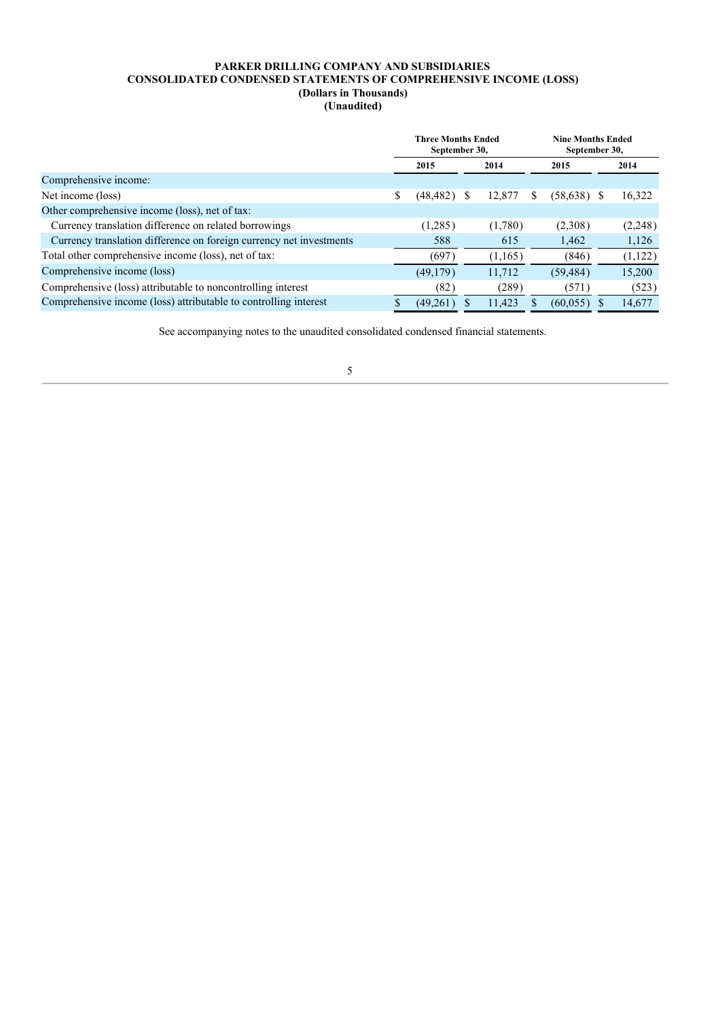# **PARKER DRILLING COMPANY AND SUBSIDIARIES CONSOLIDATED CONDENSED STATEMENTS OF COMPREHENSIVE INCOME (LOSS) (Dollars in Thousands)**

**(Unaudited)**

|                                                                     | <b>Three Months Ended</b><br>September 30, |           |  |          | <b>Nine Months Ended</b><br>September 30, |                |  |         |
|---------------------------------------------------------------------|--------------------------------------------|-----------|--|----------|-------------------------------------------|----------------|--|---------|
|                                                                     |                                            | 2015      |  | 2014     |                                           | 2015           |  | 2014    |
| Comprehensive income:                                               |                                            |           |  |          |                                           |                |  |         |
| Net income (loss)                                                   | S                                          | (48, 482) |  | 12,877   | \$.                                       | $(58, 638)$ \$ |  | 16,322  |
| Other comprehensive income (loss), net of tax:                      |                                            |           |  |          |                                           |                |  |         |
| Currency translation difference on related borrowings               |                                            | (1,285)   |  | (1,780)  |                                           | (2,308)        |  | (2,248) |
| Currency translation difference on foreign currency net investments |                                            | 588       |  | 615      |                                           | 1,462          |  | 1,126   |
| Total other comprehensive income (loss), net of tax:                |                                            | (697)     |  | (1, 165) |                                           | (846)          |  | (1,122) |
| Comprehensive income (loss)                                         |                                            | (49,179)  |  | 11,712   |                                           | (59, 484)      |  | 15,200  |
| Comprehensive (loss) attributable to noncontrolling interest        |                                            | (82)      |  | (289)    |                                           | (571)          |  | (523)   |
| Comprehensive income (loss) attributable to controlling interest    |                                            | (49,261)  |  | 11.423   |                                           | (60, 055)      |  | 14,677  |

See accompanying notes to the unaudited consolidated condensed financial statements.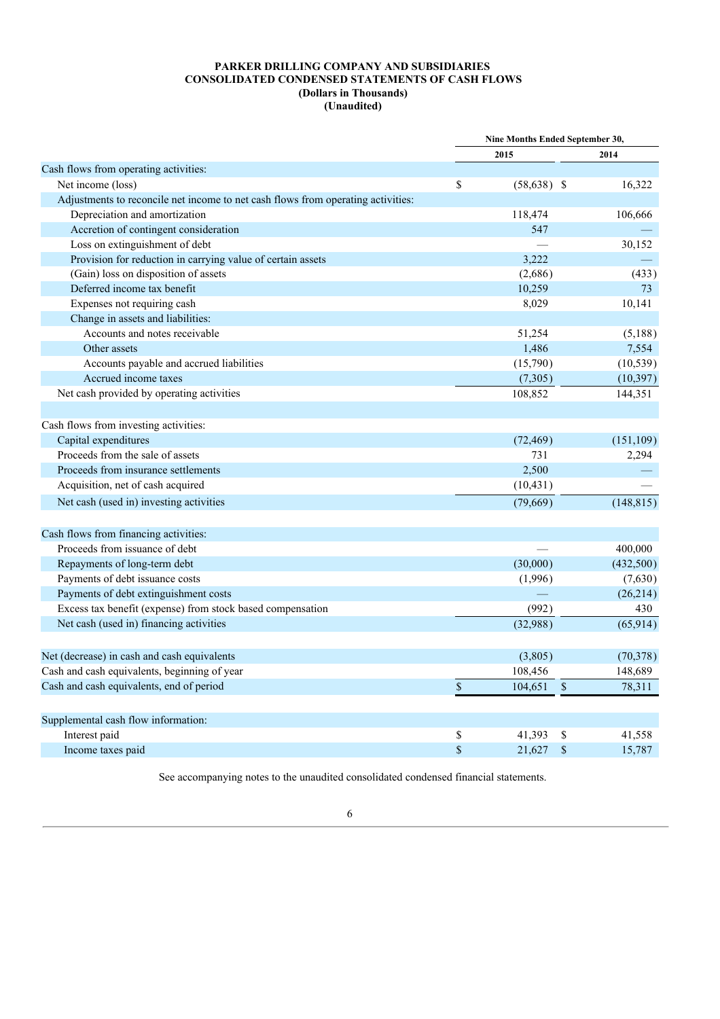| 2015<br>2014<br>Cash flows from operating activities:<br>Net income (loss)<br>\$<br>16,322<br>$(58, 638)$ \$<br>Adjustments to reconcile net income to net cash flows from operating activities:<br>Depreciation and amortization<br>118,474<br>106,666<br>Accretion of contingent consideration<br>547<br>Loss on extinguishment of debt<br>30,152<br>Provision for reduction in carrying value of certain assets<br>3.222<br>(2,686)<br>(Gain) loss on disposition of assets<br>(433)<br>Deferred income tax benefit<br>10,259<br>73<br>10,141<br>Expenses not requiring cash<br>8,029<br>Change in assets and liabilities:<br>Accounts and notes receivable<br>51,254<br>(5,188)<br>1,486<br>7,554<br>Other assets<br>Accounts payable and accrued liabilities<br>(15,790)<br>(10, 539)<br>Accrued income taxes<br>(10, 397)<br>(7,305)<br>Net cash provided by operating activities<br>108,852<br>144,351 |  | Nine Months Ended September 30, |  |  |
|---------------------------------------------------------------------------------------------------------------------------------------------------------------------------------------------------------------------------------------------------------------------------------------------------------------------------------------------------------------------------------------------------------------------------------------------------------------------------------------------------------------------------------------------------------------------------------------------------------------------------------------------------------------------------------------------------------------------------------------------------------------------------------------------------------------------------------------------------------------------------------------------------------------|--|---------------------------------|--|--|
|                                                                                                                                                                                                                                                                                                                                                                                                                                                                                                                                                                                                                                                                                                                                                                                                                                                                                                               |  |                                 |  |  |
|                                                                                                                                                                                                                                                                                                                                                                                                                                                                                                                                                                                                                                                                                                                                                                                                                                                                                                               |  |                                 |  |  |
|                                                                                                                                                                                                                                                                                                                                                                                                                                                                                                                                                                                                                                                                                                                                                                                                                                                                                                               |  |                                 |  |  |
|                                                                                                                                                                                                                                                                                                                                                                                                                                                                                                                                                                                                                                                                                                                                                                                                                                                                                                               |  |                                 |  |  |
|                                                                                                                                                                                                                                                                                                                                                                                                                                                                                                                                                                                                                                                                                                                                                                                                                                                                                                               |  |                                 |  |  |
|                                                                                                                                                                                                                                                                                                                                                                                                                                                                                                                                                                                                                                                                                                                                                                                                                                                                                                               |  |                                 |  |  |
|                                                                                                                                                                                                                                                                                                                                                                                                                                                                                                                                                                                                                                                                                                                                                                                                                                                                                                               |  |                                 |  |  |
|                                                                                                                                                                                                                                                                                                                                                                                                                                                                                                                                                                                                                                                                                                                                                                                                                                                                                                               |  |                                 |  |  |
|                                                                                                                                                                                                                                                                                                                                                                                                                                                                                                                                                                                                                                                                                                                                                                                                                                                                                                               |  |                                 |  |  |
|                                                                                                                                                                                                                                                                                                                                                                                                                                                                                                                                                                                                                                                                                                                                                                                                                                                                                                               |  |                                 |  |  |
|                                                                                                                                                                                                                                                                                                                                                                                                                                                                                                                                                                                                                                                                                                                                                                                                                                                                                                               |  |                                 |  |  |
|                                                                                                                                                                                                                                                                                                                                                                                                                                                                                                                                                                                                                                                                                                                                                                                                                                                                                                               |  |                                 |  |  |
|                                                                                                                                                                                                                                                                                                                                                                                                                                                                                                                                                                                                                                                                                                                                                                                                                                                                                                               |  |                                 |  |  |
|                                                                                                                                                                                                                                                                                                                                                                                                                                                                                                                                                                                                                                                                                                                                                                                                                                                                                                               |  |                                 |  |  |
|                                                                                                                                                                                                                                                                                                                                                                                                                                                                                                                                                                                                                                                                                                                                                                                                                                                                                                               |  |                                 |  |  |
|                                                                                                                                                                                                                                                                                                                                                                                                                                                                                                                                                                                                                                                                                                                                                                                                                                                                                                               |  |                                 |  |  |
|                                                                                                                                                                                                                                                                                                                                                                                                                                                                                                                                                                                                                                                                                                                                                                                                                                                                                                               |  |                                 |  |  |
|                                                                                                                                                                                                                                                                                                                                                                                                                                                                                                                                                                                                                                                                                                                                                                                                                                                                                                               |  |                                 |  |  |
| Cash flows from investing activities:                                                                                                                                                                                                                                                                                                                                                                                                                                                                                                                                                                                                                                                                                                                                                                                                                                                                         |  |                                 |  |  |
| Capital expenditures<br>(151, 109)<br>(72, 469)                                                                                                                                                                                                                                                                                                                                                                                                                                                                                                                                                                                                                                                                                                                                                                                                                                                               |  |                                 |  |  |
| Proceeds from the sale of assets<br>2,294<br>731                                                                                                                                                                                                                                                                                                                                                                                                                                                                                                                                                                                                                                                                                                                                                                                                                                                              |  |                                 |  |  |
| Proceeds from insurance settlements<br>2,500                                                                                                                                                                                                                                                                                                                                                                                                                                                                                                                                                                                                                                                                                                                                                                                                                                                                  |  |                                 |  |  |
| Acquisition, net of cash acquired<br>(10, 431)                                                                                                                                                                                                                                                                                                                                                                                                                                                                                                                                                                                                                                                                                                                                                                                                                                                                |  |                                 |  |  |
| Net cash (used in) investing activities<br>(148, 815)<br>(79,669)                                                                                                                                                                                                                                                                                                                                                                                                                                                                                                                                                                                                                                                                                                                                                                                                                                             |  |                                 |  |  |
|                                                                                                                                                                                                                                                                                                                                                                                                                                                                                                                                                                                                                                                                                                                                                                                                                                                                                                               |  |                                 |  |  |
| Cash flows from financing activities:                                                                                                                                                                                                                                                                                                                                                                                                                                                                                                                                                                                                                                                                                                                                                                                                                                                                         |  |                                 |  |  |
| Proceeds from issuance of debt<br>400,000                                                                                                                                                                                                                                                                                                                                                                                                                                                                                                                                                                                                                                                                                                                                                                                                                                                                     |  |                                 |  |  |
| Repayments of long-term debt<br>(30,000)<br>(432,500)                                                                                                                                                                                                                                                                                                                                                                                                                                                                                                                                                                                                                                                                                                                                                                                                                                                         |  |                                 |  |  |
| Payments of debt issuance costs<br>(1,996)<br>(7,630)                                                                                                                                                                                                                                                                                                                                                                                                                                                                                                                                                                                                                                                                                                                                                                                                                                                         |  |                                 |  |  |
| Payments of debt extinguishment costs<br>(26,214)                                                                                                                                                                                                                                                                                                                                                                                                                                                                                                                                                                                                                                                                                                                                                                                                                                                             |  |                                 |  |  |
| Excess tax benefit (expense) from stock based compensation<br>(992)<br>430                                                                                                                                                                                                                                                                                                                                                                                                                                                                                                                                                                                                                                                                                                                                                                                                                                    |  |                                 |  |  |
| Net cash (used in) financing activities<br>(32,988)<br>(65, 914)                                                                                                                                                                                                                                                                                                                                                                                                                                                                                                                                                                                                                                                                                                                                                                                                                                              |  |                                 |  |  |
|                                                                                                                                                                                                                                                                                                                                                                                                                                                                                                                                                                                                                                                                                                                                                                                                                                                                                                               |  |                                 |  |  |
| Net (decrease) in cash and cash equivalents<br>(3,805)<br>(70, 378)                                                                                                                                                                                                                                                                                                                                                                                                                                                                                                                                                                                                                                                                                                                                                                                                                                           |  |                                 |  |  |
| Cash and cash equivalents, beginning of year<br>108,456<br>148,689                                                                                                                                                                                                                                                                                                                                                                                                                                                                                                                                                                                                                                                                                                                                                                                                                                            |  |                                 |  |  |
| $\sqrt{\ }$<br>Cash and cash equivalents, end of period<br>$\mathbb{S}$<br>78,311<br>104,651                                                                                                                                                                                                                                                                                                                                                                                                                                                                                                                                                                                                                                                                                                                                                                                                                  |  |                                 |  |  |
|                                                                                                                                                                                                                                                                                                                                                                                                                                                                                                                                                                                                                                                                                                                                                                                                                                                                                                               |  |                                 |  |  |
| Supplemental cash flow information:                                                                                                                                                                                                                                                                                                                                                                                                                                                                                                                                                                                                                                                                                                                                                                                                                                                                           |  |                                 |  |  |
| Interest paid<br>\$<br>41,393<br>41,558<br>\$                                                                                                                                                                                                                                                                                                                                                                                                                                                                                                                                                                                                                                                                                                                                                                                                                                                                 |  |                                 |  |  |
| \$<br>\$<br>Income taxes paid<br>21,627<br>15,787                                                                                                                                                                                                                                                                                                                                                                                                                                                                                                                                                                                                                                                                                                                                                                                                                                                             |  |                                 |  |  |

See accompanying notes to the unaudited consolidated condensed financial statements.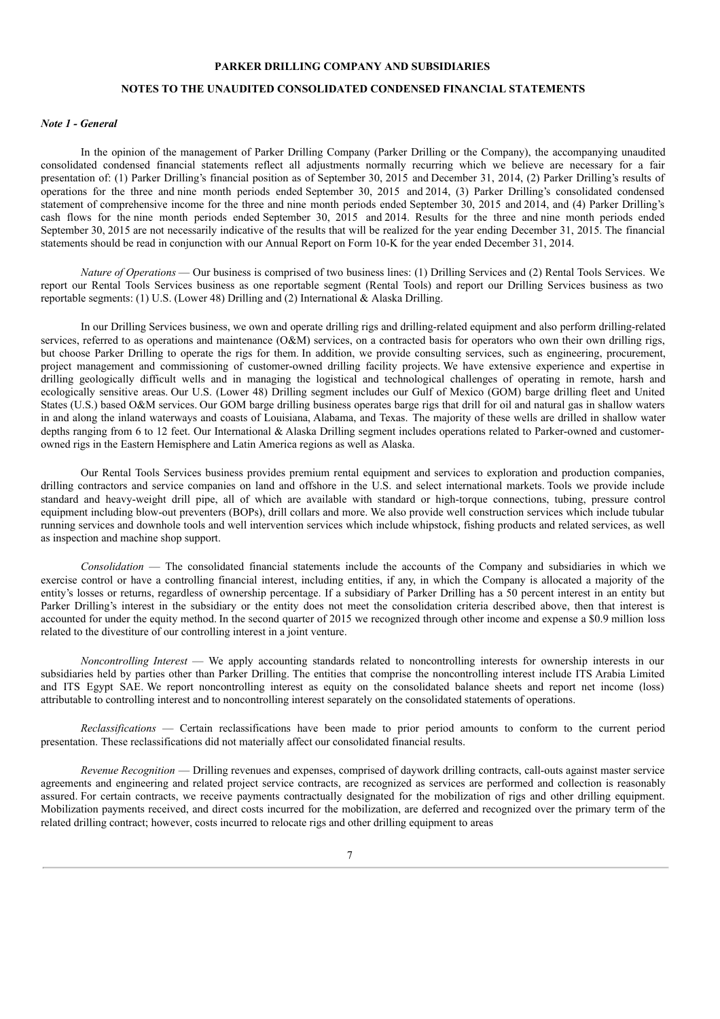#### **PARKER DRILLING COMPANY AND SUBSIDIARIES**

# **NOTES TO THE UNAUDITED CONSOLIDATED CONDENSED FINANCIAL STATEMENTS**

#### *Note 1 - General*

In the opinion of the management of Parker Drilling Company (Parker Drilling or the Company), the accompanying unaudited consolidated condensed financial statements reflect all adjustments normally recurring which we believe are necessary for a fair presentation of: (1) Parker Drilling's financial position as of September 30, 2015 and December 31, 2014, (2) Parker Drilling's results of operations for the three and nine month periods ended September 30, 2015 and 2014, (3) Parker Drilling's consolidated condensed statement of comprehensive income for the three and nine month periods ended September 30, 2015 and 2014, and (4) Parker Drilling's cash flows for the nine month periods ended September 30, 2015 and 2014. Results for the three and nine month periods ended September 30, 2015 are not necessarily indicative of the results that will be realized for the year ending December 31, 2015. The financial statements should be read in conjunction with our Annual Report on Form 10-K for the year ended December 31, 2014.

*Nature of Operations* — Our business is comprised of two business lines: (1) Drilling Services and (2) Rental Tools Services. We report our Rental Tools Services business as one reportable segment (Rental Tools) and report our Drilling Services business as two reportable segments: (1) U.S. (Lower 48) Drilling and (2) International & Alaska Drilling.

In our Drilling Services business, we own and operate drilling rigs and drilling-related equipment and also perform drilling-related services, referred to as operations and maintenance (O&M) services, on a contracted basis for operators who own their own drilling rigs, but choose Parker Drilling to operate the rigs for them. In addition, we provide consulting services, such as engineering, procurement, project management and commissioning of customer-owned drilling facility projects. We have extensive experience and expertise in drilling geologically difficult wells and in managing the logistical and technological challenges of operating in remote, harsh and ecologically sensitive areas. Our U.S. (Lower 48) Drilling segment includes our Gulf of Mexico (GOM) barge drilling fleet and United States (U.S.) based O&M services. Our GOM barge drilling business operates barge rigs that drill for oil and natural gas in shallow waters in and along the inland waterways and coasts of Louisiana, Alabama, and Texas. The majority of these wells are drilled in shallow water depths ranging from 6 to 12 feet. Our International & Alaska Drilling segment includes operations related to Parker-owned and customerowned rigs in the Eastern Hemisphere and Latin America regions as well as Alaska.

Our Rental Tools Services business provides premium rental equipment and services to exploration and production companies, drilling contractors and service companies on land and offshore in the U.S. and select international markets. Tools we provide include standard and heavy-weight drill pipe, all of which are available with standard or high-torque connections, tubing, pressure control equipment including blow-out preventers (BOPs), drill collars and more. We also provide well construction services which include tubular running services and downhole tools and well intervention services which include whipstock, fishing products and related services, as well as inspection and machine shop support.

*Consolidation* — The consolidated financial statements include the accounts of the Company and subsidiaries in which we exercise control or have a controlling financial interest, including entities, if any, in which the Company is allocated a majority of the entity's losses or returns, regardless of ownership percentage. If a subsidiary of Parker Drilling has a 50 percent interest in an entity but Parker Drilling's interest in the subsidiary or the entity does not meet the consolidation criteria described above, then that interest is accounted for under the equity method. In the second quarter of 2015 we recognized through other income and expense a \$0.9 million loss related to the divestiture of our controlling interest in a joint venture.

*Noncontrolling Interest* — We apply accounting standards related to noncontrolling interests for ownership interests in our subsidiaries held by parties other than Parker Drilling. The entities that comprise the noncontrolling interest include ITS Arabia Limited and ITS Egypt SAE. We report noncontrolling interest as equity on the consolidated balance sheets and report net income (loss) attributable to controlling interest and to noncontrolling interest separately on the consolidated statements of operations.

*Reclassifications* — Certain reclassifications have been made to prior period amounts to conform to the current period presentation. These reclassifications did not materially affect our consolidated financial results.

*Revenue Recognition* — Drilling revenues and expenses, comprised of daywork drilling contracts, call-outs against master service agreements and engineering and related project service contracts, are recognized as services are performed and collection is reasonably assured. For certain contracts, we receive payments contractually designated for the mobilization of rigs and other drilling equipment. Mobilization payments received, and direct costs incurred for the mobilization, are deferred and recognized over the primary term of the related drilling contract; however, costs incurred to relocate rigs and other drilling equipment to areas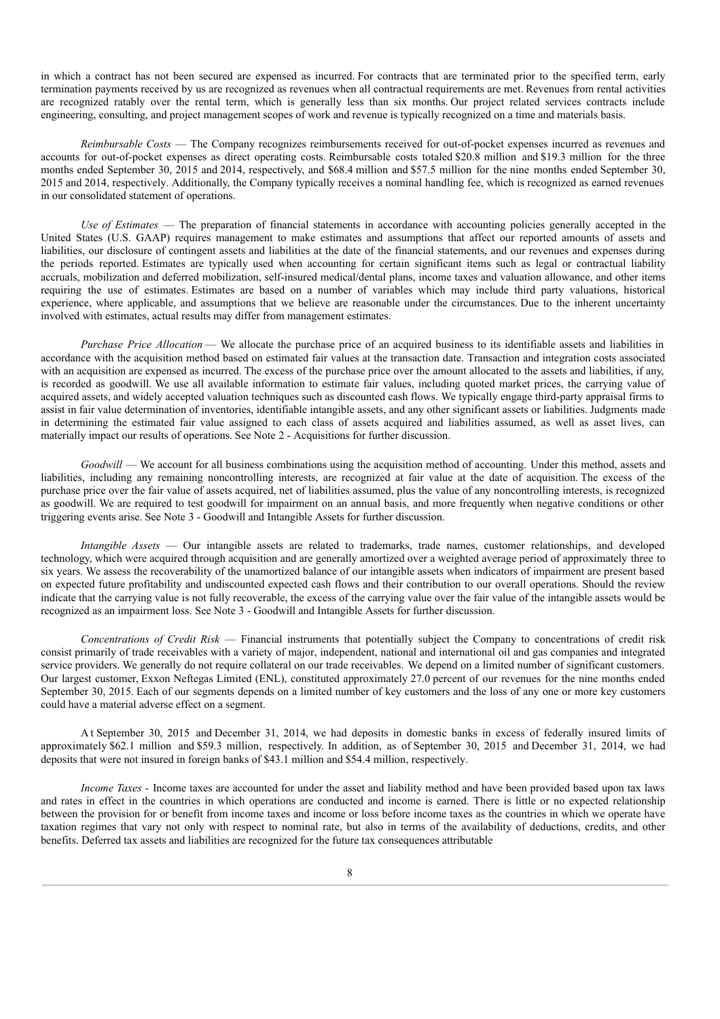in which a contract has not been secured are expensed as incurred. For contracts that are terminated prior to the specified term, early termination payments received by us are recognized as revenues when all contractual requirements are met. Revenues from rental activities are recognized ratably over the rental term, which is generally less than six months. Our project related services contracts include engineering, consulting, and project management scopes of work and revenue is typically recognized on a time and materials basis.

*Reimbursable Costs* — The Company recognizes reimbursements received for out-of-pocket expenses incurred as revenues and accounts for out-of-pocket expenses as direct operating costs. Reimbursable costs totaled \$20.8 million and \$19.3 million for the three months ended September 30, 2015 and 2014, respectively, and \$68.4 million and \$57.5 million for the nine months ended September 30, 2015 and 2014, respectively. Additionally, the Company typically receives a nominal handling fee, which is recognized as earned revenues in our consolidated statement of operations.

*Use of Estimates* — The preparation of financial statements in accordance with accounting policies generally accepted in the United States (U.S. GAAP) requires management to make estimates and assumptions that affect our reported amounts of assets and liabilities, our disclosure of contingent assets and liabilities at the date of the financial statements, and our revenues and expenses during the periods reported. Estimates are typically used when accounting for certain significant items such as legal or contractual liability accruals, mobilization and deferred mobilization, self-insured medical/dental plans, income taxes and valuation allowance, and other items requiring the use of estimates. Estimates are based on a number of variables which may include third party valuations, historical experience, where applicable, and assumptions that we believe are reasonable under the circumstances. Due to the inherent uncertainty involved with estimates, actual results may differ from management estimates.

*Purchase Price Allocation* — We allocate the purchase price of an acquired business to its identifiable assets and liabilities in accordance with the acquisition method based on estimated fair values at the transaction date. Transaction and integration costs associated with an acquisition are expensed as incurred. The excess of the purchase price over the amount allocated to the assets and liabilities, if any, is recorded as goodwill. We use all available information to estimate fair values, including quoted market prices, the carrying value of acquired assets, and widely accepted valuation techniques such as discounted cash flows. We typically engage third-party appraisal firms to assist in fair value determination of inventories, identifiable intangible assets, and any other significant assets or liabilities. Judgments made in determining the estimated fair value assigned to each class of assets acquired and liabilities assumed, as well as asset lives, can materially impact our results of operations. See Note 2 - Acquisitions for further discussion.

*Goodwill* — We account for all business combinations using the acquisition method of accounting. Under this method, assets and liabilities, including any remaining noncontrolling interests, are recognized at fair value at the date of acquisition. The excess of the purchase price over the fair value of assets acquired, net of liabilities assumed, plus the value of any noncontrolling interests, is recognized as goodwill. We are required to test goodwill for impairment on an annual basis, and more frequently when negative conditions or other triggering events arise. See Note 3 - Goodwill and Intangible Assets for further discussion.

*Intangible Assets* — Our intangible assets are related to trademarks, trade names, customer relationships, and developed technology, which were acquired through acquisition and are generally amortized over a weighted average period of approximately three to six years. We assess the recoverability of the unamortized balance of our intangible assets when indicators of impairment are present based on expected future profitability and undiscounted expected cash flows and their contribution to our overall operations. Should the review indicate that the carrying value is not fully recoverable, the excess of the carrying value over the fair value of the intangible assets would be recognized as an impairment loss. See Note 3 - Goodwill and Intangible Assets for further discussion.

*Concentrations of Credit Risk* — Financial instruments that potentially subject the Company to concentrations of credit risk consist primarily of trade receivables with a variety of major, independent, national and international oil and gas companies and integrated service providers. We generally do not require collateral on our trade receivables. We depend on a limited number of significant customers. Our largest customer, Exxon Neftegas Limited (ENL), constituted approximately 27.0 percent of our revenues for the nine months ended September 30, 2015. Each of our segments depends on a limited number of key customers and the loss of any one or more key customers could have a material adverse effect on a segment.

A t September 30, 2015 and December 31, 2014, we had deposits in domestic banks in excess of federally insured limits of approximately \$62.1 million and \$59.3 million, respectively. In addition, as of September 30, 2015 and December 31, 2014, we had deposits that were not insured in foreign banks of \$43.1 million and \$54.4 million, respectively.

*Income Taxes -* Income taxes are accounted for under the asset and liability method and have been provided based upon tax laws and rates in effect in the countries in which operations are conducted and income is earned. There is little or no expected relationship between the provision for or benefit from income taxes and income or loss before income taxes as the countries in which we operate have taxation regimes that vary not only with respect to nominal rate, but also in terms of the availability of deductions, credits, and other benefits. Deferred tax assets and liabilities are recognized for the future tax consequences attributable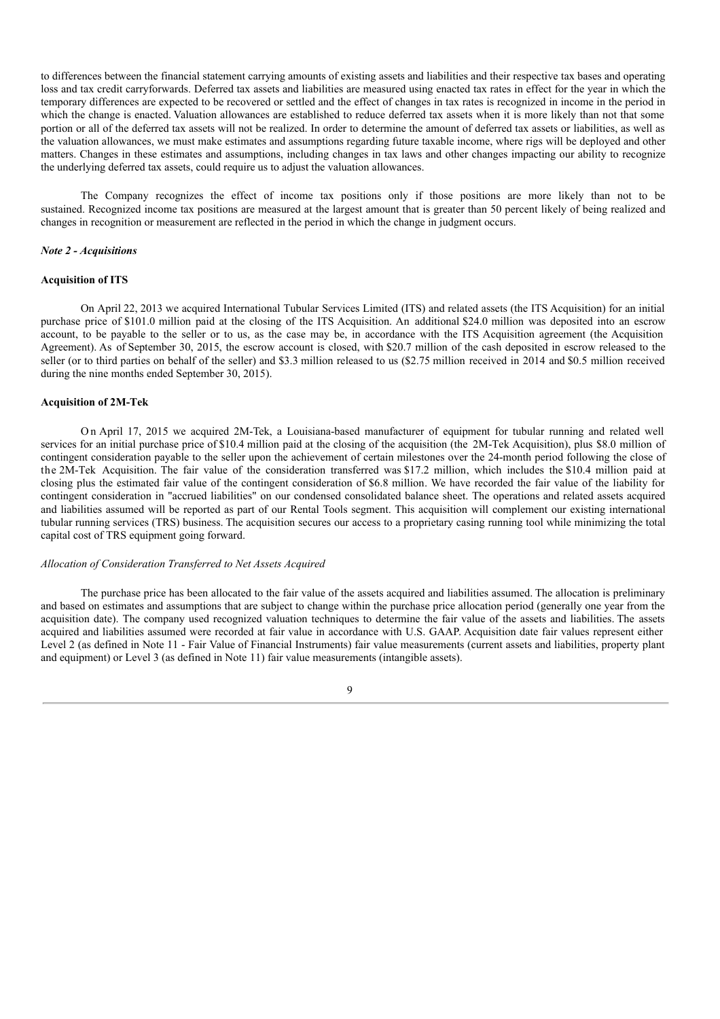to differences between the financial statement carrying amounts of existing assets and liabilities and their respective tax bases and operating loss and tax credit carryforwards. Deferred tax assets and liabilities are measured using enacted tax rates in effect for the year in which the temporary differences are expected to be recovered or settled and the effect of changes in tax rates is recognized in income in the period in which the change is enacted. Valuation allowances are established to reduce deferred tax assets when it is more likely than not that some portion or all of the deferred tax assets will not be realized. In order to determine the amount of deferred tax assets or liabilities, as well as the valuation allowances, we must make estimates and assumptions regarding future taxable income, where rigs will be deployed and other matters. Changes in these estimates and assumptions, including changes in tax laws and other changes impacting our ability to recognize the underlying deferred tax assets, could require us to adjust the valuation allowances.

The Company recognizes the effect of income tax positions only if those positions are more likely than not to be sustained. Recognized income tax positions are measured at the largest amount that is greater than 50 percent likely of being realized and changes in recognition or measurement are reflected in the period in which the change in judgment occurs.

## *Note 2 - Acquisitions*

#### **Acquisition of ITS**

On April 22, 2013 we acquired International Tubular Services Limited (ITS) and related assets (the ITS Acquisition) for an initial purchase price of \$101.0 million paid at the closing of the ITS Acquisition. An additional \$24.0 million was deposited into an escrow account, to be payable to the seller or to us, as the case may be, in accordance with the ITS Acquisition agreement (the Acquisition Agreement). As of September 30, 2015, the escrow account is closed, with \$20.7 million of the cash deposited in escrow released to the seller (or to third parties on behalf of the seller) and \$3.3 million released to us (\$2.75 million received in 2014 and \$0.5 million received during the nine months ended September 30, 2015).

## **Acquisition of 2M-Tek**

O n April 17, 2015 we acquired 2M-Tek, a Louisiana-based manufacturer of equipment for tubular running and related well services for an initial purchase price of \$10.4 million paid at the closing of the acquisition (the 2M-Tek Acquisition), plus \$8.0 million of contingent consideration payable to the seller upon the achievement of certain milestones over the 24-month period following the close of the 2M-Tek Acquisition. The fair value of the consideration transferred was \$17.2 million, which includes the \$10.4 million paid at closing plus the estimated fair value of the contingent consideration of \$6.8 million. We have recorded the fair value of the liability for contingent consideration in "accrued liabilities" on our condensed consolidated balance sheet. The operations and related assets acquired and liabilities assumed will be reported as part of our Rental Tools segment. This acquisition will complement our existing international tubular running services (TRS) business. The acquisition secures our access to a proprietary casing running tool while minimizing the total capital cost of TRS equipment going forward.

## *Allocation of Consideration Transferred to Net Assets Acquired*

The purchase price has been allocated to the fair value of the assets acquired and liabilities assumed. The allocation is preliminary and based on estimates and assumptions that are subject to change within the purchase price allocation period (generally one year from the acquisition date). The company used recognized valuation techniques to determine the fair value of the assets and liabilities. The assets acquired and liabilities assumed were recorded at fair value in accordance with U.S. GAAP. Acquisition date fair values represent either Level 2 (as defined in Note 11 - Fair Value of Financial Instruments) fair value measurements (current assets and liabilities, property plant and equipment) or Level 3 (as defined in Note 11) fair value measurements (intangible assets).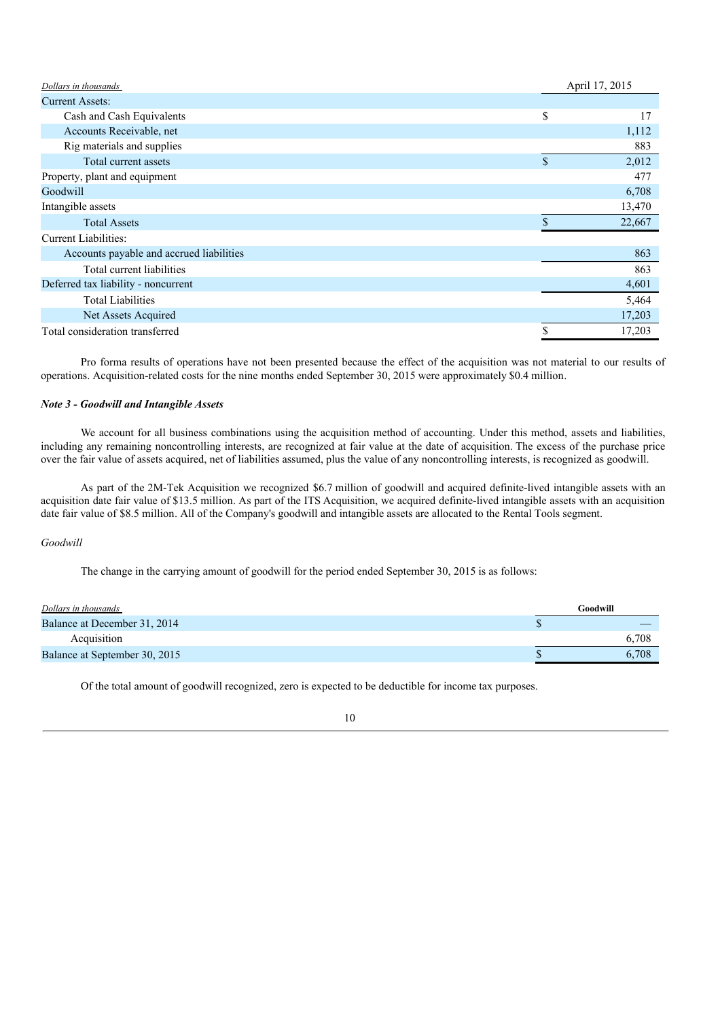| Dollars in thousands                     | April 17, 2015 |
|------------------------------------------|----------------|
| <b>Current Assets:</b>                   |                |
| Cash and Cash Equivalents                | \$<br>17       |
| Accounts Receivable, net                 | 1,112          |
| Rig materials and supplies               | 883            |
| Total current assets                     | \$<br>2,012    |
| Property, plant and equipment            | 477            |
| Goodwill                                 | 6,708          |
| Intangible assets                        | 13,470         |
| <b>Total Assets</b>                      | 22,667         |
| <b>Current Liabilities:</b>              |                |
| Accounts payable and accrued liabilities | 863            |
| Total current liabilities                | 863            |
| Deferred tax liability - noncurrent      | 4,601          |
| <b>Total Liabilities</b>                 | 5,464          |
| Net Assets Acquired                      | 17,203         |
| Total consideration transferred          | 17,203         |

Pro forma results of operations have not been presented because the effect of the acquisition was not material to our results of operations. Acquisition-related costs for the nine months ended September 30, 2015 were approximately \$0.4 million.

# *Note 3 - Goodwill and Intangible Assets*

We account for all business combinations using the acquisition method of accounting. Under this method, assets and liabilities, including any remaining noncontrolling interests, are recognized at fair value at the date of acquisition. The excess of the purchase price over the fair value of assets acquired, net of liabilities assumed, plus the value of any noncontrolling interests, is recognized as goodwill.

As part of the 2M-Tek Acquisition we recognized \$6.7 million of goodwill and acquired definite-lived intangible assets with an acquisition date fair value of \$13.5 million. As part of the ITS Acquisition, we acquired definite-lived intangible assets with an acquisition date fair value of \$8.5 million. All of the Company's goodwill and intangible assets are allocated to the Rental Tools segment.

### *Goodwill*

The change in the carrying amount of goodwill for the period ended September 30, 2015 is as follows:

| Dollars in thousands          | Goodwill |
|-------------------------------|----------|
| Balance at December 31, 2014  |          |
| Acquisition                   | 6.708    |
| Balance at September 30, 2015 | 6.708    |

Of the total amount of goodwill recognized, zero is expected to be deductible for income tax purposes.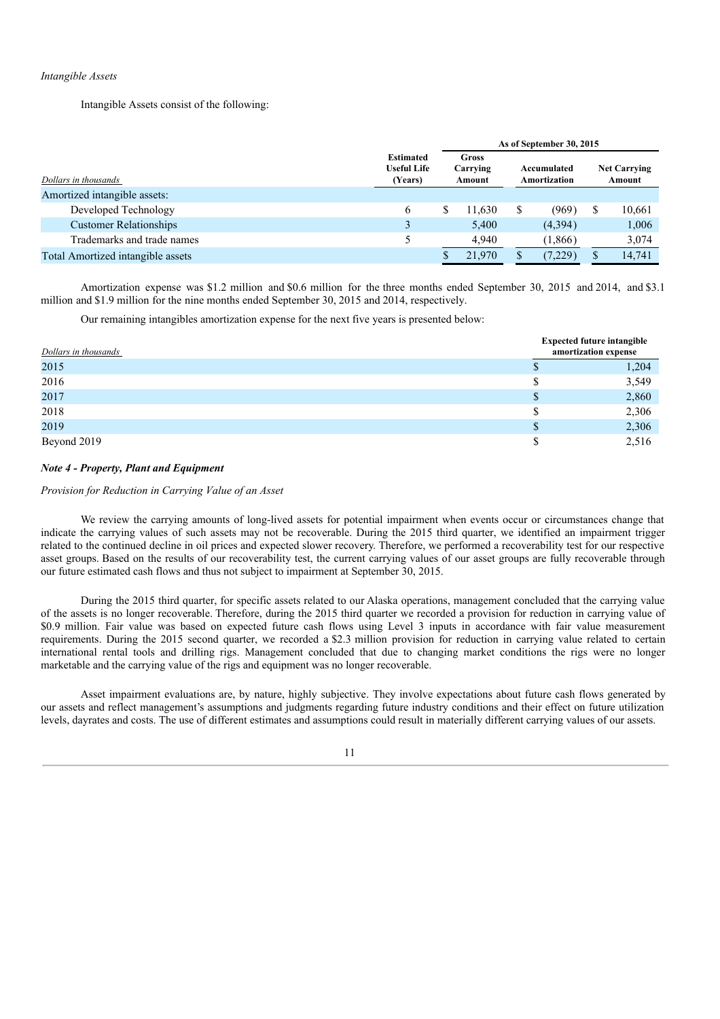# *Intangible Assets*

Intangible Assets consist of the following:

|                                   |                                                   | As of September 30, 2015 |                             |   |                             |  |                               |
|-----------------------------------|---------------------------------------------------|--------------------------|-----------------------------|---|-----------------------------|--|-------------------------------|
| Dollars in thousands              | <b>Estimated</b><br><b>Useful Life</b><br>(Years) |                          | Gross<br>Carrying<br>Amount |   | Accumulated<br>Amortization |  | <b>Net Carrying</b><br>Amount |
| Amortized intangible assets:      |                                                   |                          |                             |   |                             |  |                               |
| Developed Technology              | 6                                                 |                          | 11.630                      | S | (969)                       |  | 10,661                        |
| <b>Customer Relationships</b>     | 3                                                 |                          | 5,400                       |   | (4,394)                     |  | 1,006                         |
| Trademarks and trade names        |                                                   |                          | 4.940                       |   | (1,866)                     |  | 3,074                         |
| Total Amortized intangible assets |                                                   |                          | 21,970                      |   | (7,229)                     |  | 14,741                        |

Amortization expense was \$1.2 million and \$0.6 million for the three months ended September 30, 2015 and 2014, and \$3.1 million and \$1.9 million for the nine months ended September 30, 2015 and 2014, respectively.

Our remaining intangibles amortization expense for the next five years is presented below:

| Dollars in thousands |  | <b>Expected future intangible</b><br>amortization expense |  |
|----------------------|--|-----------------------------------------------------------|--|
| 2015                 |  | 1,204                                                     |  |
| 2016                 |  | 3,549                                                     |  |
| 2017                 |  | 2,860                                                     |  |
| 2018                 |  | 2,306                                                     |  |
| 2019                 |  | 2,306                                                     |  |
| Beyond 2019          |  | 2,516                                                     |  |

#### *Note 4 - Property, Plant and Equipment*

*Provision for Reduction in Carrying Value of an Asset*

We review the carrying amounts of long-lived assets for potential impairment when events occur or circumstances change that indicate the carrying values of such assets may not be recoverable. During the 2015 third quarter, we identified an impairment trigger related to the continued decline in oil prices and expected slower recovery. Therefore, we performed a recoverability test for our respective asset groups. Based on the results of our recoverability test, the current carrying values of our asset groups are fully recoverable through our future estimated cash flows and thus not subject to impairment at September 30, 2015.

During the 2015 third quarter, for specific assets related to our Alaska operations, management concluded that the carrying value of the assets is no longer recoverable. Therefore, during the 2015 third quarter we recorded a provision for reduction in carrying value of \$0.9 million. Fair value was based on expected future cash flows using Level 3 inputs in accordance with fair value measurement requirements. During the 2015 second quarter, we recorded a \$2.3 million provision for reduction in carrying value related to certain international rental tools and drilling rigs. Management concluded that due to changing market conditions the rigs were no longer marketable and the carrying value of the rigs and equipment was no longer recoverable.

Asset impairment evaluations are, by nature, highly subjective. They involve expectations about future cash flows generated by our assets and reflect management's assumptions and judgments regarding future industry conditions and their effect on future utilization levels, dayrates and costs. The use of different estimates and assumptions could result in materially different carrying values of our assets.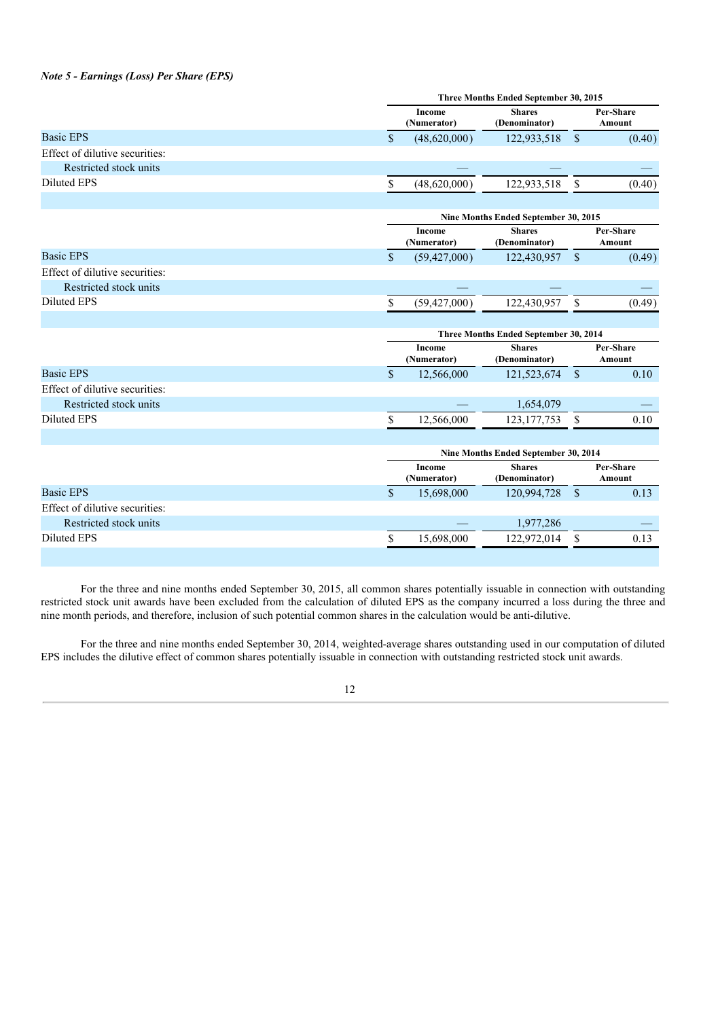# *Note 5 - Earnings (Loss) Per Share (EPS)*

|                                |              | Three Months Ended September 30, 2015 |                                                       |              |                     |  |  |  |
|--------------------------------|--------------|---------------------------------------|-------------------------------------------------------|--------------|---------------------|--|--|--|
|                                |              | Income<br>(Numerator)                 | <b>Shares</b><br>(Denominator)                        |              | Per-Share<br>Amount |  |  |  |
| <b>Basic EPS</b>               | \$           | (48,620,000)                          | 122,933,518                                           | $\sqrt{\ }$  | (0.40)              |  |  |  |
| Effect of dilutive securities: |              |                                       |                                                       |              |                     |  |  |  |
| Restricted stock units         |              |                                       |                                                       |              |                     |  |  |  |
| <b>Diluted EPS</b>             | \$           | (48,620,000)                          | 122,933,518                                           | \$           | (0.40)              |  |  |  |
|                                |              |                                       |                                                       |              |                     |  |  |  |
|                                |              | Income                                | Nine Months Ended September 30, 2015<br><b>Shares</b> |              | Per-Share           |  |  |  |
|                                |              | (Numerator)                           | (Denominator)                                         |              | Amount              |  |  |  |
| <b>Basic EPS</b>               | \$           | (59, 427, 000)                        | 122,430,957                                           | \$           | (0.49)              |  |  |  |
| Effect of dilutive securities: |              |                                       |                                                       |              |                     |  |  |  |
| Restricted stock units         |              |                                       |                                                       |              |                     |  |  |  |
| <b>Diluted EPS</b>             | \$           | (59, 427, 000)                        | 122,430,957                                           | \$           | (0.49)              |  |  |  |
|                                |              |                                       |                                                       |              |                     |  |  |  |
|                                |              | Three Months Ended September 30, 2014 |                                                       |              |                     |  |  |  |
|                                |              | Income<br>(Numerator)                 | <b>Shares</b><br>(Denominator)                        |              | Per-Share<br>Amount |  |  |  |
| <b>Basic EPS</b>               | $\mathbb{S}$ | 12,566,000                            | 121,523,674                                           | $\mathbf{s}$ | 0.10                |  |  |  |
| Effect of dilutive securities: |              |                                       |                                                       |              |                     |  |  |  |
| Restricted stock units         |              |                                       | 1,654,079                                             |              |                     |  |  |  |
| <b>Diluted EPS</b>             | \$           | 12,566,000                            | 123, 177, 753                                         | \$           | 0.10                |  |  |  |
|                                |              |                                       |                                                       |              |                     |  |  |  |
|                                |              |                                       | Nine Months Ended September 30, 2014                  |              |                     |  |  |  |
|                                |              | Income<br>(Numerator)                 | <b>Shares</b><br>(Denominator)                        |              | Per-Share<br>Amount |  |  |  |
| <b>Basic EPS</b>               | $\mathbb{S}$ | 15,698,000                            | 120,994,728                                           | $\mathbf{s}$ | 0.13                |  |  |  |
| Effect of dilutive securities: |              |                                       |                                                       |              |                     |  |  |  |
| Restricted stock units         |              |                                       | 1,977,286                                             |              |                     |  |  |  |
| Diluted EPS                    | \$           | 15,698,000                            | 122,972,014                                           | \$           | 0.13                |  |  |  |
|                                |              |                                       |                                                       |              |                     |  |  |  |

For the three and nine months ended September 30, 2015, all common shares potentially issuable in connection with outstanding restricted stock unit awards have been excluded from the calculation of diluted EPS as the company incurred a loss during the three and nine month periods, and therefore, inclusion of such potential common shares in the calculation would be anti-dilutive.

For the three and nine months ended September 30, 2014, weighted-average shares outstanding used in our computation of diluted EPS includes the dilutive effect of common shares potentially issuable in connection with outstanding restricted stock unit awards.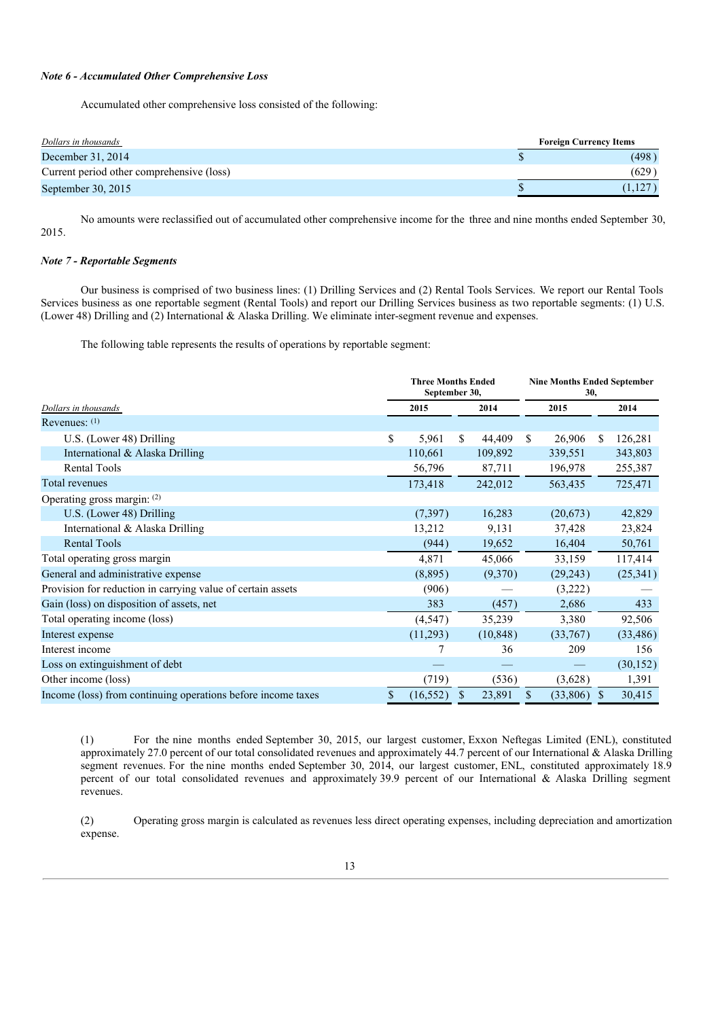#### *Note 6 - Accumulated Other Comprehensive Loss*

Accumulated other comprehensive loss consisted of the following:

| Dollars in thousands                      | <b>Foreign Currency Items</b> |
|-------------------------------------------|-------------------------------|
| December 31, 2014                         | (498)                         |
| Current period other comprehensive (loss) | (629)                         |
| September 30, $2015$                      |                               |

No amounts were reclassified out of accumulated other comprehensive income for the three and nine months ended September 30, 2015.

## *Note 7 - Reportable Segments*

Our business is comprised of two business lines: (1) Drilling Services and (2) Rental Tools Services. We report our Rental Tools Services business as one reportable segment (Rental Tools) and report our Drilling Services business as two reportable segments: (1) U.S. (Lower 48) Drilling and (2) International & Alaska Drilling. We eliminate inter-segment revenue and expenses.

The following table represents the results of operations by reportable segment:

|                                                              |    | <b>Three Months Ended</b><br>September 30, |    |           |    | <b>Nine Months Ended September</b> |              |           |
|--------------------------------------------------------------|----|--------------------------------------------|----|-----------|----|------------------------------------|--------------|-----------|
| Dollars in thousands                                         |    | 2015                                       |    | 2014      |    | 2015                               |              | 2014      |
| Revenues: $(1)$                                              |    |                                            |    |           |    |                                    |              |           |
| U.S. (Lower 48) Drilling                                     | \$ | 5,961                                      | S. | 44,409    | S. | 26,906                             | \$.          | 126,281   |
| International & Alaska Drilling                              |    | 110,661                                    |    | 109,892   |    | 339,551                            |              | 343,803   |
| Rental Tools                                                 |    | 56,796                                     |    | 87,711    |    | 196,978                            |              | 255,387   |
| Total revenues                                               |    | 173,418                                    |    | 242,012   |    | 563,435                            |              | 725,471   |
| Operating gross margin: (2)                                  |    |                                            |    |           |    |                                    |              |           |
| U.S. (Lower 48) Drilling                                     |    | (7, 397)                                   |    | 16,283    |    | (20, 673)                          |              | 42,829    |
| International & Alaska Drilling                              |    | 13,212                                     |    | 9,131     |    | 37,428                             |              | 23,824    |
| <b>Rental Tools</b>                                          |    | (944)                                      |    | 19,652    |    | 16,404                             |              | 50,761    |
| Total operating gross margin                                 |    | 4,871                                      |    | 45,066    |    | 33,159                             |              | 117,414   |
| General and administrative expense                           |    | (8,895)                                    |    | (9,370)   |    | (29, 243)                          |              | (25, 341) |
| Provision for reduction in carrying value of certain assets  |    | (906)                                      |    |           |    | (3,222)                            |              |           |
| Gain (loss) on disposition of assets, net                    |    | 383                                        |    | (457)     |    | 2,686                              |              | 433       |
| Total operating income (loss)                                |    | (4, 547)                                   |    | 35,239    |    | 3,380                              |              | 92,506    |
| Interest expense                                             |    | (11,293)                                   |    | (10, 848) |    | (33,767)                           |              | (33, 486) |
| Interest income                                              |    |                                            |    | 36        |    | 209                                |              | 156       |
| Loss on extinguishment of debt                               |    |                                            |    |           |    |                                    |              | (30, 152) |
| Other income (loss)                                          |    | (719)                                      |    | (536)     |    | (3,628)                            |              | 1,391     |
| Income (loss) from continuing operations before income taxes | S  | (16, 552)                                  | S  | 23,891    | \$ | (33,806)                           | <sup>S</sup> | 30,415    |

(1) For the nine months ended September 30, 2015, our largest customer, Exxon Neftegas Limited (ENL), constituted approximately 27.0 percent of our total consolidated revenues and approximately 44.7 percent of our International & Alaska Drilling segment revenues. For the nine months ended September 30, 2014, our largest customer, ENL, constituted approximately 18.9 percent of our total consolidated revenues and approximately 39.9 percent of our International & Alaska Drilling segment revenues.

(2) Operating gross margin is calculated as revenues less direct operating expenses, including depreciation and amortization expense.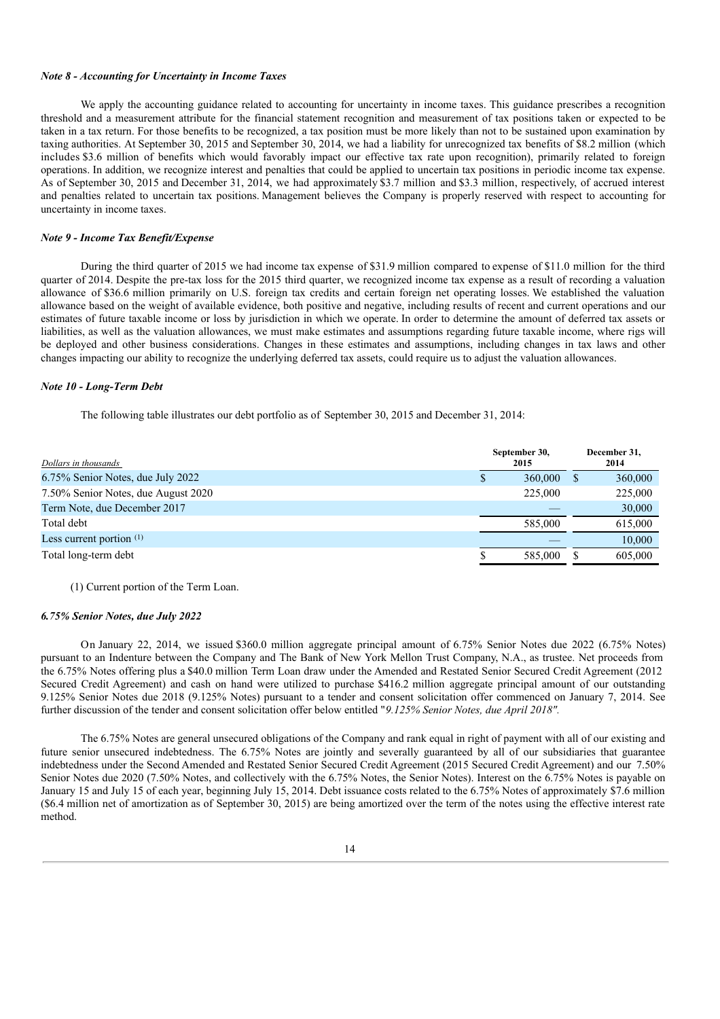# *Note 8 - Accounting for Uncertainty in Income Taxes*

We apply the accounting guidance related to accounting for uncertainty in income taxes. This guidance prescribes a recognition threshold and a measurement attribute for the financial statement recognition and measurement of tax positions taken or expected to be taken in a tax return. For those benefits to be recognized, a tax position must be more likely than not to be sustained upon examination by taxing authorities. At September 30, 2015 and September 30, 2014, we had a liability for unrecognized tax benefits of \$8.2 million (which includes \$3.6 million of benefits which would favorably impact our effective tax rate upon recognition), primarily related to foreign operations. In addition, we recognize interest and penalties that could be applied to uncertain tax positions in periodic income tax expense. As of September 30, 2015 and December 31, 2014, we had approximately \$3.7 million and \$3.3 million, respectively, of accrued interest and penalties related to uncertain tax positions. Management believes the Company is properly reserved with respect to accounting for uncertainty in income taxes.

#### *Note 9 - Income Tax Benefit/Expense*

During the third quarter of 2015 we had income tax expense of \$31.9 million compared to expense of \$11.0 million for the third quarter of 2014. Despite the pre-tax loss for the 2015 third quarter, we recognized income tax expense as a result of recording a valuation allowance of \$36.6 million primarily on U.S. foreign tax credits and certain foreign net operating losses. We established the valuation allowance based on the weight of available evidence, both positive and negative, including results of recent and current operations and our estimates of future taxable income or loss by jurisdiction in which we operate. In order to determine the amount of deferred tax assets or liabilities, as well as the valuation allowances, we must make estimates and assumptions regarding future taxable income, where rigs will be deployed and other business considerations. Changes in these estimates and assumptions, including changes in tax laws and other changes impacting our ability to recognize the underlying deferred tax assets, could require us to adjust the valuation allowances.

#### *Note 10 - Long-Term Debt*

The following table illustrates our debt portfolio as of September 30, 2015 and December 31, 2014:

| Dollars in thousands                |   | September 30,<br>2015 | December 31,<br>2014 |
|-------------------------------------|---|-----------------------|----------------------|
| 6.75% Senior Notes, due July 2022   | Φ | 360,000               | 360,000              |
| 7.50% Senior Notes, due August 2020 |   | 225,000               | 225,000              |
| Term Note, due December 2017        |   |                       | 30,000               |
| Total debt                          |   | 585,000               | 615,000              |
| Less current portion $(1)$          |   |                       | 10.000               |
| Total long-term debt                |   | 585,000               | 605,000              |

(1) Current portion of the Term Loan.

#### *6.75% Senior Notes, due July 2022*

On January 22, 2014, we issued \$360.0 million aggregate principal amount of 6.75% Senior Notes due 2022 (6.75% Notes) pursuant to an Indenture between the Company and The Bank of New York Mellon Trust Company, N.A., as trustee. Net proceeds from the 6.75% Notes offering plus a \$40.0 million Term Loan draw under the Amended and Restated Senior Secured Credit Agreement (2012 Secured Credit Agreement) and cash on hand were utilized to purchase \$416.2 million aggregate principal amount of our outstanding 9.125% Senior Notes due 2018 (9.125% Notes) pursuant to a tender and consent solicitation offer commenced on January 7, 2014. See further discussion of the tender and consent solicitation offer below entitled "*9.125% Senior Notes, due April 2018".*

The 6.75% Notes are general unsecured obligations of the Company and rank equal in right of payment with all of our existing and future senior unsecured indebtedness. The 6.75% Notes are jointly and severally guaranteed by all of our subsidiaries that guarantee indebtedness under the Second Amended and Restated Senior Secured Credit Agreement (2015 Secured Credit Agreement) and our 7.50% Senior Notes due 2020 (7.50% Notes, and collectively with the 6.75% Notes, the Senior Notes). Interest on the 6.75% Notes is payable on January 15 and July 15 of each year, beginning July 15, 2014. Debt issuance costs related to the 6.75% Notes of approximately \$7.6 million (\$6.4 million net of amortization as of September 30, 2015) are being amortized over the term of the notes using the effective interest rate method.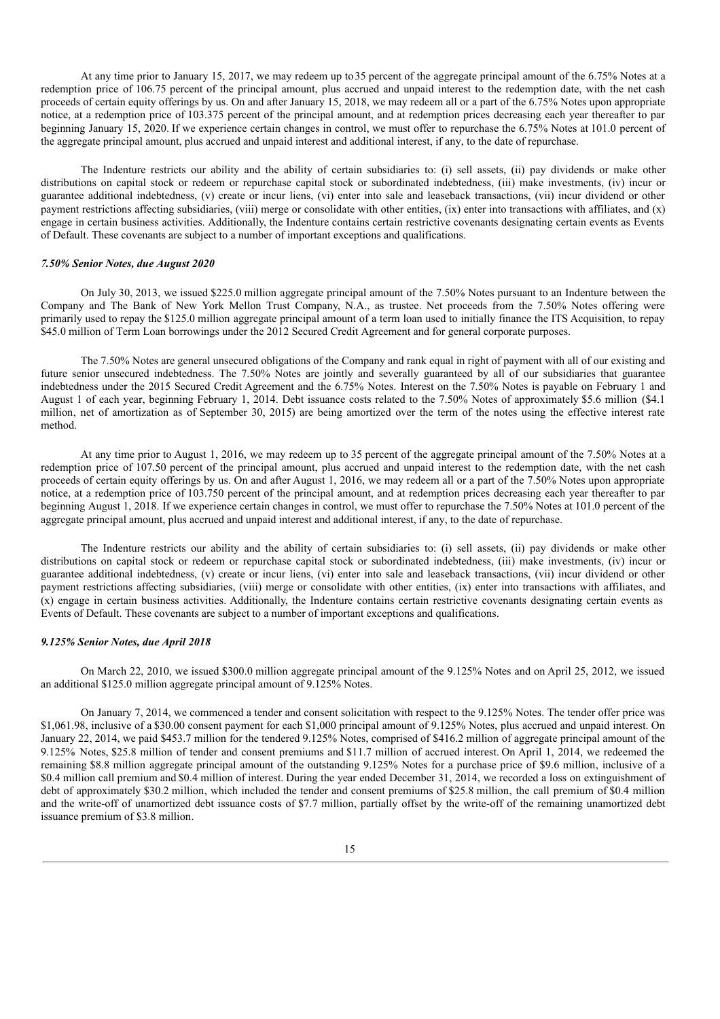At any time prior to January 15, 2017, we may redeem up to35 percent of the aggregate principal amount of the 6.75% Notes at a redemption price of 106.75 percent of the principal amount, plus accrued and unpaid interest to the redemption date, with the net cash proceeds of certain equity offerings by us. On and after January 15, 2018, we may redeem all or a part of the 6.75% Notes upon appropriate notice, at a redemption price of 103.375 percent of the principal amount, and at redemption prices decreasing each year thereafter to par beginning January 15, 2020. If we experience certain changes in control, we must offer to repurchase the 6.75% Notes at 101.0 percent of the aggregate principal amount, plus accrued and unpaid interest and additional interest, if any, to the date of repurchase.

The Indenture restricts our ability and the ability of certain subsidiaries to: (i) sell assets, (ii) pay dividends or make other distributions on capital stock or redeem or repurchase capital stock or subordinated indebtedness, (iii) make investments, (iv) incur or guarantee additional indebtedness, (v) create or incur liens, (vi) enter into sale and leaseback transactions, (vii) incur dividend or other payment restrictions affecting subsidiaries, (viii) merge or consolidate with other entities,  $(ix)$  enter into transactions with affiliates, and  $(x)$ engage in certain business activities. Additionally, the Indenture contains certain restrictive covenants designating certain events as Events of Default. These covenants are subject to a number of important exceptions and qualifications.

## *7.50% Senior Notes, due August 2020*

On July 30, 2013, we issued \$225.0 million aggregate principal amount of the 7.50% Notes pursuant to an Indenture between the Company and The Bank of New York Mellon Trust Company, N.A., as trustee. Net proceeds from the 7.50% Notes offering were primarily used to repay the \$125.0 million aggregate principal amount of a term loan used to initially finance the ITS Acquisition, to repay \$45.0 million of Term Loan borrowings under the 2012 Secured Credit Agreement and for general corporate purposes.

The 7.50% Notes are general unsecured obligations of the Company and rank equal in right of payment with all of our existing and future senior unsecured indebtedness. The 7.50% Notes are jointly and severally guaranteed by all of our subsidiaries that guarantee indebtedness under the 2015 Secured Credit Agreement and the 6.75% Notes. Interest on the 7.50% Notes is payable on February 1 and August 1 of each year, beginning February 1, 2014. Debt issuance costs related to the 7.50% Notes of approximately \$5.6 million (\$4.1 million, net of amortization as of September 30, 2015) are being amortized over the term of the notes using the effective interest rate method.

At any time prior to August 1, 2016, we may redeem up to 35 percent of the aggregate principal amount of the 7.50% Notes at a redemption price of 107.50 percent of the principal amount, plus accrued and unpaid interest to the redemption date, with the net cash proceeds of certain equity offerings by us. On and after August 1, 2016, we may redeem all or a part of the 7.50% Notes upon appropriate notice, at a redemption price of 103.750 percent of the principal amount, and at redemption prices decreasing each year thereafter to par beginning August 1, 2018. If we experience certain changes in control, we must offer to repurchase the 7.50% Notes at 101.0 percent of the aggregate principal amount, plus accrued and unpaid interest and additional interest, if any, to the date of repurchase.

The Indenture restricts our ability and the ability of certain subsidiaries to: (i) sell assets, (ii) pay dividends or make other distributions on capital stock or redeem or repurchase capital stock or subordinated indebtedness, (iii) make investments, (iv) incur or guarantee additional indebtedness, (v) create or incur liens, (vi) enter into sale and leaseback transactions, (vii) incur dividend or other payment restrictions affecting subsidiaries, (viii) merge or consolidate with other entities, (ix) enter into transactions with affiliates, and (x) engage in certain business activities. Additionally, the Indenture contains certain restrictive covenants designating certain events as Events of Default. These covenants are subject to a number of important exceptions and qualifications.

#### *9.125% Senior Notes, due April 2018*

On March 22, 2010, we issued \$300.0 million aggregate principal amount of the 9.125% Notes and on April 25, 2012, we issued an additional \$125.0 million aggregate principal amount of 9.125% Notes.

On January 7, 2014, we commenced a tender and consent solicitation with respect to the 9.125% Notes. The tender offer price was \$1,061.98, inclusive of a \$30.00 consent payment for each \$1,000 principal amount of 9.125% Notes, plus accrued and unpaid interest. On January 22, 2014, we paid \$453.7 million for the tendered 9.125% Notes, comprised of \$416.2 million of aggregate principal amount of the 9.125% Notes, \$25.8 million of tender and consent premiums and \$11.7 million of accrued interest. On April 1, 2014, we redeemed the remaining \$8.8 million aggregate principal amount of the outstanding 9.125% Notes for a purchase price of \$9.6 million, inclusive of a \$0.4 million call premium and\$0.4 million of interest. During the year ended December 31, 2014, we recorded a loss on extinguishment of debt of approximately \$30.2 million, which included the tender and consent premiums of \$25.8 million, the call premium of \$0.4 million and the write-off of unamortized debt issuance costs of \$7.7 million, partially offset by the write-off of the remaining unamortized debt issuance premium of \$3.8 million.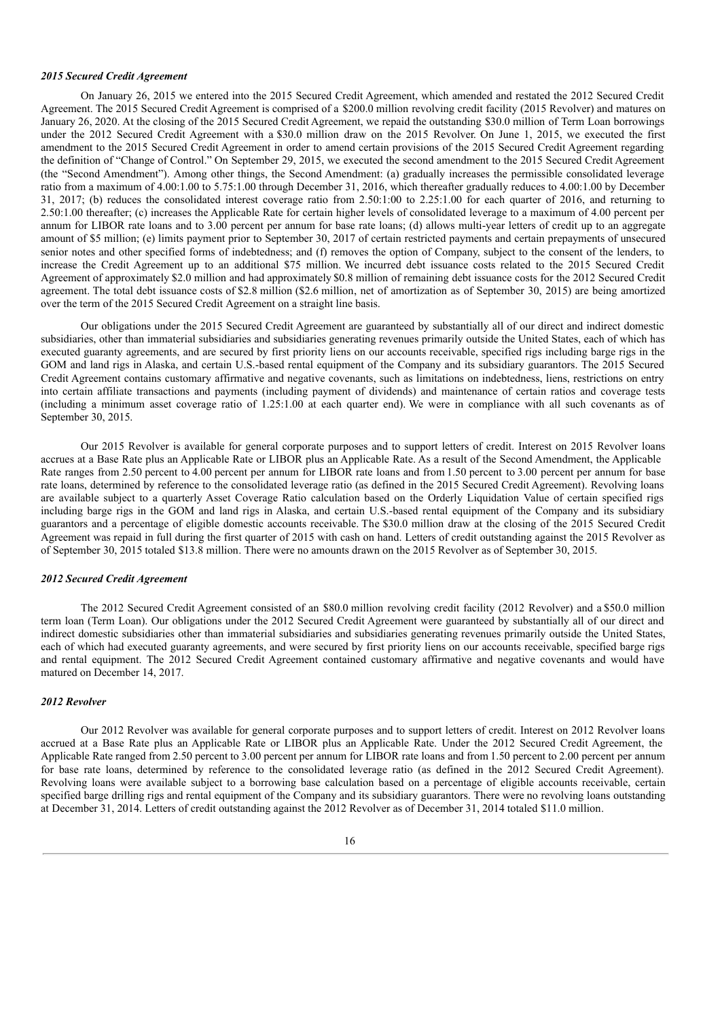#### *2015 Secured Credit Agreement*

On January 26, 2015 we entered into the 2015 Secured Credit Agreement, which amended and restated the 2012 Secured Credit Agreement. The 2015 Secured Credit Agreement is comprised of a \$200.0 million revolving credit facility (2015 Revolver) and matures on January 26, 2020. At the closing of the 2015 Secured Credit Agreement, we repaid the outstanding \$30.0 million of Term Loan borrowings under the 2012 Secured Credit Agreement with a \$30.0 million draw on the 2015 Revolver. On June 1, 2015, we executed the first amendment to the 2015 Secured Credit Agreement in order to amend certain provisions of the 2015 Secured Credit Agreement regarding the definition of "Change of Control." On September 29, 2015, we executed the second amendment to the 2015 Secured Credit Agreement (the "Second Amendment"). Among other things, the Second Amendment: (a) gradually increases the permissible consolidated leverage ratio from a maximum of 4.00:1.00 to 5.75:1.00 through December 31, 2016, which thereafter gradually reduces to 4.00:1.00 by December 31, 2017; (b) reduces the consolidated interest coverage ratio from 2.50:1:00 to 2.25:1.00 for each quarter of 2016, and returning to 2.50:1.00 thereafter; (c) increases the Applicable Rate for certain higher levels of consolidated leverage to a maximum of 4.00 percent per annum for LIBOR rate loans and to 3.00 percent per annum for base rate loans; (d) allows multi-year letters of credit up to an aggregate amount of \$5 million; (e) limits payment prior to September 30, 2017 of certain restricted payments and certain prepayments of unsecured senior notes and other specified forms of indebtedness; and (f) removes the option of Company, subject to the consent of the lenders, to increase the Credit Agreement up to an additional \$75 million. We incurred debt issuance costs related to the 2015 Secured Credit Agreement of approximately \$2.0 million and had approximately \$0.8 million of remaining debt issuance costs for the 2012 Secured Credit agreement. The total debt issuance costs of \$2.8 million (\$2.6 million, net of amortization as of September 30, 2015) are being amortized over the term of the 2015 Secured Credit Agreement on a straight line basis.

Our obligations under the 2015 Secured Credit Agreement are guaranteed by substantially all of our direct and indirect domestic subsidiaries, other than immaterial subsidiaries and subsidiaries generating revenues primarily outside the United States, each of which has executed guaranty agreements, and are secured by first priority liens on our accounts receivable, specified rigs including barge rigs in the GOM and land rigs in Alaska, and certain U.S.-based rental equipment of the Company and its subsidiary guarantors. The 2015 Secured Credit Agreement contains customary affirmative and negative covenants, such as limitations on indebtedness, liens, restrictions on entry into certain affiliate transactions and payments (including payment of dividends) and maintenance of certain ratios and coverage tests (including a minimum asset coverage ratio of 1.25:1.00 at each quarter end). We were in compliance with all such covenants as of September 30, 2015.

Our 2015 Revolver is available for general corporate purposes and to support letters of credit. Interest on 2015 Revolver loans accrues at a Base Rate plus an Applicable Rate or LIBOR plus an Applicable Rate. As a result of the Second Amendment, the Applicable Rate ranges from 2.50 percent to 4.00 percent per annum for LIBOR rate loans and from 1.50 percent to 3.00 percent per annum for base rate loans, determined by reference to the consolidated leverage ratio (as defined in the 2015 Secured Credit Agreement). Revolving loans are available subject to a quarterly Asset Coverage Ratio calculation based on the Orderly Liquidation Value of certain specified rigs including barge rigs in the GOM and land rigs in Alaska, and certain U.S.-based rental equipment of the Company and its subsidiary guarantors and a percentage of eligible domestic accounts receivable. The \$30.0 million draw at the closing of the 2015 Secured Credit Agreement was repaid in full during the first quarter of 2015 with cash on hand. Letters of credit outstanding against the 2015 Revolver as of September 30, 2015 totaled \$13.8 million. There were no amounts drawn on the 2015 Revolver as of September 30, 2015.

#### *2012 Secured Credit Agreement*

The 2012 Secured Credit Agreement consisted of an \$80.0 million revolving credit facility (2012 Revolver) and a \$50.0 million term loan (Term Loan). Our obligations under the 2012 Secured Credit Agreement were guaranteed by substantially all of our direct and indirect domestic subsidiaries other than immaterial subsidiaries and subsidiaries generating revenues primarily outside the United States, each of which had executed guaranty agreements, and were secured by first priority liens on our accounts receivable, specified barge rigs and rental equipment. The 2012 Secured Credit Agreement contained customary affirmative and negative covenants and would have matured on December 14, 2017.

#### *2012 Revolver*

Our 2012 Revolver was available for general corporate purposes and to support letters of credit. Interest on 2012 Revolver loans accrued at a Base Rate plus an Applicable Rate or LIBOR plus an Applicable Rate. Under the 2012 Secured Credit Agreement, the Applicable Rate ranged from 2.50 percent to 3.00 percent per annum for LIBOR rate loans and from 1.50 percent to 2.00 percent per annum for base rate loans, determined by reference to the consolidated leverage ratio (as defined in the 2012 Secured Credit Agreement). Revolving loans were available subject to a borrowing base calculation based on a percentage of eligible accounts receivable, certain specified barge drilling rigs and rental equipment of the Company and its subsidiary guarantors. There were no revolving loans outstanding at December 31, 2014. Letters of credit outstanding against the 2012 Revolver as of December 31, 2014 totaled \$11.0 million.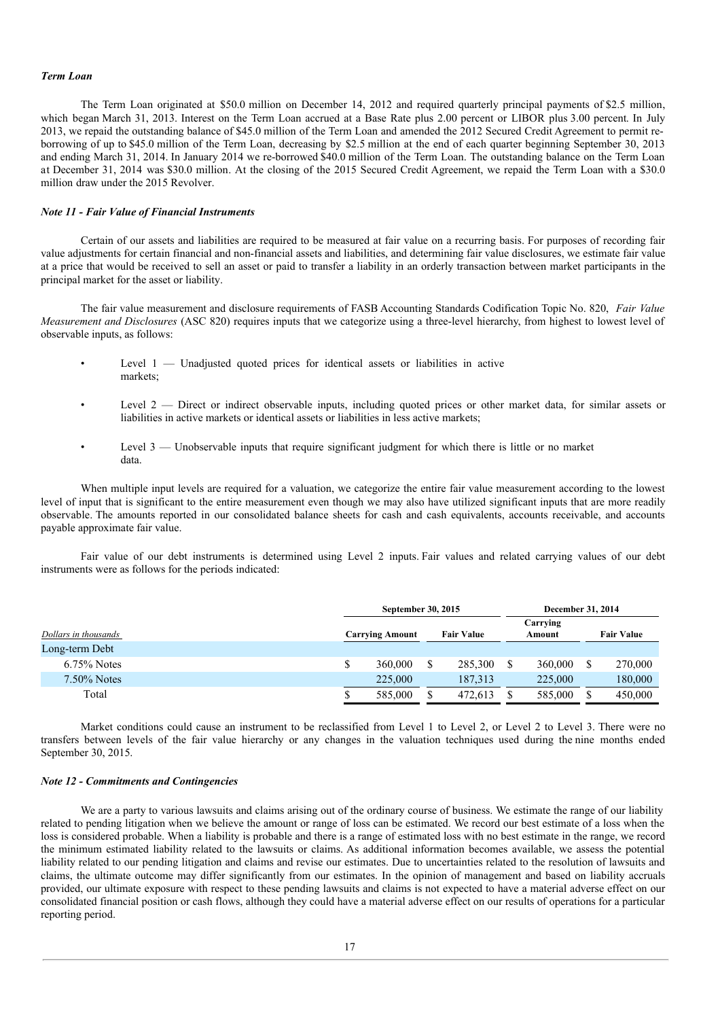## *Term Loan*

The Term Loan originated at \$50.0 million on December 14, 2012 and required quarterly principal payments of \$2.5 million, which began March 31, 2013. Interest on the Term Loan accrued at a Base Rate plus 2.00 percent or LIBOR plus 3.00 percent. In July 2013, we repaid the outstanding balance of \$45.0 million of the Term Loan and amended the 2012 Secured Credit Agreement to permit reborrowing of up to \$45.0 million of the Term Loan, decreasing by \$2.5 million at the end of each quarter beginning September 30, 2013 and ending March 31, 2014. In January 2014 we re-borrowed \$40.0 million of the Term Loan. The outstanding balance on the Term Loan at December 31, 2014 was \$30.0 million. At the closing of the 2015 Secured Credit Agreement, we repaid the Term Loan with a \$30.0 million draw under the 2015 Revolver.

## *Note 11 - Fair Value of Financial Instruments*

Certain of our assets and liabilities are required to be measured at fair value on a recurring basis. For purposes of recording fair value adjustments for certain financial and non-financial assets and liabilities, and determining fair value disclosures, we estimate fair value at a price that would be received to sell an asset or paid to transfer a liability in an orderly transaction between market participants in the principal market for the asset or liability.

The fair value measurement and disclosure requirements of FASB Accounting Standards Codification Topic No. 820, *Fair Value Measurement and Disclosures* (ASC 820) requires inputs that we categorize using a three-level hierarchy, from highest to lowest level of observable inputs, as follows:

- Level  $1$  Unadjusted quoted prices for identical assets or liabilities in active markets;
- Level 2 Direct or indirect observable inputs, including quoted prices or other market data, for similar assets or liabilities in active markets or identical assets or liabilities in less active markets;
- Level  $3$  Unobservable inputs that require significant judgment for which there is little or no market data.

When multiple input levels are required for a valuation, we categorize the entire fair value measurement according to the lowest level of input that is significant to the entire measurement even though we may also have utilized significant inputs that are more readily observable. The amounts reported in our consolidated balance sheets for cash and cash equivalents, accounts receivable, and accounts payable approximate fair value.

Fair value of our debt instruments is determined using Level 2 inputs. Fair values and related carrying values of our debt instruments were as follows for the periods indicated:

|                      |                        | September 30, 2015 | December 31, 2014  |                   |  |  |  |
|----------------------|------------------------|--------------------|--------------------|-------------------|--|--|--|
| Dollars in thousands | <b>Carrying Amount</b> | <b>Fair Value</b>  | Carrying<br>Amount | <b>Fair Value</b> |  |  |  |
| Long-term Debt       |                        |                    |                    |                   |  |  |  |
| $6.75\%$ Notes       | 360,000                | 285,300            | 360,000            | 270,000           |  |  |  |
| $7.50\%$ Notes       | 225,000                | 187.313            | 225,000            | 180,000           |  |  |  |
| Total                | 585,000                | 472.613            | 585,000            | 450,000           |  |  |  |

Market conditions could cause an instrument to be reclassified from Level 1 to Level 2, or Level 2 to Level 3. There were no transfers between levels of the fair value hierarchy or any changes in the valuation techniques used during the nine months ended September 30, 2015.

#### *Note 12 - Commitments and Contingencies*

We are a party to various lawsuits and claims arising out of the ordinary course of business. We estimate the range of our liability related to pending litigation when we believe the amount or range of loss can be estimated. We record our best estimate of a loss when the loss is considered probable. When a liability is probable and there is a range of estimated loss with no best estimate in the range, we record the minimum estimated liability related to the lawsuits or claims. As additional information becomes available, we assess the potential liability related to our pending litigation and claims and revise our estimates. Due to uncertainties related to the resolution of lawsuits and claims, the ultimate outcome may differ significantly from our estimates. In the opinion of management and based on liability accruals provided, our ultimate exposure with respect to these pending lawsuits and claims is not expected to have a material adverse effect on our consolidated financial position or cash flows, although they could have a material adverse effect on our results of operations for a particular reporting period.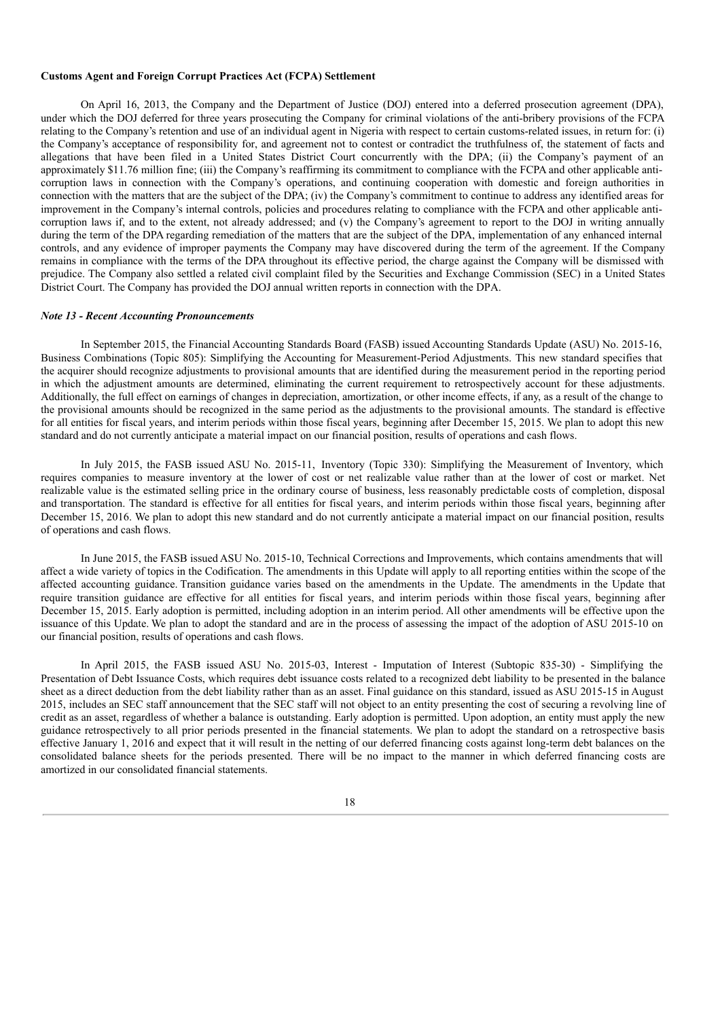#### **Customs Agent and Foreign Corrupt Practices Act (FCPA) Settlement**

On April 16, 2013, the Company and the Department of Justice (DOJ) entered into a deferred prosecution agreement (DPA), under which the DOJ deferred for three years prosecuting the Company for criminal violations of the anti-bribery provisions of the FCPA relating to the Company's retention and use of an individual agent in Nigeria with respect to certain customs-related issues, in return for: (i) the Company's acceptance of responsibility for, and agreement not to contest or contradict the truthfulness of, the statement of facts and allegations that have been filed in a United States District Court concurrently with the DPA; (ii) the Company's payment of an approximately \$11.76 million fine; (iii) the Company's reaffirming its commitment to compliance with the FCPA and other applicable anticorruption laws in connection with the Company's operations, and continuing cooperation with domestic and foreign authorities in connection with the matters that are the subject of the DPA; (iv) the Company's commitment to continue to address any identified areas for improvement in the Company's internal controls, policies and procedures relating to compliance with the FCPA and other applicable anticorruption laws if, and to the extent, not already addressed; and (v) the Company's agreement to report to the DOJ in writing annually during the term of the DPA regarding remediation of the matters that are the subject of the DPA, implementation of any enhanced internal controls, and any evidence of improper payments the Company may have discovered during the term of the agreement. If the Company remains in compliance with the terms of the DPA throughout its effective period, the charge against the Company will be dismissed with prejudice. The Company also settled a related civil complaint filed by the Securities and Exchange Commission (SEC) in a United States District Court. The Company has provided the DOJ annual written reports in connection with the DPA.

#### *Note 13 - Recent Accounting Pronouncements*

In September 2015, the Financial Accounting Standards Board (FASB) issued Accounting Standards Update (ASU) No. 2015-16, Business Combinations (Topic 805): Simplifying the Accounting for Measurement-Period Adjustments. This new standard specifies that the acquirer should recognize adjustments to provisional amounts that are identified during the measurement period in the reporting period in which the adjustment amounts are determined, eliminating the current requirement to retrospectively account for these adjustments. Additionally, the full effect on earnings of changes in depreciation, amortization, or other income effects, if any, as a result of the change to the provisional amounts should be recognized in the same period as the adjustments to the provisional amounts. The standard is effective for all entities for fiscal years, and interim periods within those fiscal years, beginning after December 15, 2015. We plan to adopt this new standard and do not currently anticipate a material impact on our financial position, results of operations and cash flows.

In July 2015, the FASB issued ASU No. 2015-11, Inventory (Topic 330): Simplifying the Measurement of Inventory, which requires companies to measure inventory at the lower of cost or net realizable value rather than at the lower of cost or market. Net realizable value is the estimated selling price in the ordinary course of business, less reasonably predictable costs of completion, disposal and transportation. The standard is effective for all entities for fiscal years, and interim periods within those fiscal years, beginning after December 15, 2016. We plan to adopt this new standard and do not currently anticipate a material impact on our financial position, results of operations and cash flows.

In June 2015, the FASB issued ASU No. 2015-10, Technical Corrections and Improvements, which contains amendments that will affect a wide variety of topics in the Codification. The amendments in this Update will apply to all reporting entities within the scope of the affected accounting guidance. Transition guidance varies based on the amendments in the Update. The amendments in the Update that require transition guidance are effective for all entities for fiscal years, and interim periods within those fiscal years, beginning after December 15, 2015. Early adoption is permitted, including adoption in an interim period. All other amendments will be effective upon the issuance of this Update. We plan to adopt the standard and are in the process of assessing the impact of the adoption of ASU 2015-10 on our financial position, results of operations and cash flows.

In April 2015, the FASB issued ASU No. 2015-03, Interest - Imputation of Interest (Subtopic 835-30) - Simplifying the Presentation of Debt Issuance Costs, which requires debt issuance costs related to a recognized debt liability to be presented in the balance sheet as a direct deduction from the debt liability rather than as an asset. Final guidance on this standard, issued as ASU 2015-15 in August 2015, includes an SEC staff announcement that the SEC staff will not object to an entity presenting the cost of securing a revolving line of credit as an asset, regardless of whether a balance is outstanding. Early adoption is permitted. Upon adoption, an entity must apply the new guidance retrospectively to all prior periods presented in the financial statements. We plan to adopt the standard on a retrospective basis effective January 1, 2016 and expect that it will result in the netting of our deferred financing costs against long-term debt balances on the consolidated balance sheets for the periods presented. There will be no impact to the manner in which deferred financing costs are amortized in our consolidated financial statements.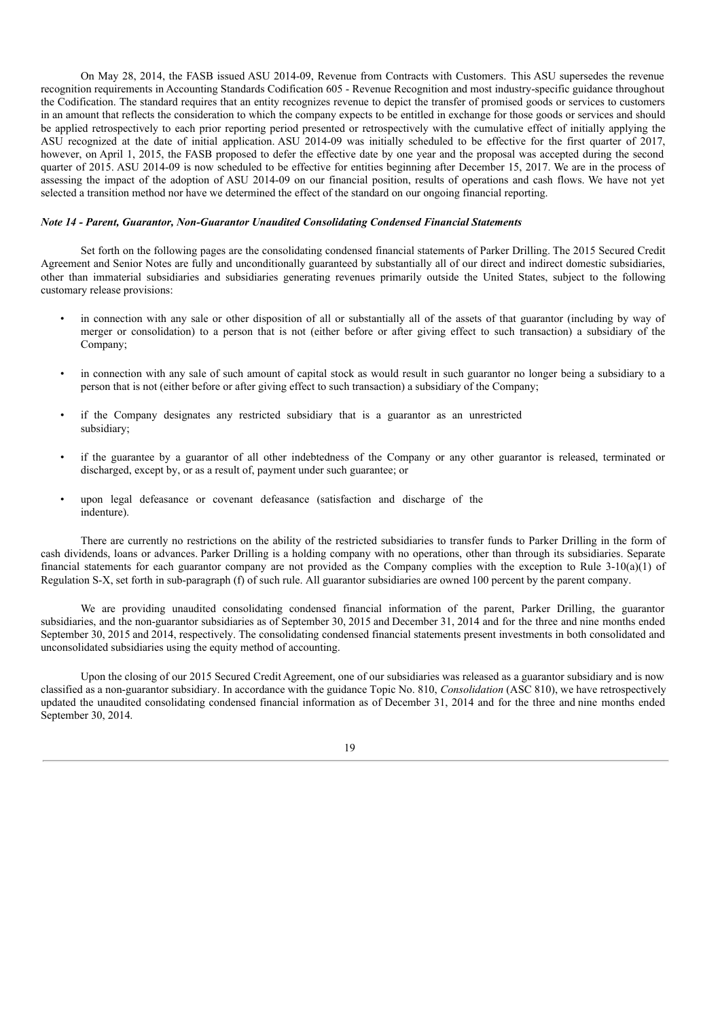On May 28, 2014, the FASB issued ASU 2014-09, Revenue from Contracts with Customers. This ASU supersedes the revenue recognition requirements in Accounting Standards Codification 605 - Revenue Recognition and most industry-specific guidance throughout the Codification. The standard requires that an entity recognizes revenue to depict the transfer of promised goods or services to customers in an amount that reflects the consideration to which the company expects to be entitled in exchange for those goods or services and should be applied retrospectively to each prior reporting period presented or retrospectively with the cumulative effect of initially applying the ASU recognized at the date of initial application. ASU 2014-09 was initially scheduled to be effective for the first quarter of 2017, however, on April 1, 2015, the FASB proposed to defer the effective date by one year and the proposal was accepted during the second quarter of 2015. ASU 2014-09 is now scheduled to be effective for entities beginning after December 15, 2017. We are in the process of assessing the impact of the adoption of ASU 2014-09 on our financial position, results of operations and cash flows. We have not yet selected a transition method nor have we determined the effect of the standard on our ongoing financial reporting.

## *Note 14 - Parent, Guarantor, Non-Guarantor Unaudited Consolidating Condensed Financial Statements*

Set forth on the following pages are the consolidating condensed financial statements of Parker Drilling. The 2015 Secured Credit Agreement and Senior Notes are fully and unconditionally guaranteed by substantially all of our direct and indirect domestic subsidiaries, other than immaterial subsidiaries and subsidiaries generating revenues primarily outside the United States, subject to the following customary release provisions:

- in connection with any sale or other disposition of all or substantially all of the assets of that guarantor (including by way of merger or consolidation) to a person that is not (either before or after giving effect to such transaction) a subsidiary of the Company;
- in connection with any sale of such amount of capital stock as would result in such guarantor no longer being a subsidiary to a person that is not (either before or after giving effect to such transaction) a subsidiary of the Company;
- if the Company designates any restricted subsidiary that is a guarantor as an unrestricted subsidiary;
- if the guarantee by a guarantor of all other indebtedness of the Company or any other guarantor is released, terminated or discharged, except by, or as a result of, payment under such guarantee; or
- upon legal defeasance or covenant defeasance (satisfaction and discharge of the indenture).

There are currently no restrictions on the ability of the restricted subsidiaries to transfer funds to Parker Drilling in the form of cash dividends, loans or advances. Parker Drilling is a holding company with no operations, other than through its subsidiaries. Separate financial statements for each guarantor company are not provided as the Company complies with the exception to Rule 3-10(a)(1) of Regulation S-X, set forth in sub-paragraph (f) of such rule. All guarantor subsidiaries are owned 100 percent by the parent company.

We are providing unaudited consolidating condensed financial information of the parent, Parker Drilling, the guarantor subsidiaries, and the non-guarantor subsidiaries as of September 30, 2015 and December 31, 2014 and for the three and nine months ended September 30, 2015 and 2014, respectively. The consolidating condensed financial statements present investments in both consolidated and unconsolidated subsidiaries using the equity method of accounting.

Upon the closing of our 2015 Secured Credit Agreement, one of our subsidiaries was released as a guarantor subsidiary and is now classified as a non-guarantor subsidiary. In accordance with the guidance Topic No. 810, *Consolidation* (ASC 810), we have retrospectively updated the unaudited consolidating condensed financial information as of December 31, 2014 and for the three and nine months ended September 30, 2014.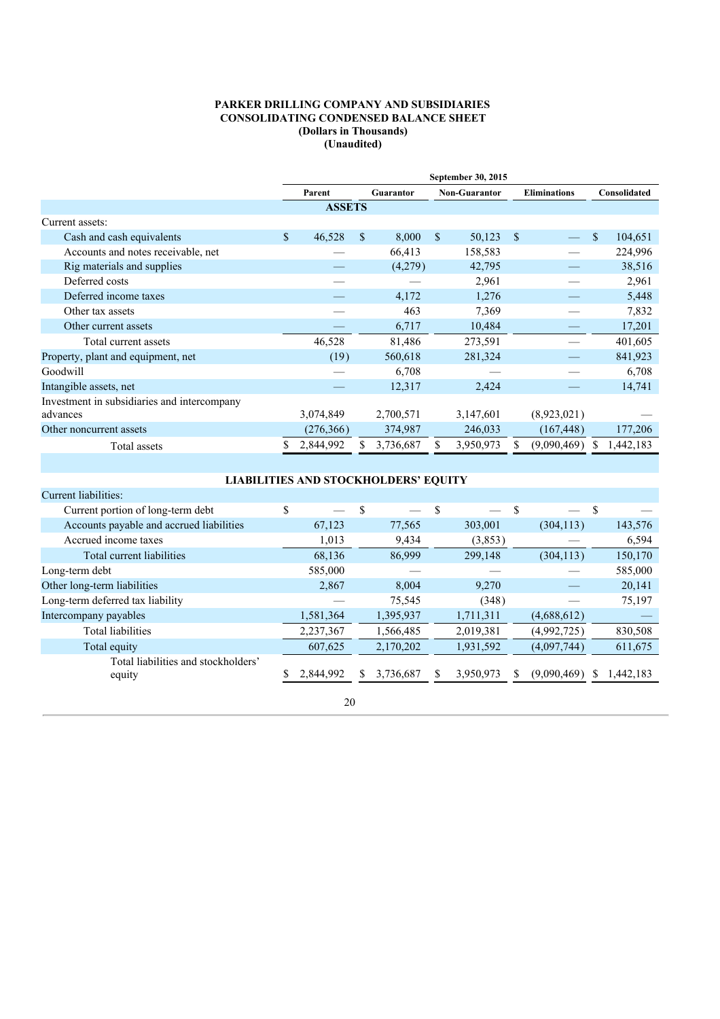# **PARKER DRILLING COMPANY AND SUBSIDIARIES CONSOLIDATING CONDENSED BALANCE SHEET (Dollars in Thousands) (Unaudited)**

|                                             | September 30, 2015 |               |    |           |              |               |                     |             |    |              |  |  |
|---------------------------------------------|--------------------|---------------|----|-----------|--------------|---------------|---------------------|-------------|----|--------------|--|--|
|                                             |                    | Parent        |    | Guarantor |              | Non-Guarantor | <b>Eliminations</b> |             |    | Consolidated |  |  |
|                                             |                    | <b>ASSETS</b> |    |           |              |               |                     |             |    |              |  |  |
| Current assets:                             |                    |               |    |           |              |               |                     |             |    |              |  |  |
| Cash and cash equivalents                   | \$                 | 46,528        | \$ | 8,000     | $\mathbb{S}$ | 50,123        | -S                  |             | \$ | 104,651      |  |  |
| Accounts and notes receivable, net          |                    |               |    | 66,413    |              | 158,583       |                     |             |    | 224,996      |  |  |
| Rig materials and supplies                  |                    |               |    | (4,279)   |              | 42,795        |                     |             |    | 38,516       |  |  |
| Deferred costs                              |                    |               |    |           |              | 2,961         |                     |             |    | 2,961        |  |  |
| Deferred income taxes                       |                    |               |    | 4,172     |              | 1,276         |                     |             |    | 5,448        |  |  |
| Other tax assets                            |                    |               |    | 463       |              | 7,369         |                     |             |    | 7,832        |  |  |
| Other current assets                        |                    |               |    | 6,717     |              | 10,484        |                     |             |    | 17,201       |  |  |
| Total current assets                        |                    | 46,528        |    | 81,486    |              | 273,591       |                     |             |    | 401,605      |  |  |
| Property, plant and equipment, net          |                    | (19)          |    | 560,618   |              | 281,324       |                     |             |    | 841,923      |  |  |
| Goodwill                                    |                    |               |    | 6,708     |              |               |                     |             |    | 6,708        |  |  |
| Intangible assets, net                      |                    |               |    | 12,317    |              | 2,424         |                     |             |    | 14,741       |  |  |
| Investment in subsidiaries and intercompany |                    |               |    |           |              |               |                     |             |    |              |  |  |
| advances                                    |                    | 3,074,849     |    | 2,700,571 |              | 3,147,601     |                     | (8,923,021) |    |              |  |  |
| Other noncurrent assets                     |                    | (276, 366)    |    | 374,987   |              | 246,033       |                     | (167, 448)  |    | 177,206      |  |  |
| Total assets                                |                    | 2,844,992     |    | 3,736,687 |              | 3,950,973     |                     | (9,090,469) |    | 1,442,183    |  |  |

# **LIABILITIES AND STOCKHOLDERS' EQUITY**

| Current liabilities:                          |           |     |           |    |           |    |             |    |           |
|-----------------------------------------------|-----------|-----|-----------|----|-----------|----|-------------|----|-----------|
| Current portion of long-term debt             | \$        | \$. |           | \$ |           | \$ |             | -S |           |
| Accounts payable and accrued liabilities      | 67,123    |     | 77,565    |    | 303,001   |    | (304, 113)  |    | 143,576   |
| Accrued income taxes                          | 1,013     |     | 9,434     |    | (3,853)   |    |             |    | 6,594     |
| Total current liabilities                     | 68,136    |     | 86,999    |    | 299,148   |    | (304, 113)  |    | 150,170   |
| Long-term debt                                | 585,000   |     |           |    |           |    |             |    | 585,000   |
| Other long-term liabilities                   | 2,867     |     | 8,004     |    | 9,270     |    |             |    | 20,141    |
| Long-term deferred tax liability              |           |     | 75,545    |    | (348)     |    |             |    | 75,197    |
| Intercompany payables                         | 1,581,364 |     | 1,395,937 |    | 1,711,311 |    | (4,688,612) |    |           |
| <b>Total liabilities</b>                      | 2,237,367 |     | 1,566,485 |    | 2,019,381 |    | (4,992,725) |    | 830,508   |
| Total equity                                  | 607,625   |     | 2,170,202 |    | 1,931,592 |    | (4,097,744) |    | 611,675   |
| Total liabilities and stockholders'<br>equity | 2,844,992 |     | 3,736,687 | S  | 3,950,973 | S  | (9,090,469) | S  | 1,442,183 |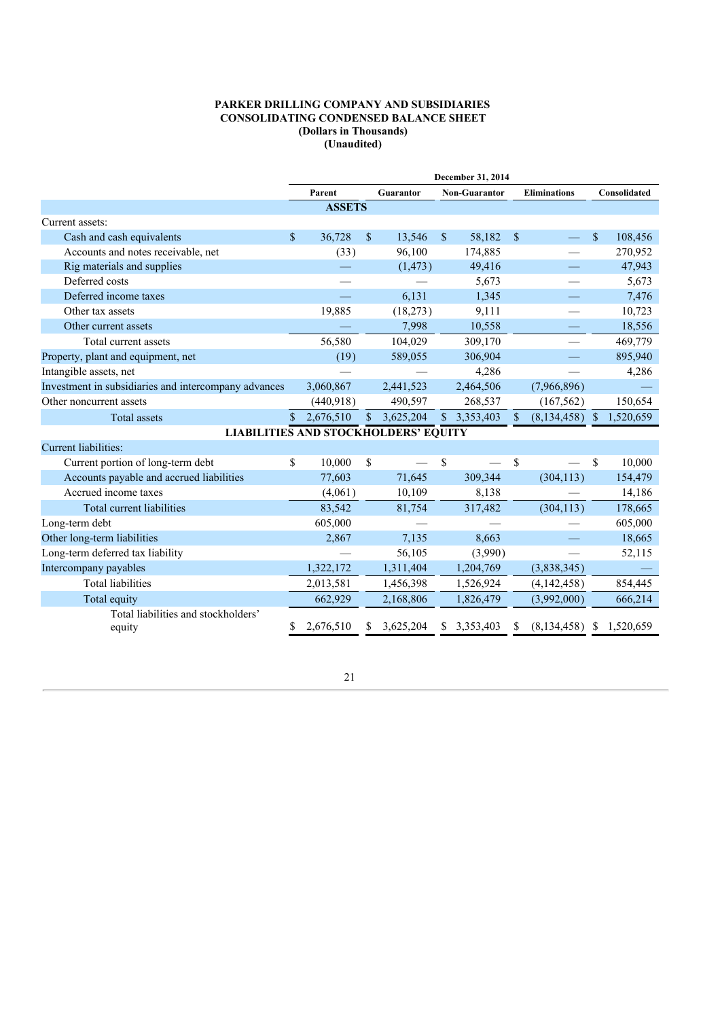# **PARKER DRILLING COMPANY AND SUBSIDIARIES CONSOLIDATING CONDENSED BALANCE SHEET (Dollars in Thousands) (Unaudited)**

|                                                      | December 31, 2014 |               |               |           |              |               |                     |               |                    |              |
|------------------------------------------------------|-------------------|---------------|---------------|-----------|--------------|---------------|---------------------|---------------|--------------------|--------------|
|                                                      |                   | Parent        |               | Guarantor |              | Non-Guarantor | <b>Eliminations</b> |               |                    | Consolidated |
|                                                      |                   | <b>ASSETS</b> |               |           |              |               |                     |               |                    |              |
| Current assets:                                      |                   |               |               |           |              |               |                     |               |                    |              |
| Cash and cash equivalents                            | $\mathcal{S}$     | 36,728        | $\mathbb{S}$  | 13,546    | $\mathbb{S}$ | 58,182        | <sup>\$</sup>       |               | $\mathbf{\hat{s}}$ | 108,456      |
| Accounts and notes receivable, net                   |                   | (33)          |               | 96,100    |              | 174,885       |                     |               |                    | 270,952      |
| Rig materials and supplies                           |                   |               |               | (1, 473)  |              | 49,416        |                     |               |                    | 47,943       |
| Deferred costs                                       |                   |               |               |           |              | 5,673         |                     |               |                    | 5,673        |
| Deferred income taxes                                |                   |               |               | 6,131     |              | 1,345         |                     |               |                    | 7,476        |
| Other tax assets                                     |                   | 19,885        |               | (18,273)  |              | 9,111         |                     |               |                    | 10,723       |
| Other current assets                                 |                   |               |               | 7,998     |              | 10,558        |                     |               |                    | 18,556       |
| Total current assets                                 |                   | 56,580        |               | 104,029   |              | 309,170       |                     |               |                    | 469,779      |
| Property, plant and equipment, net                   |                   | (19)          |               | 589,055   |              | 306,904       |                     |               |                    | 895,940      |
| Intangible assets, net                               |                   |               |               |           |              | 4,286         |                     |               |                    | 4,286        |
| Investment in subsidiaries and intercompany advances |                   | 3,060,867     |               | 2,441,523 |              | 2,464,506     |                     | (7,966,896)   |                    |              |
| Other noncurrent assets                              |                   | (440,918)     |               | 490,597   |              | 268,537       |                     | (167, 562)    |                    | 150,654      |
| Total assets                                         | $\mathcal{S}$     | 2,676,510     | $\mathcal{S}$ | 3,625,204 |              | \$3,353,403   | $\mathbb{S}$        | (8, 134, 458) | <b>S</b>           | 1,520,659    |
| <b>LIABILITIES AND STOCKHOLDERS' EQUITY</b>          |                   |               |               |           |              |               |                     |               |                    |              |
| <b>Current liabilities:</b>                          |                   |               |               |           |              |               |                     |               |                    |              |
| Current portion of long-term debt                    | \$                | 10,000        | \$            |           | \$           |               | <sup>\$</sup>       |               | $\mathbb{S}$       | 10,000       |
| Accounts payable and accrued liabilities             |                   | 77,603        |               | 71,645    |              | 309,344       |                     | (304, 113)    |                    | 154,479      |
| Accrued income taxes                                 |                   | (4,061)       |               | 10,109    |              | 8,138         |                     |               |                    | 14,186       |
| Total current liabilities                            |                   | 83,542        |               | 81,754    |              | 317,482       |                     | (304, 113)    |                    | 178,665      |
| Long-term debt                                       |                   | 605,000       |               |           |              |               |                     |               |                    | 605,000      |
| Other long-term liabilities                          |                   | 2,867         |               | 7,135     |              | 8,663         |                     |               |                    | 18,665       |
| Long-term deferred tax liability                     |                   |               |               | 56,105    |              | (3,990)       |                     |               |                    | 52,115       |
| Intercompany payables                                |                   | 1,322,172     |               | 1,311,404 |              | 1,204,769     |                     | (3,838,345)   |                    |              |
| <b>Total liabilities</b>                             |                   | 2,013,581     |               | 1,456,398 |              | 1,526,924     |                     | (4,142,458)   |                    | 854,445      |
| Total equity                                         |                   | 662,929       |               | 2,168,806 |              | 1,826,479     |                     | (3,992,000)   |                    | 666,214      |
| Total liabilities and stockholders'<br>equity        | \$                | 2,676,510     |               | 3,625,204 |              | \$3,353,403   |                     | (8, 134, 458) | S                  | 1,520,659    |
|                                                      |                   |               |               |           |              |               |                     |               |                    |              |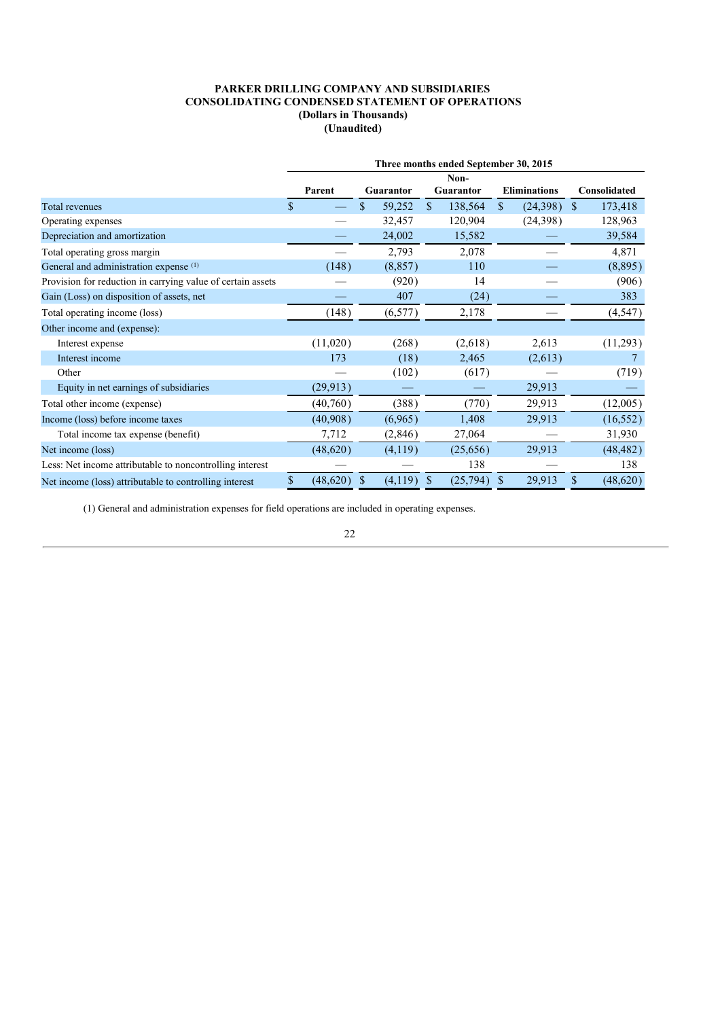|                                                             | Three months ended September 30, 2015 |           |               |           |    |           |              |                     |              |                     |  |  |  |
|-------------------------------------------------------------|---------------------------------------|-----------|---------------|-----------|----|-----------|--------------|---------------------|--------------|---------------------|--|--|--|
|                                                             |                                       |           |               |           |    | Non-      |              |                     |              |                     |  |  |  |
|                                                             |                                       | Parent    |               | Guarantor |    | Guarantor |              | <b>Eliminations</b> |              | <b>Consolidated</b> |  |  |  |
| Total revenues                                              | S                                     |           |               | 59,252    | S. | 138,564   | S.           | (24,398)            | <sup>S</sup> | 173,418             |  |  |  |
| Operating expenses                                          |                                       |           |               | 32,457    |    | 120,904   |              | (24, 398)           |              | 128,963             |  |  |  |
| Depreciation and amortization                               |                                       |           |               | 24,002    |    | 15,582    |              |                     |              | 39,584              |  |  |  |
| Total operating gross margin                                |                                       |           |               | 2,793     |    | 2,078     |              |                     |              | 4,871               |  |  |  |
| General and administration expense (1)                      |                                       | (148)     |               | (8, 857)  |    | 110       |              |                     |              | (8,895)             |  |  |  |
| Provision for reduction in carrying value of certain assets |                                       |           |               | (920)     |    | 14        |              |                     |              | (906)               |  |  |  |
| Gain (Loss) on disposition of assets, net                   |                                       |           |               | 407       |    | (24)      |              |                     |              | 383                 |  |  |  |
| Total operating income (loss)                               |                                       | (148)     |               | (6, 577)  |    | 2,178     |              |                     |              | (4, 547)            |  |  |  |
| Other income and (expense):                                 |                                       |           |               |           |    |           |              |                     |              |                     |  |  |  |
| Interest expense                                            |                                       | (11,020)  |               | (268)     |    | (2,618)   |              | 2,613               |              | (11,293)            |  |  |  |
| Interest income                                             |                                       | 173       |               | (18)      |    | 2,465     |              | (2,613)             |              |                     |  |  |  |
| Other                                                       |                                       |           |               | (102)     |    | (617)     |              |                     |              | (719)               |  |  |  |
| Equity in net earnings of subsidiaries                      |                                       | (29, 913) |               |           |    |           |              | 29,913              |              |                     |  |  |  |
| Total other income (expense)                                |                                       | (40,760)  |               | (388)     |    | (770)     |              | 29,913              |              | (12,005)            |  |  |  |
| Income (loss) before income taxes                           |                                       | (40,908)  |               | (6,965)   |    | 1,408     |              | 29,913              |              | (16, 552)           |  |  |  |
| Total income tax expense (benefit)                          |                                       | 7,712     |               | (2, 846)  |    | 27,064    |              |                     |              | 31,930              |  |  |  |
| Net income (loss)                                           |                                       | (48, 620) |               | (4,119)   |    | (25,656)  |              | 29,913              |              | (48, 482)           |  |  |  |
| Less: Net income attributable to noncontrolling interest    |                                       |           |               |           |    | 138       |              |                     |              | 138                 |  |  |  |
| Net income (loss) attributable to controlling interest      | \$                                    | (48,620)  | <sup>\$</sup> | (4, 119)  | \$ | (25, 794) | <sup>S</sup> | 29,913              | \$           | (48, 620)           |  |  |  |

(1) General and administration expenses for field operations are included in operating expenses.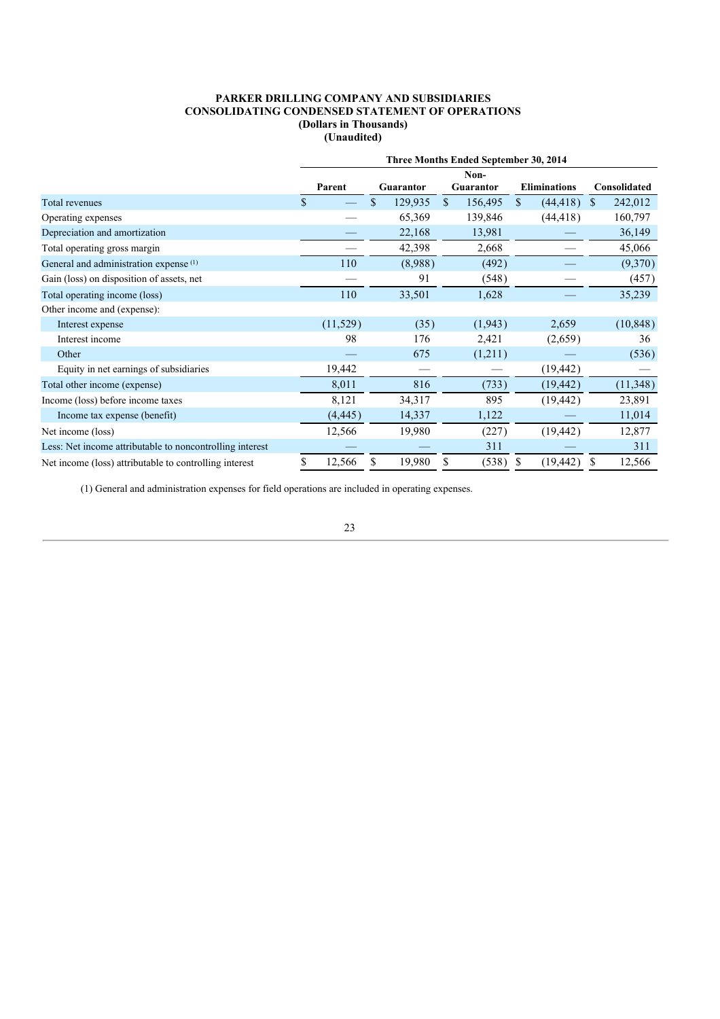|                                                          | Three Months Ended September 30, 2014 |           |    |                  |    |                   |               |                     |               |              |  |
|----------------------------------------------------------|---------------------------------------|-----------|----|------------------|----|-------------------|---------------|---------------------|---------------|--------------|--|
|                                                          |                                       | Parent    |    | <b>Guarantor</b> |    | Non-<br>Guarantor |               | <b>Eliminations</b> |               | Consolidated |  |
|                                                          |                                       |           |    |                  |    |                   |               |                     |               |              |  |
| Total revenues                                           | \$                                    |           | \$ | 129,935          | \$ | 156,495           | <sup>\$</sup> | (44, 418)           | <sup>\$</sup> | 242,012      |  |
| Operating expenses                                       |                                       |           |    | 65,369           |    | 139,846           |               | (44, 418)           |               | 160,797      |  |
| Depreciation and amortization                            |                                       |           |    | 22,168           |    | 13,981            |               |                     |               | 36,149       |  |
| Total operating gross margin                             |                                       |           |    | 42,398           |    | 2,668             |               |                     |               | 45,066       |  |
| General and administration expense (1)                   |                                       | 110       |    | (8,988)          |    | (492)             |               |                     |               | (9,370)      |  |
| Gain (loss) on disposition of assets, net                |                                       |           |    | 91               |    | (548)             |               |                     |               | (457)        |  |
| Total operating income (loss)                            |                                       | 110       |    | 33,501           |    | 1,628             |               |                     |               | 35,239       |  |
| Other income and (expense):                              |                                       |           |    |                  |    |                   |               |                     |               |              |  |
| Interest expense                                         |                                       | (11, 529) |    | (35)             |    | (1,943)           |               | 2,659               |               | (10, 848)    |  |
| Interest income                                          |                                       | 98        |    | 176              |    | 2,421             |               | (2,659)             |               | 36           |  |
| Other                                                    |                                       |           |    | 675              |    | (1,211)           |               |                     |               | (536)        |  |
| Equity in net earnings of subsidiaries                   |                                       | 19,442    |    |                  |    |                   |               | (19, 442)           |               |              |  |
| Total other income (expense)                             |                                       | 8,011     |    | 816              |    | (733)             |               | (19, 442)           |               | (11, 348)    |  |
| Income (loss) before income taxes                        |                                       | 8,121     |    | 34,317           |    | 895               |               | (19, 442)           |               | 23,891       |  |
| Income tax expense (benefit)                             |                                       | (4, 445)  |    | 14,337           |    | 1,122             |               |                     |               | 11,014       |  |
| Net income (loss)                                        |                                       | 12,566    |    | 19,980           |    | (227)             |               | (19, 442)           |               | 12,877       |  |
| Less: Net income attributable to noncontrolling interest |                                       |           |    |                  |    | 311               |               |                     |               | 311          |  |
| Net income (loss) attributable to controlling interest   | \$                                    | 12,566    | \$ | 19,980           | \$ | (538)             | \$            | (19, 442)           | \$            | 12,566       |  |

(1) General and administration expenses for field operations are included in operating expenses.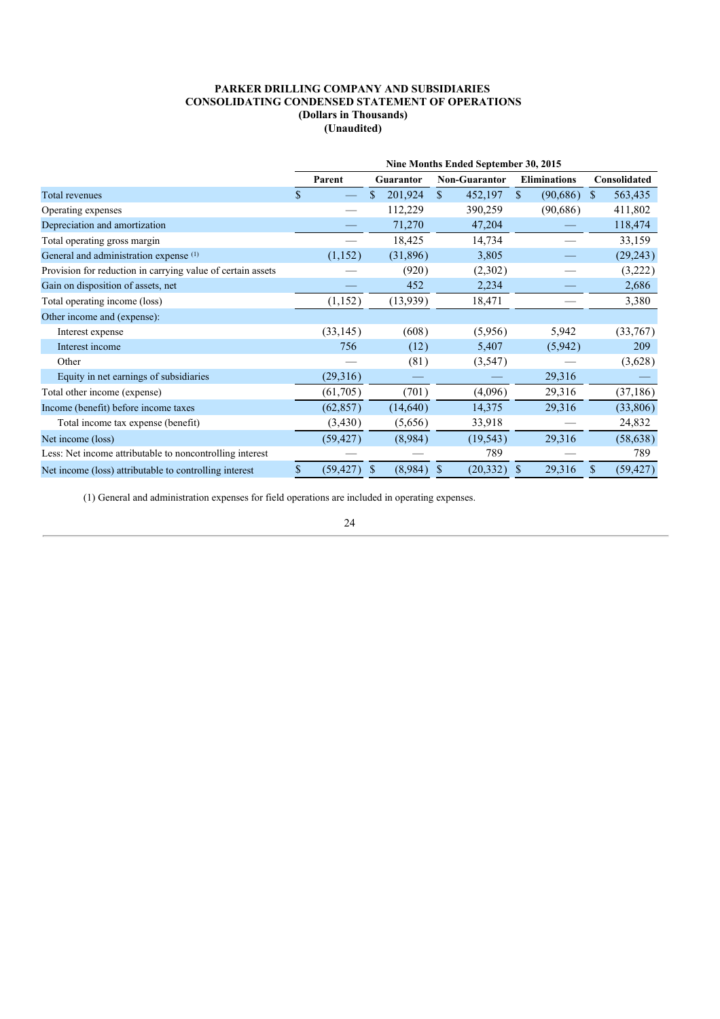|                                                             |    |           |    |                  |     | Nine Months Ended September 30, 2015 |               |                     |              |              |
|-------------------------------------------------------------|----|-----------|----|------------------|-----|--------------------------------------|---------------|---------------------|--------------|--------------|
|                                                             |    | Parent    |    | <b>Guarantor</b> |     | Non-Guarantor                        |               | <b>Eliminations</b> |              | Consolidated |
| Total revenues                                              | S  |           | \$ | 201,924          | \$. | 452,197                              | \$            | (90,686)            | <sup>S</sup> | 563,435      |
| Operating expenses                                          |    |           |    | 112,229          |     | 390,259                              |               | (90, 686)           |              | 411,802      |
| Depreciation and amortization                               |    |           |    | 71,270           |     | 47,204                               |               |                     |              | 118,474      |
| Total operating gross margin                                |    |           |    | 18,425           |     | 14,734                               |               |                     |              | 33,159       |
| General and administration expense (1)                      |    | (1,152)   |    | (31,896)         |     | 3,805                                |               |                     |              | (29, 243)    |
| Provision for reduction in carrying value of certain assets |    |           |    | (920)            |     | (2,302)                              |               |                     |              | (3,222)      |
| Gain on disposition of assets, net                          |    |           |    | 452              |     | 2,234                                |               |                     |              | 2,686        |
| Total operating income (loss)                               |    | (1,152)   |    | (13,939)         |     | 18,471                               |               |                     |              | 3,380        |
| Other income and (expense):                                 |    |           |    |                  |     |                                      |               |                     |              |              |
| Interest expense                                            |    | (33, 145) |    | (608)            |     | (5,956)                              |               | 5,942               |              | (33,767)     |
| Interest income                                             |    | 756       |    | (12)             |     | 5,407                                |               | (5,942)             |              | 209          |
| Other                                                       |    |           |    | (81)             |     | (3, 547)                             |               |                     |              | (3,628)      |
| Equity in net earnings of subsidiaries                      |    | (29,316)  |    |                  |     |                                      |               | 29,316              |              |              |
| Total other income (expense)                                |    | (61,705)  |    | (701)            |     | (4,096)                              |               | 29,316              |              | (37, 186)    |
| Income (benefit) before income taxes                        |    | (62, 857) |    | (14, 640)        |     | 14,375                               |               | 29,316              |              | (33,806)     |
| Total income tax expense (benefit)                          |    | (3, 430)  |    | (5,656)          |     | 33,918                               |               |                     |              | 24,832       |
| Net income (loss)                                           |    | (59, 427) |    | (8,984)          |     | (19, 543)                            |               | 29,316              |              | (58, 638)    |
| Less: Net income attributable to noncontrolling interest    |    |           |    |                  |     | 789                                  |               |                     |              | 789          |
| Net income (loss) attributable to controlling interest      | \$ | (59, 427) | S  | (8,984)          | S   | (20, 332)                            | <sup>\$</sup> | 29,316              |              | (59, 427)    |

(1) General and administration expenses for field operations are included in operating expenses.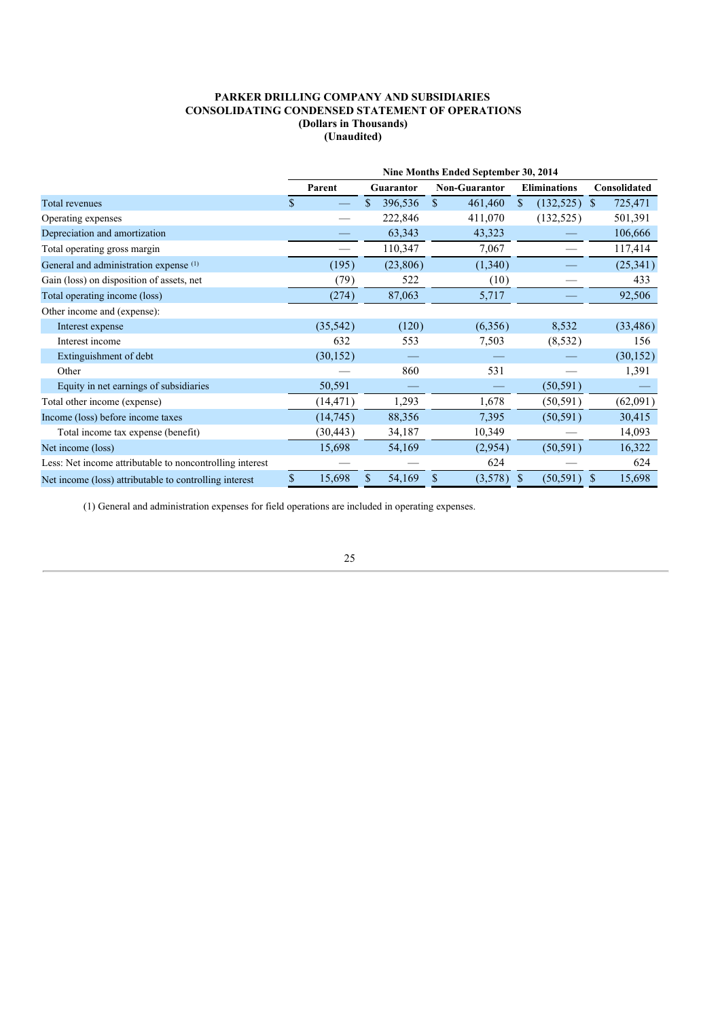|                                                          |              |           |              |              | Nine Months Ended September 30, 2014 |               |                     |               |              |
|----------------------------------------------------------|--------------|-----------|--------------|--------------|--------------------------------------|---------------|---------------------|---------------|--------------|
|                                                          |              | Parent    | Guarantor    |              | <b>Non-Guarantor</b>                 |               | <b>Eliminations</b> |               | Consolidated |
| Total revenues                                           | $\mathbb{S}$ |           | 396,536      | $\mathbb{S}$ | 461,460                              | \$            | (132, 525)          | <sup>\$</sup> | 725,471      |
| Operating expenses                                       |              |           | 222,846      |              | 411,070                              |               | (132, 525)          |               | 501,391      |
| Depreciation and amortization                            |              |           | 63,343       |              | 43,323                               |               |                     |               | 106,666      |
| Total operating gross margin                             |              |           | 110,347      |              | 7,067                                |               |                     |               | 117,414      |
| General and administration expense (1)                   |              | (195)     | (23,806)     |              | (1,340)                              |               |                     |               | (25, 341)    |
| Gain (loss) on disposition of assets, net                |              | (79)      | 522          |              | (10)                                 |               |                     |               | 433          |
| Total operating income (loss)                            |              | (274)     | 87,063       |              | 5,717                                |               |                     |               | 92,506       |
| Other income and (expense):                              |              |           |              |              |                                      |               |                     |               |              |
| Interest expense                                         |              | (35, 542) | (120)        |              | (6,356)                              |               | 8,532               |               | (33, 486)    |
| Interest income                                          |              | 632       | 553          |              | 7,503                                |               | (8, 532)            |               | 156          |
| Extinguishment of debt                                   |              | (30, 152) |              |              |                                      |               |                     |               | (30, 152)    |
| Other                                                    |              |           | 860          |              | 531                                  |               |                     |               | 1,391        |
| Equity in net earnings of subsidiaries                   |              | 50,591    |              |              |                                      |               | (50, 591)           |               |              |
| Total other income (expense)                             |              | (14, 471) | 1,293        |              | 1,678                                |               | (50, 591)           |               | (62,091)     |
| Income (loss) before income taxes                        |              | (14, 745) | 88,356       |              | 7,395                                |               | (50, 591)           |               | 30,415       |
| Total income tax expense (benefit)                       |              | (30, 443) | 34,187       |              | 10,349                               |               |                     |               | 14,093       |
| Net income (loss)                                        |              | 15,698    | 54,169       |              | (2,954)                              |               | (50, 591)           |               | 16,322       |
| Less: Net income attributable to noncontrolling interest |              |           |              |              | 624                                  |               |                     |               | 624          |
| Net income (loss) attributable to controlling interest   | \$           | 15,698    | \$<br>54,169 | \$           | (3,578)                              | <sup>\$</sup> | (50, 591)           | \$            | 15,698       |

(1) General and administration expenses for field operations are included in operating expenses.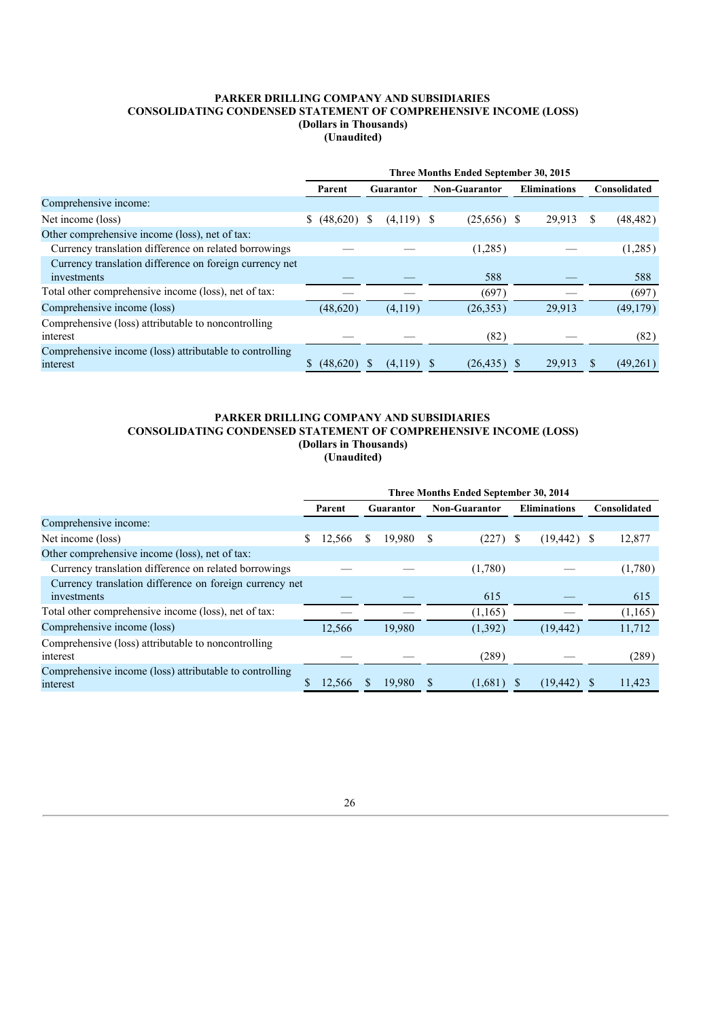|                                                                        |                     |                  | Three Months Ended September 30, 2015 |               |                     |                |
|------------------------------------------------------------------------|---------------------|------------------|---------------------------------------|---------------|---------------------|----------------|
|                                                                        | Parent              | <b>Guarantor</b> | <b>Non-Guarantor</b>                  |               | <b>Eliminations</b> | Consolidated   |
| Comprehensive income:                                                  |                     |                  |                                       |               |                     |                |
| Net income (loss)                                                      | $(48,620)$ \$<br>S. | $(4,119)$ \$     |                                       | $(25,656)$ \$ | 29,913              | (48, 482)      |
| Other comprehensive income (loss), net of tax:                         |                     |                  |                                       |               |                     |                |
| Currency translation difference on related borrowings                  |                     |                  | (1,285)                               |               |                     | (1,285)        |
| Currency translation difference on foreign currency net<br>investments |                     |                  |                                       | 588           |                     | 588            |
| Total other comprehensive income (loss), net of tax:                   |                     |                  |                                       | (697)         |                     | (697)          |
| Comprehensive income (loss)                                            | (48,620)            | (4,119)          | (26,353)                              |               | 29,913              | (49,179)       |
| Comprehensive (loss) attributable to noncontrolling<br>interest        |                     |                  |                                       | (82)          |                     | (82)           |
| Comprehensive income (loss) attributable to controlling<br>interest    | (48.620)<br>S       | (4,119)          | (26, 435)                             |               | 29.913              | (49,261)<br>-S |

## **PARKER DRILLING COMPANY AND SUBSIDIARIES CONSOLIDATING CONDENSED STATEMENT OF COMPREHENSIVE INCOME (LOSS) (Dollars in Thousands) (Unaudited)**

|                                                                     | Three Months Ended September 30, 2014 |        |   |                  |   |                      |   |                     |  |              |
|---------------------------------------------------------------------|---------------------------------------|--------|---|------------------|---|----------------------|---|---------------------|--|--------------|
|                                                                     |                                       | Parent |   | <b>Guarantor</b> |   | <b>Non-Guarantor</b> |   | <b>Eliminations</b> |  | Consolidated |
| Comprehensive income:                                               |                                       |        |   |                  |   |                      |   |                     |  |              |
| Net income (loss)                                                   | S                                     | 12,566 | S | 19,980           | S | (227)                | S | $(19, 442)$ \$      |  | 12,877       |
| Other comprehensive income (loss), net of tax:                      |                                       |        |   |                  |   |                      |   |                     |  |              |
| Currency translation difference on related borrowings               |                                       |        |   |                  |   | (1,780)              |   |                     |  | (1,780)      |
| Currency translation difference on foreign currency net             |                                       |        |   |                  |   |                      |   |                     |  |              |
| investments                                                         |                                       |        |   |                  |   | 615                  |   |                     |  | 615          |
| Total other comprehensive income (loss), net of tax:                |                                       |        |   |                  |   | (1,165)              |   |                     |  | (1,165)      |
| Comprehensive income (loss)                                         |                                       | 12,566 |   | 19,980           |   | (1, 392)             |   | (19, 442)           |  | 11,712       |
| Comprehensive (loss) attributable to noncontrolling<br>interest     |                                       |        |   |                  |   | (289)                |   |                     |  | (289)        |
| Comprehensive income (loss) attributable to controlling<br>interest |                                       | 12.566 |   | 19.980           |   | $(1,681)$ \$         |   | $(19, 442)$ \$      |  | 11,423       |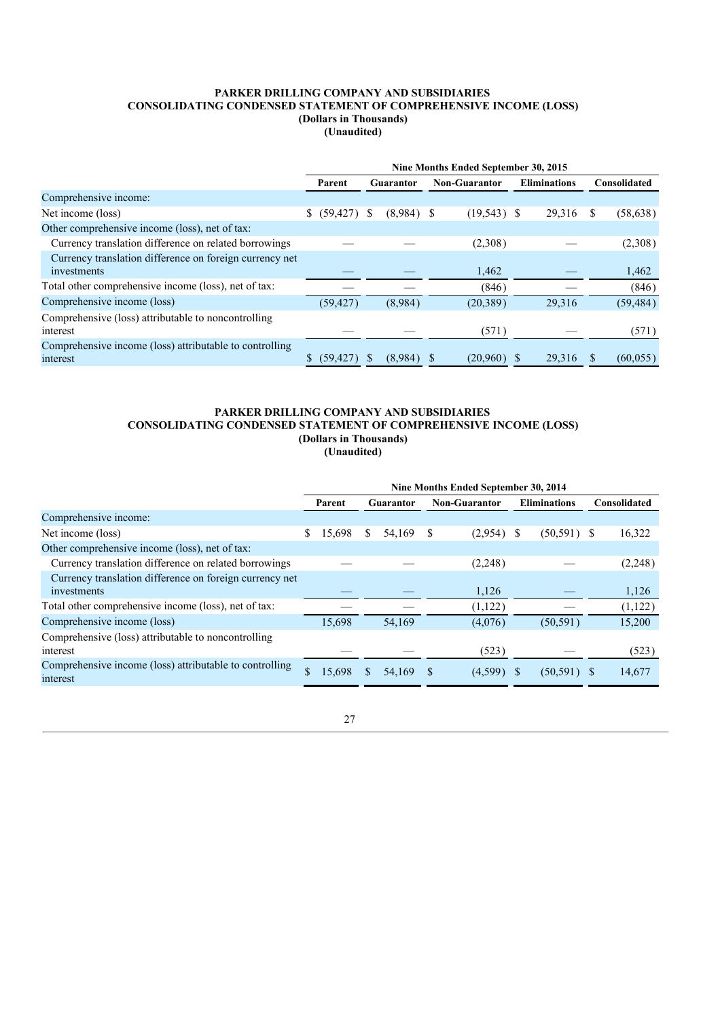|                                                                     | Nine Months Ended September 30, 2015 |              |                      |                     |              |  |  |  |
|---------------------------------------------------------------------|--------------------------------------|--------------|----------------------|---------------------|--------------|--|--|--|
|                                                                     | Parent                               | Guarantor    | <b>Non-Guarantor</b> | <b>Eliminations</b> | Consolidated |  |  |  |
| Comprehensive income:                                               |                                      |              |                      |                     |              |  |  |  |
| Net income (loss)                                                   | \$(59, 427)                          | $(8,984)$ \$ | $(19,543)$ \$        | 29,316              | (58, 638)    |  |  |  |
| Other comprehensive income (loss), net of tax:                      |                                      |              |                      |                     |              |  |  |  |
| Currency translation difference on related borrowings               |                                      |              | (2,308)              |                     | (2,308)      |  |  |  |
| Currency translation difference on foreign currency net             |                                      |              |                      |                     |              |  |  |  |
| investments                                                         |                                      |              | 1,462                |                     | 1,462        |  |  |  |
| Total other comprehensive income (loss), net of tax:                |                                      |              | (846)                |                     | (846)        |  |  |  |
| Comprehensive income (loss)                                         | (59, 427)                            | (8,984)      | (20, 389)            | 29,316              | (59, 484)    |  |  |  |
| Comprehensive (loss) attributable to noncontrolling<br>interest     |                                      |              | (571)                |                     | (571)        |  |  |  |
| Comprehensive income (loss) attributable to controlling<br>interest | (59, 427)                            | (8.984)      | (20.960)             | 29.316              | (60, 055)    |  |  |  |

# **PARKER DRILLING COMPANY AND SUBSIDIARIES CONSOLIDATING CONDENSED STATEMENT OF COMPREHENSIVE INCOME (LOSS) (Dollars in Thousands) (Unaudited)**

|                                                                     | Nine Months Ended September 30, 2014 |        |           |           |                      |              |                     |                |              |         |
|---------------------------------------------------------------------|--------------------------------------|--------|-----------|-----------|----------------------|--------------|---------------------|----------------|--------------|---------|
|                                                                     |                                      | Parent | Guarantor |           | <b>Non-Guarantor</b> |              | <b>Eliminations</b> |                | Consolidated |         |
| Comprehensive income:                                               |                                      |        |           |           |                      |              |                     |                |              |         |
| Net income (loss)                                                   | S.                                   | 15,698 | S         | 54,169    | S                    | $(2,954)$ \$ |                     | $(50,591)$ \$  |              | 16,322  |
| Other comprehensive income (loss), net of tax:                      |                                      |        |           |           |                      |              |                     |                |              |         |
| Currency translation difference on related borrowings               |                                      |        |           |           |                      | (2,248)      |                     |                |              | (2,248) |
| Currency translation difference on foreign currency net             |                                      |        |           |           |                      |              |                     |                |              |         |
| investments                                                         |                                      |        |           |           |                      | 1,126        |                     |                |              | 1,126   |
| Total other comprehensive income (loss), net of tax:                |                                      |        |           |           |                      | (1,122)      |                     |                |              | (1,122) |
| Comprehensive income (loss)                                         |                                      | 15,698 |           | 54,169    |                      | (4,076)      |                     | (50, 591)      |              | 15,200  |
| Comprehensive (loss) attributable to noncontrolling                 |                                      |        |           |           |                      |              |                     |                |              |         |
| interest                                                            |                                      |        |           |           |                      | (523)        |                     |                |              | (523)   |
| Comprehensive income (loss) attributable to controlling<br>interest | $\mathbf{\$}$                        | 15,698 | S.        | 54,169 \$ |                      | $(4,599)$ \$ |                     | $(50, 591)$ \$ |              | 14,677  |
|                                                                     |                                      |        |           |           |                      |              |                     |                |              |         |

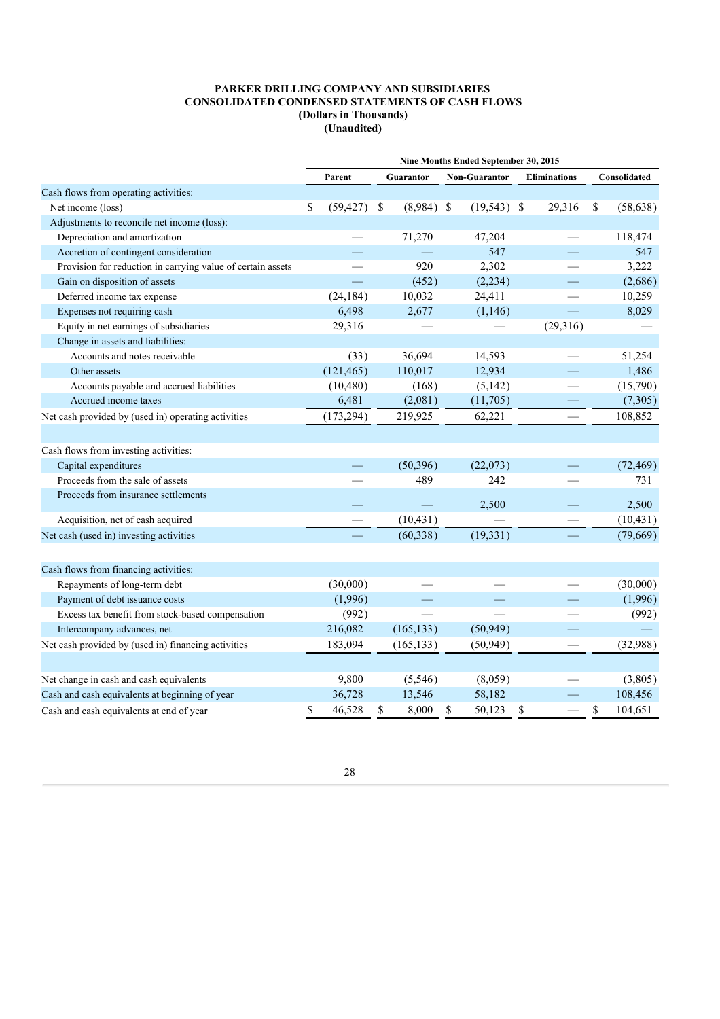|                                                             | Nine Months Ended September 30, 2015 |            |    |            |    |                      |    |                          |    |              |
|-------------------------------------------------------------|--------------------------------------|------------|----|------------|----|----------------------|----|--------------------------|----|--------------|
|                                                             |                                      | Parent     |    | Guarantor  |    | <b>Non-Guarantor</b> |    | <b>Eliminations</b>      |    | Consolidated |
| Cash flows from operating activities:                       |                                      |            |    |            |    |                      |    |                          |    |              |
| Net income (loss)                                           | \$                                   | (59, 427)  | \$ | (8,984)    | \$ | $(19,543)$ \$        |    | 29,316                   | \$ | (58, 638)    |
| Adjustments to reconcile net income (loss):                 |                                      |            |    |            |    |                      |    |                          |    |              |
| Depreciation and amortization                               |                                      |            |    | 71,270     |    | 47,204               |    |                          |    | 118,474      |
| Accretion of contingent consideration                       |                                      |            |    |            |    | 547                  |    |                          |    | 547          |
| Provision for reduction in carrying value of certain assets |                                      |            |    | 920        |    | 2,302                |    |                          |    | 3,222        |
| Gain on disposition of assets                               |                                      |            |    | (452)      |    | (2,234)              |    |                          |    | (2,686)      |
| Deferred income tax expense                                 |                                      | (24, 184)  |    | 10,032     |    | 24,411               |    |                          |    | 10,259       |
| Expenses not requiring cash                                 |                                      | 6,498      |    | 2,677      |    | (1,146)              |    | $\equiv$                 |    | 8,029        |
| Equity in net earnings of subsidiaries                      |                                      | 29,316     |    |            |    |                      |    | (29,316)                 |    |              |
| Change in assets and liabilities:                           |                                      |            |    |            |    |                      |    |                          |    |              |
| Accounts and notes receivable                               |                                      | (33)       |    | 36,694     |    | 14,593               |    |                          |    | 51,254       |
| Other assets                                                |                                      | (121, 465) |    | 110,017    |    | 12,934               |    |                          |    | 1,486        |
| Accounts payable and accrued liabilities                    |                                      | (10, 480)  |    | (168)      |    | (5,142)              |    |                          |    | (15,790)     |
| Accrued income taxes                                        |                                      | 6,481      |    | (2,081)    |    | (11,705)             |    |                          |    | (7, 305)     |
| Net cash provided by (used in) operating activities         |                                      | (173, 294) |    | 219,925    |    | 62,221               |    |                          |    | 108,852      |
|                                                             |                                      |            |    |            |    |                      |    |                          |    |              |
| Cash flows from investing activities:                       |                                      |            |    |            |    |                      |    |                          |    |              |
| Capital expenditures                                        |                                      |            |    | (50, 396)  |    | (22,073)             |    |                          |    | (72, 469)    |
| Proceeds from the sale of assets                            |                                      |            |    | 489        |    | 242                  |    |                          |    | 731          |
| Proceeds from insurance settlements                         |                                      |            |    |            |    | 2,500                |    |                          |    | 2,500        |
| Acquisition, net of cash acquired                           |                                      |            |    | (10, 431)  |    |                      |    |                          |    | (10, 431)    |
| Net cash (used in) investing activities                     |                                      |            |    | (60, 338)  |    | (19, 331)            |    |                          |    | (79,669)     |
|                                                             |                                      |            |    |            |    |                      |    |                          |    |              |
| Cash flows from financing activities:                       |                                      |            |    |            |    |                      |    |                          |    |              |
| Repayments of long-term debt                                |                                      | (30,000)   |    |            |    |                      |    |                          |    | (30,000)     |
| Payment of debt issuance costs                              |                                      | (1,996)    |    |            |    |                      |    |                          |    | (1,996)      |
| Excess tax benefit from stock-based compensation            |                                      | (992)      |    |            |    |                      |    |                          |    | (992)        |
| Intercompany advances, net                                  |                                      | 216,082    |    | (165, 133) |    | (50, 949)            |    |                          |    |              |
| Net cash provided by (used in) financing activities         |                                      | 183,094    |    | (165, 133) |    | (50, 949)            |    |                          |    | (32,988)     |
|                                                             |                                      |            |    |            |    |                      |    |                          |    |              |
| Net change in cash and cash equivalents                     |                                      | 9,800      |    | (5, 546)   |    | (8,059)              |    |                          |    | (3,805)      |
| Cash and cash equivalents at beginning of year              |                                      | 36,728     |    | 13,546     |    | 58,182               |    |                          |    | 108,456      |
| Cash and cash equivalents at end of year                    | \$                                   | 46,528     | \$ | 8,000      | \$ | 50,123               | \$ | $\overline{\phantom{0}}$ | \$ | 104,651      |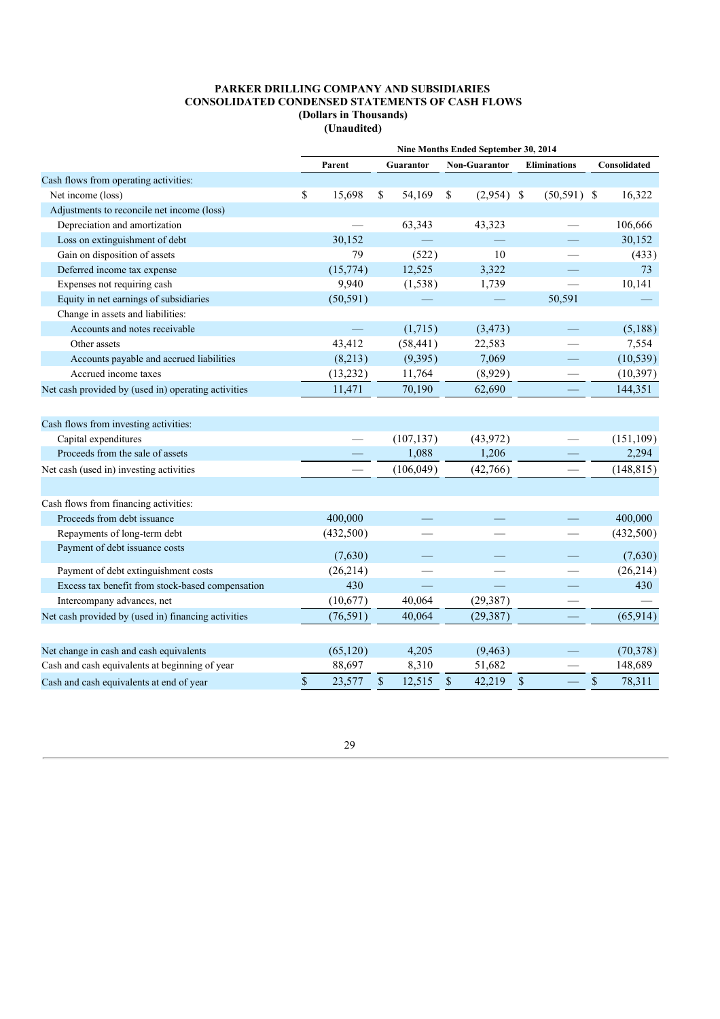| Nine Months Ended September 30, 2014                                                                                |              |
|---------------------------------------------------------------------------------------------------------------------|--------------|
| Parent<br>Guarantor<br>Non-Guarantor<br><b>Eliminations</b>                                                         | Consolidated |
| Cash flows from operating activities:                                                                               |              |
| \$<br>15,698<br>\$<br>54,169<br>\$<br>$(2,954)$ \$<br>$(50,591)$ \$<br>Net income (loss)                            | 16,322       |
| Adjustments to reconcile net income (loss)                                                                          |              |
| Depreciation and amortization<br>63,343<br>43,323                                                                   | 106,666      |
| Loss on extinguishment of debt<br>30.152                                                                            | 30,152       |
| (522)<br>10<br>Gain on disposition of assets<br>79                                                                  | (433)        |
| 12,525<br>3,322<br>Deferred income tax expense<br>(15,774)                                                          | 73           |
| Expenses not requiring cash<br>9,940<br>(1, 538)<br>1,739                                                           | 10,141       |
| Equity in net earnings of subsidiaries<br>50,591<br>(50, 591)                                                       |              |
| Change in assets and liabilities:                                                                                   |              |
| (1,715)<br>Accounts and notes receivable<br>(3, 473)                                                                | (5,188)      |
| 43,412<br>(58, 441)<br>22,583<br>Other assets                                                                       | 7,554        |
| (9,395)<br>7,069<br>Accounts payable and accrued liabilities<br>(8,213)                                             | (10, 539)    |
| Accrued income taxes<br>(13, 232)<br>11,764<br>(8,929)                                                              | (10, 397)    |
| 11,471<br>70,190<br>62,690<br>Net cash provided by (used in) operating activities                                   | 144,351      |
|                                                                                                                     |              |
| Cash flows from investing activities:                                                                               |              |
| Capital expenditures<br>(107, 137)<br>(43, 972)                                                                     | (151, 109)   |
| Proceeds from the sale of assets<br>1,088<br>1,206                                                                  | 2,294        |
| (106, 049)<br>Net cash (used in) investing activities<br>(42,766)                                                   | (148, 815)   |
|                                                                                                                     |              |
| Cash flows from financing activities:                                                                               |              |
| Proceeds from debt issuance<br>400,000                                                                              | 400,000      |
| Repayments of long-term debt<br>(432,500)                                                                           | (432,500)    |
| Payment of debt issuance costs                                                                                      |              |
| (7,630)                                                                                                             | (7,630)      |
| (26, 214)<br>Payment of debt extinguishment costs                                                                   | (26, 214)    |
| 430<br>Excess tax benefit from stock-based compensation                                                             | 430          |
| Intercompany advances, net<br>(10,677)<br>40,064<br>(29, 387)                                                       |              |
| Net cash provided by (used in) financing activities<br>(76, 591)<br>40,064<br>(29, 387)                             | (65, 914)    |
|                                                                                                                     |              |
| (65, 120)<br>4,205<br>(9, 463)<br>Net change in cash and cash equivalents                                           | (70, 378)    |
| 88,697<br>8,310<br>Cash and cash equivalents at beginning of year<br>51,682                                         | 148,689      |
| \$<br>$\mathsf{\$}$<br>\$<br>$\mathbb{S}$<br>23,577<br>12,515<br>42,219<br>Cash and cash equivalents at end of year | \$<br>78,311 |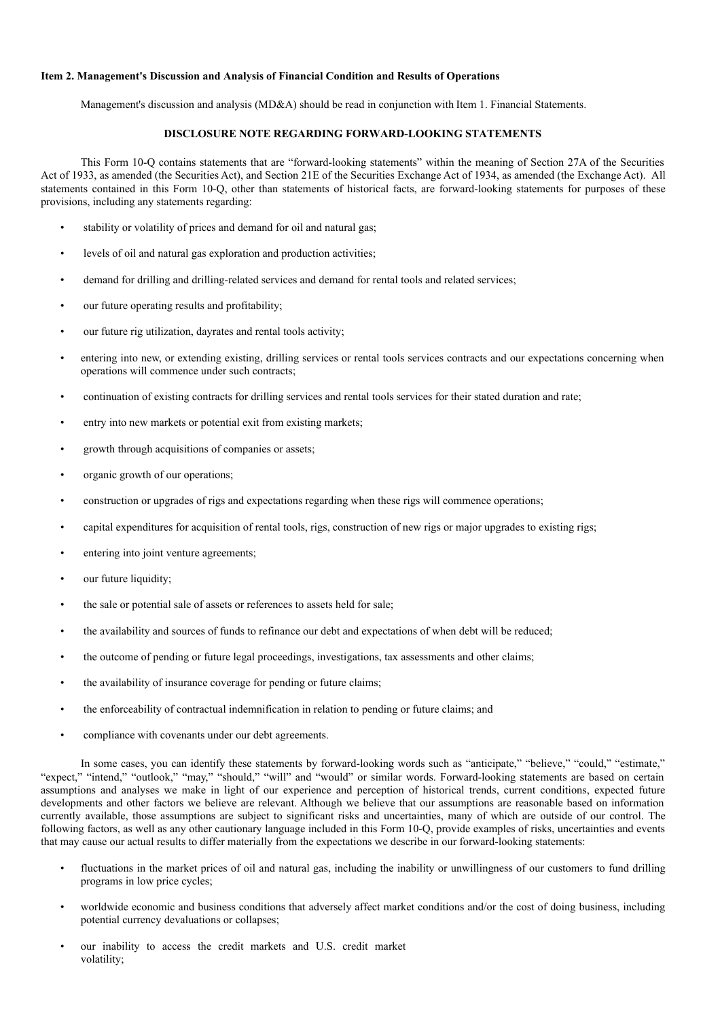## **Item 2. Management's Discussion and Analysis of Financial Condition and Results of Operations**

Management's discussion and analysis (MD&A) should be read in conjunction with Item 1. Financial Statements.

# **DISCLOSURE NOTE REGARDING FORWARD-LOOKING STATEMENTS**

This Form 10-Q contains statements that are "forward-looking statements" within the meaning of Section 27A of the Securities Act of 1933, as amended (the Securities Act), and Section 21E of the Securities Exchange Act of 1934, as amended (the Exchange Act). All statements contained in this Form 10-Q, other than statements of historical facts, are forward-looking statements for purposes of these provisions, including any statements regarding:

- stability or volatility of prices and demand for oil and natural gas;
- levels of oil and natural gas exploration and production activities;
- demand for drilling and drilling-related services and demand for rental tools and related services;
- our future operating results and profitability;
- our future rig utilization, dayrates and rental tools activity;
- entering into new, or extending existing, drilling services or rental tools services contracts and our expectations concerning when operations will commence under such contracts;
- continuation of existing contracts for drilling services and rental tools services for their stated duration and rate;
- entry into new markets or potential exit from existing markets;
- growth through acquisitions of companies or assets;
- organic growth of our operations;
- construction or upgrades of rigs and expectations regarding when these rigs will commence operations;
- capital expenditures for acquisition of rental tools, rigs, construction of new rigs or major upgrades to existing rigs;
- entering into joint venture agreements;
- our future liquidity;
- the sale or potential sale of assets or references to assets held for sale;
- the availability and sources of funds to refinance our debt and expectations of when debt will be reduced;
- the outcome of pending or future legal proceedings, investigations, tax assessments and other claims;
- the availability of insurance coverage for pending or future claims;
- the enforceability of contractual indemnification in relation to pending or future claims; and
- compliance with covenants under our debt agreements.

In some cases, you can identify these statements by forward-looking words such as "anticipate," "believe," "could," "estimate," "expect," "intend," "outlook," "may," "should," "will" and "would" or similar words. Forward-looking statements are based on certain assumptions and analyses we make in light of our experience and perception of historical trends, current conditions, expected future developments and other factors we believe are relevant. Although we believe that our assumptions are reasonable based on information currently available, those assumptions are subject to significant risks and uncertainties, many of which are outside of our control. The following factors, as well as any other cautionary language included in this Form 10-Q, provide examples of risks, uncertainties and events that may cause our actual results to differ materially from the expectations we describe in our forward-looking statements:

- fluctuations in the market prices of oil and natural gas, including the inability or unwillingness of our customers to fund drilling programs in low price cycles;
- worldwide economic and business conditions that adversely affect market conditions and/or the cost of doing business, including potential currency devaluations or collapses;
- our inability to access the credit markets and U.S. credit market volatility;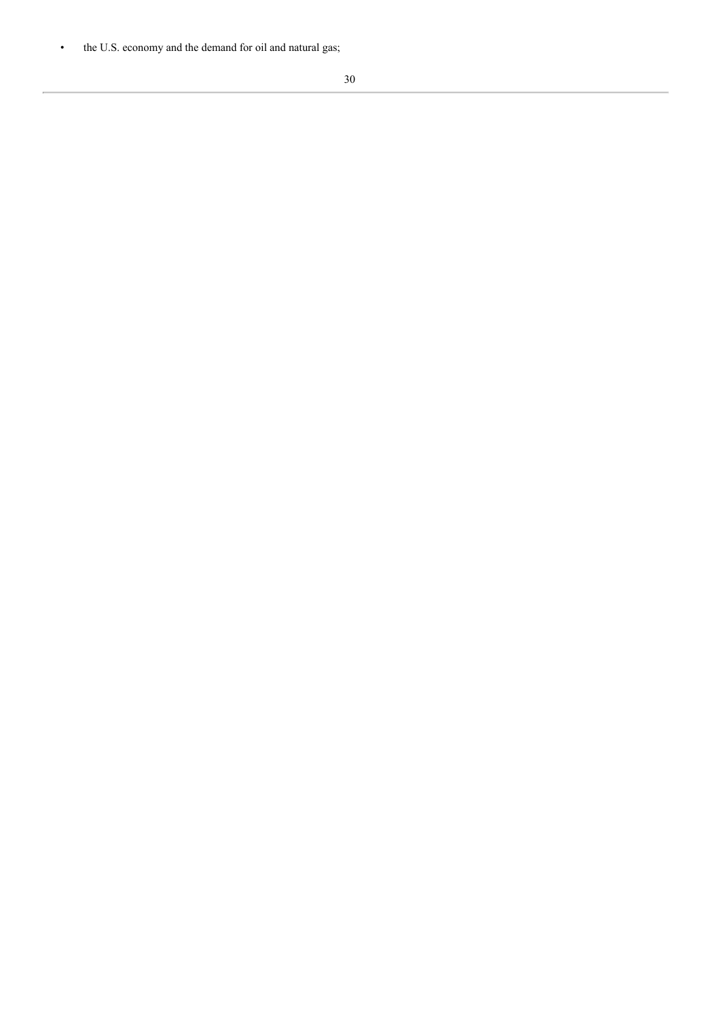• the U.S. economy and the demand for oil and natural gas;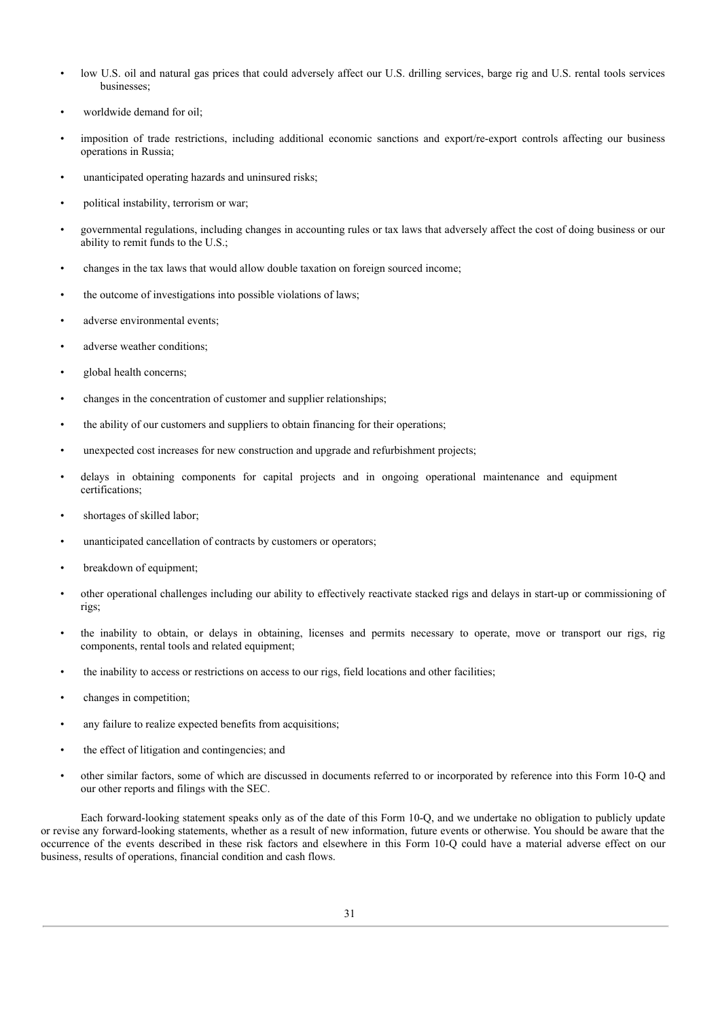- low U.S. oil and natural gas prices that could adversely affect our U.S. drilling services, barge rig and U.S. rental tools services businesses;
- worldwide demand for oil;
- imposition of trade restrictions, including additional economic sanctions and export/re-export controls affecting our business operations in Russia;
- unanticipated operating hazards and uninsured risks;
- political instability, terrorism or war;
- governmental regulations, including changes in accounting rules or tax laws that adversely affect the cost of doing business or our ability to remit funds to the U.S.;
- changes in the tax laws that would allow double taxation on foreign sourced income;
- the outcome of investigations into possible violations of laws;
- adverse environmental events:
- adverse weather conditions;
- global health concerns;
- changes in the concentration of customer and supplier relationships;
- the ability of our customers and suppliers to obtain financing for their operations;
- unexpected cost increases for new construction and upgrade and refurbishment projects;
- delays in obtaining components for capital projects and in ongoing operational maintenance and equipment certifications;
- shortages of skilled labor;
- unanticipated cancellation of contracts by customers or operators;
- breakdown of equipment;
- other operational challenges including our ability to effectively reactivate stacked rigs and delays in start-up or commissioning of rigs;
- the inability to obtain, or delays in obtaining, licenses and permits necessary to operate, move or transport our rigs, rig components, rental tools and related equipment;
- the inability to access or restrictions on access to our rigs, field locations and other facilities;
- changes in competition;
- any failure to realize expected benefits from acquisitions;
- the effect of litigation and contingencies; and
- other similar factors, some of which are discussed in documents referred to or incorporated by reference into this Form 10-Q and our other reports and filings with the SEC.

Each forward-looking statement speaks only as of the date of this Form 10-Q, and we undertake no obligation to publicly update or revise any forward-looking statements, whether as a result of new information, future events or otherwise. You should be aware that the occurrence of the events described in these risk factors and elsewhere in this Form 10-Q could have a material adverse effect on our business, results of operations, financial condition and cash flows.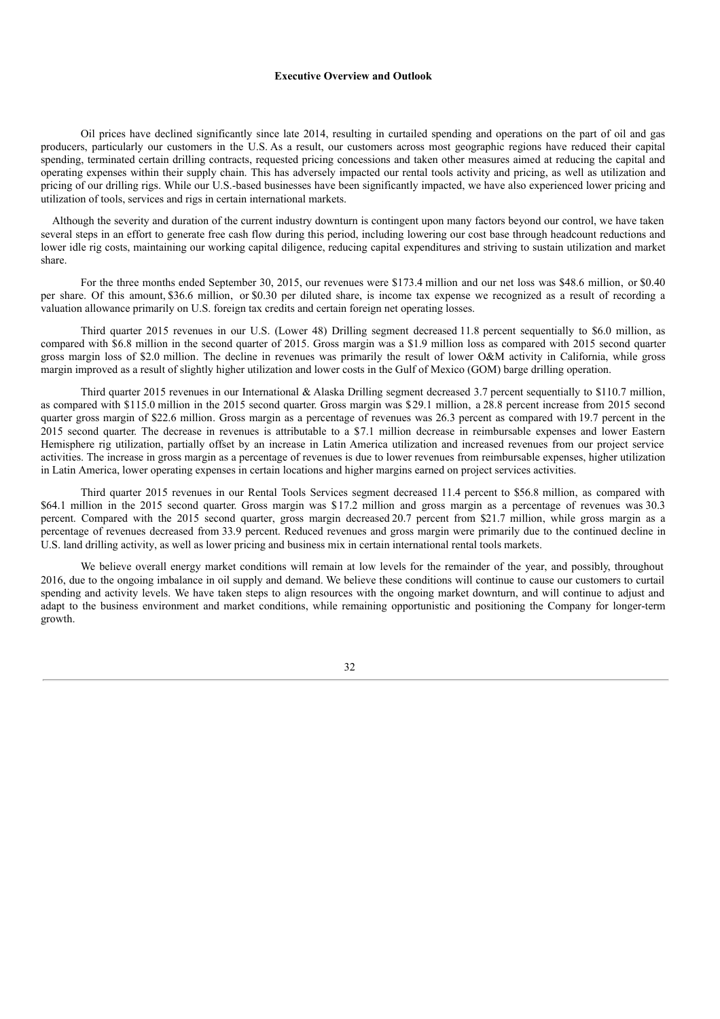## **Executive Overview and Outlook**

Oil prices have declined significantly since late 2014, resulting in curtailed spending and operations on the part of oil and gas producers, particularly our customers in the U.S. As a result, our customers across most geographic regions have reduced their capital spending, terminated certain drilling contracts, requested pricing concessions and taken other measures aimed at reducing the capital and operating expenses within their supply chain. This has adversely impacted our rental tools activity and pricing, as well as utilization and pricing of our drilling rigs. While our U.S.-based businesses have been significantly impacted, we have also experienced lower pricing and utilization of tools, services and rigs in certain international markets.

Although the severity and duration of the current industry downturn is contingent upon many factors beyond our control, we have taken several steps in an effort to generate free cash flow during this period, including lowering our cost base through headcount reductions and lower idle rig costs, maintaining our working capital diligence, reducing capital expenditures and striving to sustain utilization and market share.

For the three months ended September 30, 2015, our revenues were \$173.4 million and our net loss was \$48.6 million, or \$0.40 per share. Of this amount, \$36.6 million, or \$0.30 per diluted share, is income tax expense we recognized as a result of recording a valuation allowance primarily on U.S. foreign tax credits and certain foreign net operating losses.

Third quarter 2015 revenues in our U.S. (Lower 48) Drilling segment decreased 11.8 percent sequentially to \$6.0 million, as compared with \$6.8 million in the second quarter of 2015. Gross margin was a \$1.9 million loss as compared with 2015 second quarter gross margin loss of \$2.0 million. The decline in revenues was primarily the result of lower O&M activity in California, while gross margin improved as a result of slightly higher utilization and lower costs in the Gulf of Mexico (GOM) barge drilling operation.

Third quarter 2015 revenues in our International & Alaska Drilling segment decreased 3.7 percent sequentially to \$110.7 million, as compared with \$115.0 million in the 2015 second quarter. Gross margin was \$29.1 million, a 28.8 percent increase from 2015 second quarter gross margin of \$22.6 million. Gross margin as a percentage of revenues was 26.3 percent as compared with 19.7 percent in the 2015 second quarter. The decrease in revenues is attributable to a \$7.1 million decrease in reimbursable expenses and lower Eastern Hemisphere rig utilization, partially offset by an increase in Latin America utilization and increased revenues from our project service activities. The increase in gross margin as a percentage of revenues is due to lower revenues from reimbursable expenses, higher utilization in Latin America, lower operating expenses in certain locations and higher margins earned on project services activities.

Third quarter 2015 revenues in our Rental Tools Services segment decreased 11.4 percent to \$56.8 million, as compared with \$64.1 million in the 2015 second quarter. Gross margin was \$17.2 million and gross margin as a percentage of revenues was 30.3 percent. Compared with the 2015 second quarter, gross margin decreased 20.7 percent from \$21.7 million, while gross margin as a percentage of revenues decreased from 33.9 percent. Reduced revenues and gross margin were primarily due to the continued decline in U.S. land drilling activity, as well as lower pricing and business mix in certain international rental tools markets.

We believe overall energy market conditions will remain at low levels for the remainder of the year, and possibly, throughout 2016, due to the ongoing imbalance in oil supply and demand. We believe these conditions will continue to cause our customers to curtail spending and activity levels. We have taken steps to align resources with the ongoing market downturn, and will continue to adjust and adapt to the business environment and market conditions, while remaining opportunistic and positioning the Company for longer-term growth.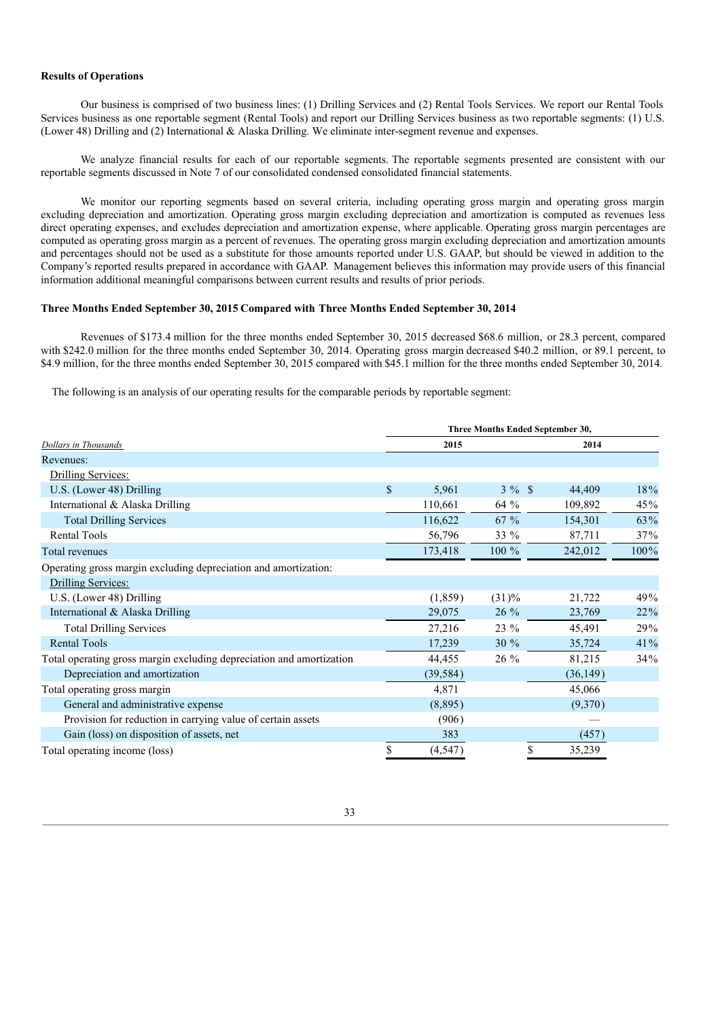# **Results of Operations**

Our business is comprised of two business lines: (1) Drilling Services and (2) Rental Tools Services. We report our Rental Tools Services business as one reportable segment (Rental Tools) and report our Drilling Services business as two reportable segments: (1) U.S. (Lower 48) Drilling and (2) International & Alaska Drilling. We eliminate inter-segment revenue and expenses.

We analyze financial results for each of our reportable segments. The reportable segments presented are consistent with our reportable segments discussed in Note 7 of our consolidated condensed consolidated financial statements.

We monitor our reporting segments based on several criteria, including operating gross margin and operating gross margin excluding depreciation and amortization. Operating gross margin excluding depreciation and amortization is computed as revenues less direct operating expenses, and excludes depreciation and amortization expense, where applicable. Operating gross margin percentages are computed as operating gross margin as a percent of revenues. The operating gross margin excluding depreciation and amortization amounts and percentages should not be used as a substitute for those amounts reported under U.S. GAAP, but should be viewed in addition to the Company's reported results prepared in accordance with GAAP. Management believes this information may provide users of this financial information additional meaningful comparisons between current results and results of prior periods.

### **Three Months Ended September 30, 2015 Compared with Three Months Ended September 30, 2014**

Revenues of \$173.4 million for the three months ended September 30, 2015 decreased \$68.6 million, or 28.3 percent, compared with \$242.0 million for the three months ended September 30, 2014. Operating gross margin decreased \$40.2 million, or 89.1 percent, to \$4.9 million, for the three months ended September 30, 2015 compared with \$45.1 million for the three months ended September 30, 2014.

The following is an analysis of our operating results for the comparable periods by reportable segment:

|                                                                      | Three Months Ended September 30, |           |          |    |           |      |  |
|----------------------------------------------------------------------|----------------------------------|-----------|----------|----|-----------|------|--|
| Dollars in Thousands                                                 |                                  | 2015      |          |    | 2014      |      |  |
| Revenues:                                                            |                                  |           |          |    |           |      |  |
| Drilling Services:                                                   |                                  |           |          |    |           |      |  |
| U.S. (Lower 48) Drilling                                             | $\mathbb{S}$                     | 5,961     | $3\%$ \$ |    | 44,409    | 18%  |  |
| International & Alaska Drilling                                      |                                  | 110,661   | 64 %     |    | 109,892   | 45%  |  |
| <b>Total Drilling Services</b>                                       |                                  | 116,622   | $67 \%$  |    | 154,301   | 63%  |  |
| <b>Rental Tools</b>                                                  |                                  | 56,796    | 33 $%$   |    | 87,711    | 37%  |  |
| Total revenues                                                       |                                  | 173,418   | $100\%$  |    | 242,012   | 100% |  |
| Operating gross margin excluding depreciation and amortization:      |                                  |           |          |    |           |      |  |
| Drilling Services:                                                   |                                  |           |          |    |           |      |  |
| U.S. (Lower 48) Drilling                                             |                                  | (1,859)   | $(31)\%$ |    | 21,722    | 49%  |  |
| International & Alaska Drilling                                      |                                  | 29,075    | $26\%$   |    | 23,769    | 22%  |  |
| <b>Total Drilling Services</b>                                       |                                  | 27,216    | 23 %     |    | 45,491    | 29%  |  |
| <b>Rental Tools</b>                                                  |                                  | 17,239    | $30\%$   |    | 35,724    | 41%  |  |
| Total operating gross margin excluding depreciation and amortization |                                  | 44,455    | 26 %     |    | 81,215    | 34%  |  |
| Depreciation and amortization                                        |                                  | (39, 584) |          |    | (36, 149) |      |  |
| Total operating gross margin                                         |                                  | 4,871     |          |    | 45,066    |      |  |
| General and administrative expense                                   |                                  | (8,895)   |          |    | (9,370)   |      |  |
| Provision for reduction in carrying value of certain assets          |                                  | (906)     |          |    |           |      |  |
| Gain (loss) on disposition of assets, net                            |                                  | 383       |          |    | (457)     |      |  |
| Total operating income (loss)                                        | \$                               | (4, 547)  |          | \$ | 35,239    |      |  |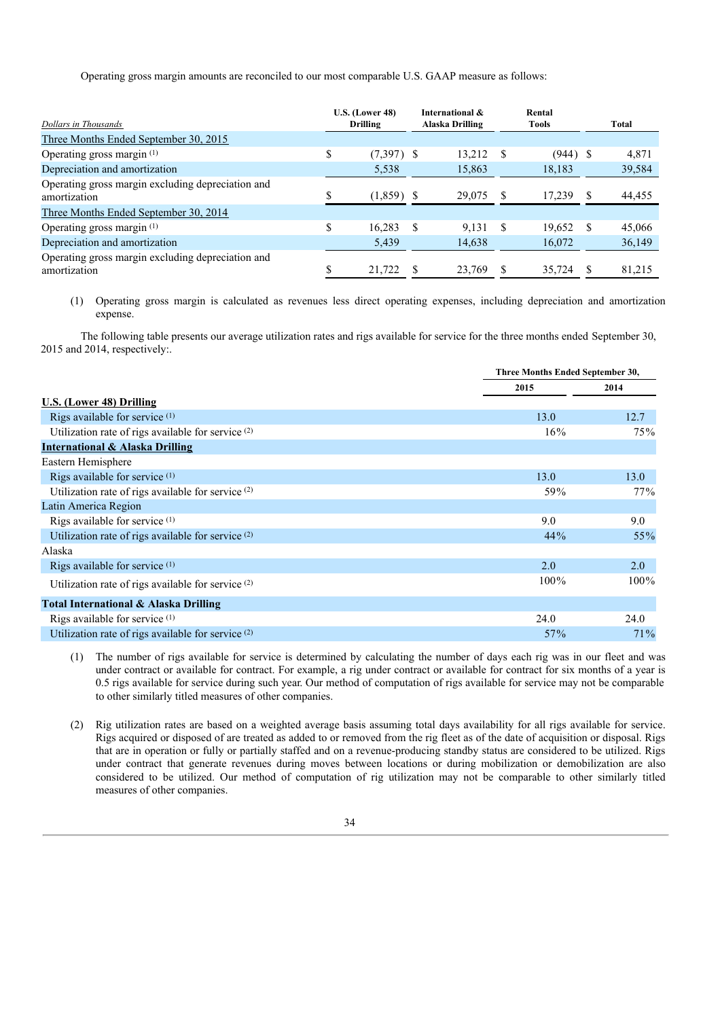Operating gross margin amounts are reconciled to our most comparable U.S. GAAP measure as follows:

| Dollars in Thousands                                              | $U.S.$ (Lower 48)<br><b>Drilling</b> |              | International &<br>Alaska Drilling |    | Rental<br><b>Tools</b> |    | Total  |
|-------------------------------------------------------------------|--------------------------------------|--------------|------------------------------------|----|------------------------|----|--------|
| Three Months Ended September 30, 2015                             |                                      |              |                                    |    |                        |    |        |
| Operating gross margin <sup>(1)</sup>                             | \$                                   | $(7,397)$ \$ | 13,212                             |    | $(944)$ \$             |    | 4,871  |
| Depreciation and amortization                                     |                                      | 5,538        | 15,863                             |    | 18,183                 |    | 39,584 |
| Operating gross margin excluding depreciation and<br>amortization | \$                                   | $(1,859)$ \$ | 29,075                             |    | 17,239                 | S  | 44,455 |
| Three Months Ended September 30, 2014                             |                                      |              |                                    |    |                        |    |        |
| Operating gross margin <sup>(1)</sup>                             | \$                                   | 16.283       | \$<br>9.131                        | -S | 19.652                 | \$ | 45,066 |
| Depreciation and amortization                                     |                                      | 5,439        | 14,638                             |    | 16,072                 |    | 36,149 |
| Operating gross margin excluding depreciation and<br>amortization |                                      | 21,722       | 23,769                             |    | 35,724                 |    | 81,215 |

(1) Operating gross margin is calculated as revenues less direct operating expenses, including depreciation and amortization expense.

The following table presents our average utilization rates and rigs available for service for the three months ended September 30, 2015 and 2014, respectively:.

|                                                               | Three Months Ended September 30, |         |
|---------------------------------------------------------------|----------------------------------|---------|
|                                                               | 2015                             | 2014    |
| U.S. (Lower 48) Drilling                                      |                                  |         |
| Rigs available for service $(1)$                              | 13.0                             | 12.7    |
| Utilization rate of rigs available for service $(2)$          | 16%                              | 75%     |
| <b>International &amp; Alaska Drilling</b>                    |                                  |         |
| Eastern Hemisphere                                            |                                  |         |
| Rigs available for service (1)                                | 13.0                             | 13.0    |
| Utilization rate of rigs available for service (2)            | 59%                              | $77\%$  |
| Latin America Region                                          |                                  |         |
| Rigs available for service $(1)$                              | 9.0                              | 9.0     |
| Utilization rate of rigs available for service <sup>(2)</sup> | 44%                              | 55%     |
| Alaska                                                        |                                  |         |
| Rigs available for service $(1)$                              | 2.0                              | 2.0     |
| Utilization rate of rigs available for service $(2)$          | $100\%$                          | $100\%$ |
| Total International & Alaska Drilling                         |                                  |         |
| Rigs available for service $(1)$                              | 24.0                             | 24.0    |
| Utilization rate of rigs available for service <sup>(2)</sup> | $57\%$                           | 71%     |

(1) The number of rigs available for service is determined by calculating the number of days each rig was in our fleet and was under contract or available for contract. For example, a rig under contract or available for contract for six months of a year is 0.5 rigs available for service during such year. Our method of computation of rigs available for service may not be comparable to other similarly titled measures of other companies.

(2) Rig utilization rates are based on a weighted average basis assuming total days availability for all rigs available for service. Rigs acquired or disposed of are treated as added to or removed from the rig fleet as of the date of acquisition or disposal. Rigs that are in operation or fully or partially staffed and on a revenue-producing standby status are considered to be utilized. Rigs under contract that generate revenues during moves between locations or during mobilization or demobilization are also considered to be utilized. Our method of computation of rig utilization may not be comparable to other similarly titled measures of other companies.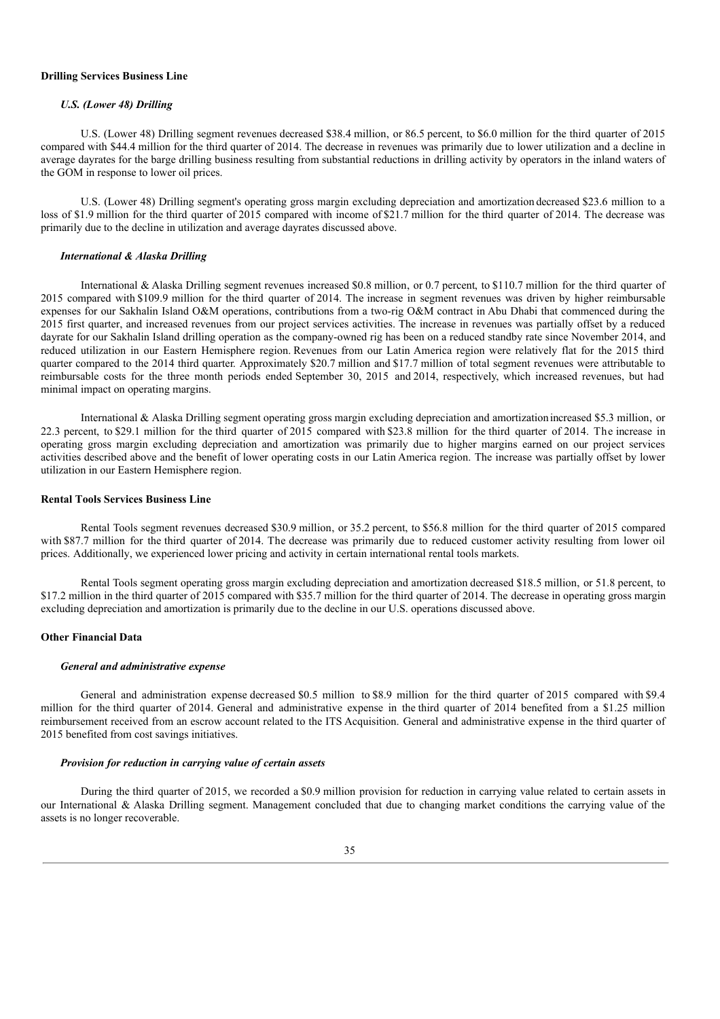#### **Drilling Services Business Line**

#### *U.S. (Lower 48) Drilling*

U.S. (Lower 48) Drilling segment revenues decreased \$38.4 million, or 86.5 percent, to \$6.0 million for the third quarter of 2015 compared with \$44.4 million for the third quarter of 2014. The decrease in revenues was primarily due to lower utilization and a decline in average dayrates for the barge drilling business resulting from substantial reductions in drilling activity by operators in the inland waters of the GOM in response to lower oil prices.

U.S. (Lower 48) Drilling segment's operating gross margin excluding depreciation and amortizationdecreased \$23.6 million to a loss of \$1.9 million for the third quarter of 2015 compared with income of \$21.7 million for the third quarter of 2014. The decrease was primarily due to the decline in utilization and average dayrates discussed above.

#### *International & Alaska Drilling*

International & Alaska Drilling segment revenues increased \$0.8 million, or 0.7 percent, to \$110.7 million for the third quarter of 2015 compared with \$109.9 million for the third quarter of 2014. The increase in segment revenues was driven by higher reimbursable expenses for our Sakhalin Island O&M operations, contributions from a two-rig O&M contract in Abu Dhabi that commenced during the 2015 first quarter, and increased revenues from our project services activities. The increase in revenues was partially offset by a reduced dayrate for our Sakhalin Island drilling operation as the company-owned rig has been on a reduced standby rate since November 2014, and reduced utilization in our Eastern Hemisphere region. Revenues from our Latin America region were relatively flat for the 2015 third quarter compared to the 2014 third quarter. Approximately \$20.7 million and \$17.7 million of total segment revenues were attributable to reimbursable costs for the three month periods ended September 30, 2015 and 2014, respectively, which increased revenues, but had minimal impact on operating margins.

International & Alaska Drilling segment operating gross margin excluding depreciation and amortizationincreased \$5.3 million, or 22.3 percent, to \$29.1 million for the third quarter of 2015 compared with \$23.8 million for the third quarter of 2014. The increase in operating gross margin excluding depreciation and amortization was primarily due to higher margins earned on our project services activities described above and the benefit of lower operating costs in our Latin America region. The increase was partially offset by lower utilization in our Eastern Hemisphere region.

#### **Rental Tools Services Business Line**

Rental Tools segment revenues decreased \$30.9 million, or 35.2 percent, to \$56.8 million for the third quarter of 2015 compared with \$87.7 million for the third quarter of 2014. The decrease was primarily due to reduced customer activity resulting from lower oil prices. Additionally, we experienced lower pricing and activity in certain international rental tools markets.

Rental Tools segment operating gross margin excluding depreciation and amortization decreased \$18.5 million, or 51.8 percent, to \$17.2 million in the third quarter of 2015 compared with \$35.7 million for the third quarter of 2014. The decrease in operating gross margin excluding depreciation and amortization is primarily due to the decline in our U.S. operations discussed above.

#### **Other Financial Data**

### *General and administrative expense*

General and administration expense decreased \$0.5 million to \$8.9 million for the third quarter of 2015 compared with \$9.4 million for the third quarter of 2014. General and administrative expense in the third quarter of 2014 benefited from a \$1.25 million reimbursement received from an escrow account related to the ITS Acquisition. General and administrative expense in the third quarter of 2015 benefited from cost savings initiatives.

#### *Provision for reduction in carrying value of certain assets*

During the third quarter of 2015, we recorded a \$0.9 million provision for reduction in carrying value related to certain assets in our International & Alaska Drilling segment. Management concluded that due to changing market conditions the carrying value of the assets is no longer recoverable.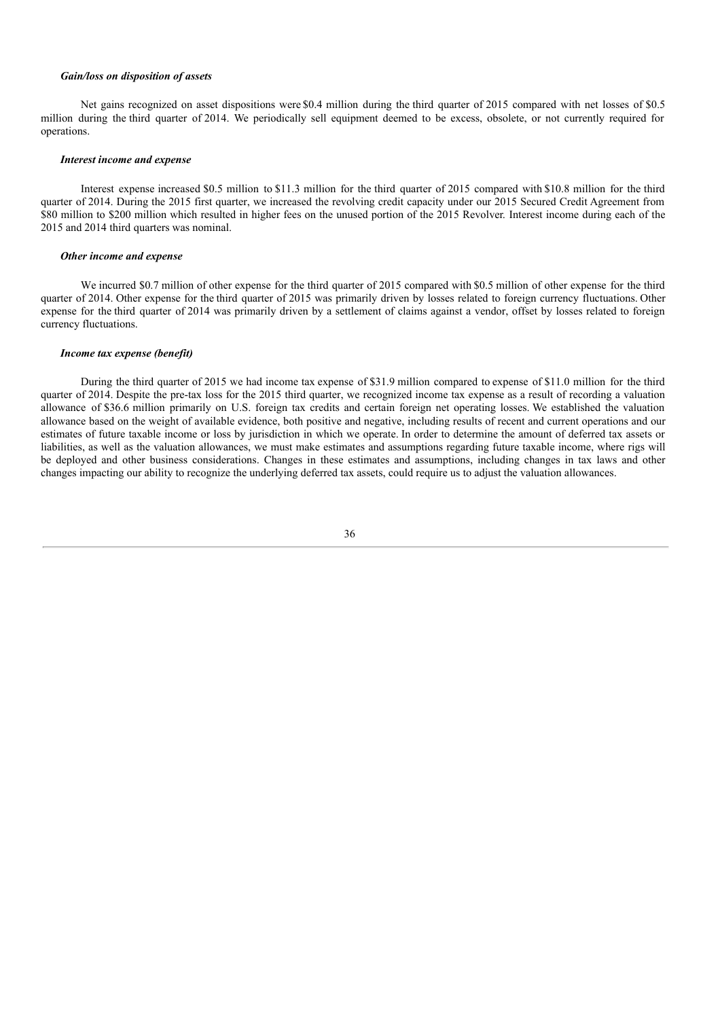#### *Gain/loss on disposition of assets*

Net gains recognized on asset dispositions were\$0.4 million during the third quarter of 2015 compared with net losses of \$0.5 million during the third quarter of 2014. We periodically sell equipment deemed to be excess, obsolete, or not currently required for operations.

#### *Interest income and expense*

Interest expense increased \$0.5 million to \$11.3 million for the third quarter of 2015 compared with \$10.8 million for the third quarter of 2014. During the 2015 first quarter, we increased the revolving credit capacity under our 2015 Secured Credit Agreement from \$80 million to \$200 million which resulted in higher fees on the unused portion of the 2015 Revolver. Interest income during each of the 2015 and 2014 third quarters was nominal.

#### *Other income and expense*

We incurred \$0.7 million of other expense for the third quarter of 2015 compared with \$0.5 million of other expense for the third quarter of 2014. Other expense for the third quarter of 2015 was primarily driven by losses related to foreign currency fluctuations. Other expense for the third quarter of 2014 was primarily driven by a settlement of claims against a vendor, offset by losses related to foreign currency fluctuations.

#### *Income tax expense (benefit)*

During the third quarter of 2015 we had income tax expense of \$31.9 million compared to expense of \$11.0 million for the third quarter of 2014. Despite the pre-tax loss for the 2015 third quarter, we recognized income tax expense as a result of recording a valuation allowance of \$36.6 million primarily on U.S. foreign tax credits and certain foreign net operating losses. We established the valuation allowance based on the weight of available evidence, both positive and negative, including results of recent and current operations and our estimates of future taxable income or loss by jurisdiction in which we operate. In order to determine the amount of deferred tax assets or liabilities, as well as the valuation allowances, we must make estimates and assumptions regarding future taxable income, where rigs will be deployed and other business considerations. Changes in these estimates and assumptions, including changes in tax laws and other changes impacting our ability to recognize the underlying deferred tax assets, could require us to adjust the valuation allowances.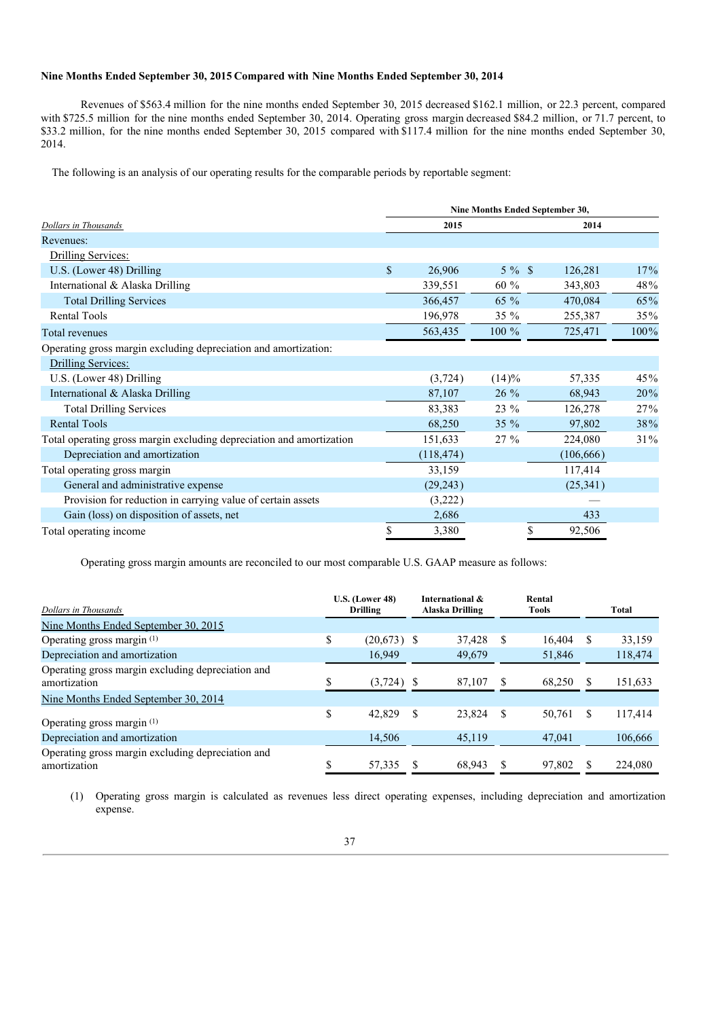# **Nine Months Ended September 30, 2015 Compared with Nine Months Ended September 30, 2014**

Revenues of \$563.4 million for the nine months ended September 30, 2015 decreased \$162.1 million, or 22.3 percent, compared with \$725.5 million for the nine months ended September 30, 2014. Operating gross margin decreased \$84.2 million, or 71.7 percent, to \$33.2 million, for the nine months ended September 30, 2015 compared with \$117.4 million for the nine months ended September 30, 2014.

The following is an analysis of our operating results for the comparable periods by reportable segment:

|                                                                      | Nine Months Ended September 30, |            |           |            |      |  |  |
|----------------------------------------------------------------------|---------------------------------|------------|-----------|------------|------|--|--|
| <b>Dollars in Thousands</b>                                          |                                 | 2015       |           | 2014       |      |  |  |
| Revenues:                                                            |                                 |            |           |            |      |  |  |
| Drilling Services:                                                   |                                 |            |           |            |      |  |  |
| U.S. (Lower 48) Drilling                                             | $\mathbb{S}$                    | 26,906     | $5 \%$ \$ | 126,281    | 17%  |  |  |
| International & Alaska Drilling                                      |                                 | 339,551    | 60 %      | 343,803    | 48%  |  |  |
| <b>Total Drilling Services</b>                                       |                                 | 366,457    | 65 $%$    | 470,084    | 65%  |  |  |
| <b>Rental Tools</b>                                                  |                                 | 196,978    | $35 \%$   | 255,387    | 35%  |  |  |
| Total revenues                                                       |                                 | 563,435    | $100\%$   | 725,471    | 100% |  |  |
| Operating gross margin excluding depreciation and amortization:      |                                 |            |           |            |      |  |  |
| Drilling Services:                                                   |                                 |            |           |            |      |  |  |
| U.S. (Lower 48) Drilling                                             |                                 | (3, 724)   | (14)%     | 57,335     | 45%  |  |  |
| International & Alaska Drilling                                      |                                 | 87,107     | $26\%$    | 68,943     | 20%  |  |  |
| <b>Total Drilling Services</b>                                       |                                 | 83,383     | 23 %      | 126,278    | 27%  |  |  |
| <b>Rental Tools</b>                                                  |                                 | 68,250     | $35 \%$   | 97,802     | 38%  |  |  |
| Total operating gross margin excluding depreciation and amortization |                                 | 151,633    | $27\%$    | 224,080    | 31%  |  |  |
| Depreciation and amortization                                        |                                 | (118, 474) |           | (106, 666) |      |  |  |
| Total operating gross margin                                         |                                 | 33,159     |           | 117,414    |      |  |  |
| General and administrative expense                                   |                                 | (29, 243)  |           | (25, 341)  |      |  |  |
| Provision for reduction in carrying value of certain assets          |                                 | (3,222)    |           |            |      |  |  |
| Gain (loss) on disposition of assets, net                            |                                 | 2,686      |           | 433        |      |  |  |
| Total operating income                                               | \$                              | 3,380      | \$        | 92,506     |      |  |  |

Operating gross margin amounts are reconciled to our most comparable U.S. GAAP measure as follows:

|                                                                   | <b>U.S. (Lower 48)</b> |   | International & |    | Rental       |     |         |
|-------------------------------------------------------------------|------------------------|---|-----------------|----|--------------|-----|---------|
| Dollars in Thousands                                              | <b>Drilling</b>        |   | Alaska Drilling |    | <b>Tools</b> |     | Total   |
| Nine Months Ended September 30, 2015                              |                        |   |                 |    |              |     |         |
| Operating gross margin <sup>(1)</sup>                             | \$<br>$(20,673)$ \$    |   | 37.428          | -S | 16.404       | \$. | 33,159  |
| Depreciation and amortization                                     | 16,949                 |   | 49,679          |    | 51.846       |     | 118,474 |
| Operating gross margin excluding depreciation and<br>amortization | $(3,724)$ \$           |   | 87,107          |    | 68.250       |     | 151,633 |
| Nine Months Ended September 30, 2014                              |                        |   |                 |    |              |     |         |
| Operating gross margin <sup>(1)</sup>                             | \$<br>42,829           | S | 23,824          | S  | 50,761       | -S  | 117,414 |
| Depreciation and amortization                                     | 14,506                 |   | 45,119          |    | 47,041       |     | 106,666 |
| Operating gross margin excluding depreciation and<br>amortization | 57,335                 |   | 68.943          |    | 97,802       |     | 224,080 |

(1) Operating gross margin is calculated as revenues less direct operating expenses, including depreciation and amortization expense.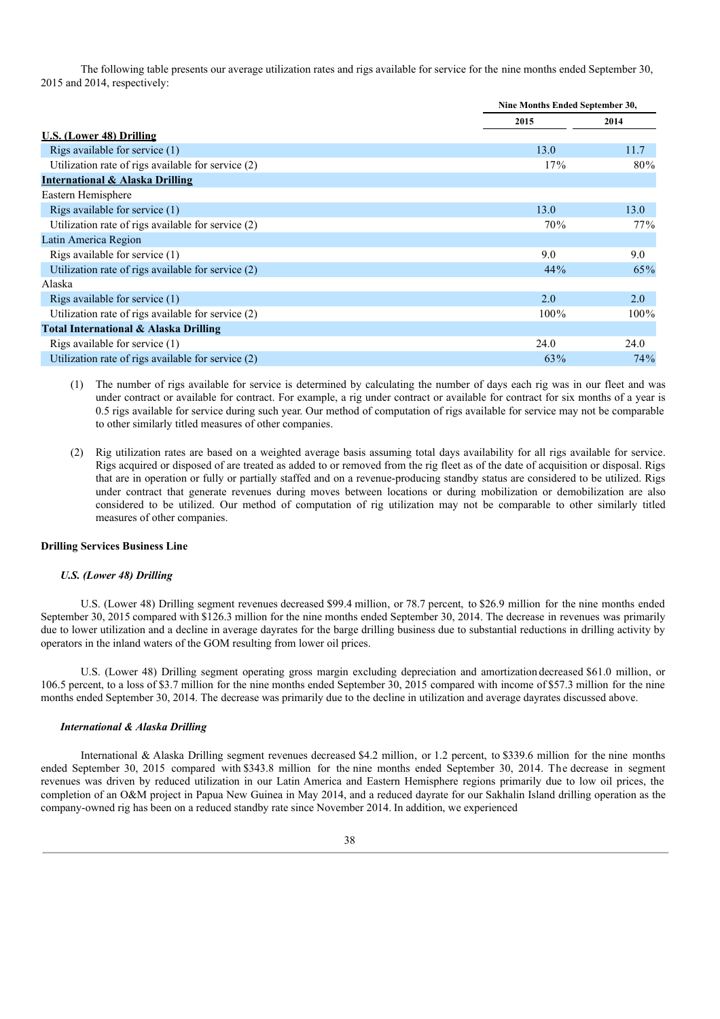The following table presents our average utilization rates and rigs available for service for the nine months ended September 30, 2015 and 2014, respectively:

|                                                    | Nine Months Ended September 30, |         |
|----------------------------------------------------|---------------------------------|---------|
|                                                    | 2015                            | 2014    |
| U.S. (Lower 48) Drilling                           |                                 |         |
| Rigs available for service $(1)$                   | 13.0                            | 11.7    |
| Utilization rate of rigs available for service (2) | 17%                             | 80%     |
| <b>International &amp; Alaska Drilling</b>         |                                 |         |
| Eastern Hemisphere                                 |                                 |         |
| Rigs available for service $(1)$                   | 13.0                            | 13.0    |
| Utilization rate of rigs available for service (2) | 70%                             | $77\%$  |
| Latin America Region                               |                                 |         |
| Rigs available for service $(1)$                   | 9.0                             | 9.0     |
| Utilization rate of rigs available for service (2) | 44%                             | 65%     |
| Alaska                                             |                                 |         |
| Rigs available for service $(1)$                   | 2.0                             | 2.0     |
| Utilization rate of rigs available for service (2) | $100\%$                         | $100\%$ |
| Total International & Alaska Drilling              |                                 |         |
| Rigs available for service $(1)$                   | 24.0                            | 24.0    |
| Utilization rate of rigs available for service (2) | $63\%$                          | 74%     |

(1) The number of rigs available for service is determined by calculating the number of days each rig was in our fleet and was under contract or available for contract. For example, a rig under contract or available for contract for six months of a year is 0.5 rigs available for service during such year. Our method of computation of rigs available for service may not be comparable to other similarly titled measures of other companies.

(2) Rig utilization rates are based on a weighted average basis assuming total days availability for all rigs available for service. Rigs acquired or disposed of are treated as added to or removed from the rig fleet as of the date of acquisition or disposal. Rigs that are in operation or fully or partially staffed and on a revenue-producing standby status are considered to be utilized. Rigs under contract that generate revenues during moves between locations or during mobilization or demobilization are also considered to be utilized. Our method of computation of rig utilization may not be comparable to other similarly titled measures of other companies.

#### **Drilling Services Business Line**

#### *U.S. (Lower 48) Drilling*

U.S. (Lower 48) Drilling segment revenues decreased \$99.4 million, or 78.7 percent, to \$26.9 million for the nine months ended September 30, 2015 compared with \$126.3 million for the nine months ended September 30, 2014. The decrease in revenues was primarily due to lower utilization and a decline in average dayrates for the barge drilling business due to substantial reductions in drilling activity by operators in the inland waters of the GOM resulting from lower oil prices.

U.S. (Lower 48) Drilling segment operating gross margin excluding depreciation and amortizationdecreased \$61.0 million, or 106.5 percent, to a loss of \$3.7 million for the nine months ended September 30, 2015 compared with income of\$57.3 million for the nine months ended September 30, 2014. The decrease was primarily due to the decline in utilization and average dayrates discussed above.

## *International & Alaska Drilling*

International & Alaska Drilling segment revenues decreased \$4.2 million, or 1.2 percent, to \$339.6 million for the nine months ended September 30, 2015 compared with \$343.8 million for the nine months ended September 30, 2014. The decrease in segment revenues was driven by reduced utilization in our Latin America and Eastern Hemisphere regions primarily due to low oil prices, the completion of an O&M project in Papua New Guinea in May 2014, and a reduced dayrate for our Sakhalin Island drilling operation as the company-owned rig has been on a reduced standby rate since November 2014. In addition, we experienced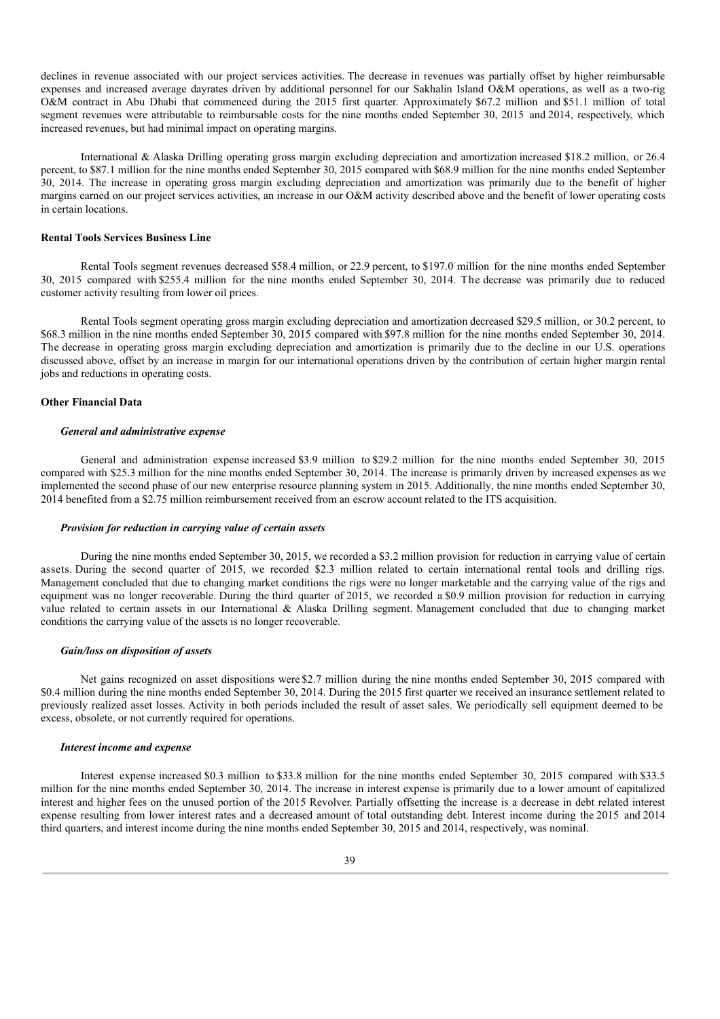declines in revenue associated with our project services activities. The decrease in revenues was partially offset by higher reimbursable expenses and increased average dayrates driven by additional personnel for our Sakhalin Island O&M operations, as well as a two-rig O&M contract in Abu Dhabi that commenced during the 2015 first quarter. Approximately \$67.2 million and \$51.1 million of total segment revenues were attributable to reimbursable costs for the nine months ended September 30, 2015 and 2014, respectively, which increased revenues, but had minimal impact on operating margins.

International & Alaska Drilling operating gross margin excluding depreciation and amortization increased \$18.2 million, or 26.4 percent, to \$87.1 million for the nine months ended September 30, 2015 compared with \$68.9 million for the nine months ended September 30, 2014. The increase in operating gross margin excluding depreciation and amortization was primarily due to the benefit of higher margins earned on our project services activities, an increase in our O&M activity described above and the benefit of lower operating costs in certain locations.

### **Rental Tools Services Business Line**

Rental Tools segment revenues decreased \$58.4 million, or 22.9 percent, to \$197.0 million for the nine months ended September 30, 2015 compared with \$255.4 million for the nine months ended September 30, 2014. The decrease was primarily due to reduced customer activity resulting from lower oil prices.

Rental Tools segment operating gross margin excluding depreciation and amortization decreased \$29.5 million, or 30.2 percent, to \$68.3 million in the nine months ended September 30, 2015 compared with \$97.8 million for the nine months ended September 30, 2014. The decrease in operating gross margin excluding depreciation and amortization is primarily due to the decline in our U.S. operations discussed above, offset by an increase in margin for our international operations driven by the contribution of certain higher margin rental jobs and reductions in operating costs.

#### **Other Financial Data**

#### *General and administrative expense*

General and administration expense increased \$3.9 million to \$29.2 million for the nine months ended September 30, 2015 compared with \$25.3 million for the nine months ended September 30, 2014. The increase is primarily driven by increased expenses as we implemented the second phase of our new enterprise resource planning system in 2015. Additionally, the nine months ended September 30, 2014 benefited from a \$2.75 million reimbursement received from an escrow account related to the ITS acquisition.

#### *Provision for reduction in carrying value of certain assets*

During the nine months ended September 30, 2015, we recorded a \$3.2 million provision for reduction in carrying value of certain assets. During the second quarter of 2015, we recorded \$2.3 million related to certain international rental tools and drilling rigs. Management concluded that due to changing market conditions the rigs were no longer marketable and the carrying value of the rigs and equipment was no longer recoverable. During the third quarter of 2015, we recorded a \$0.9 million provision for reduction in carrying value related to certain assets in our International & Alaska Drilling segment. Management concluded that due to changing market conditions the carrying value of the assets is no longer recoverable.

#### *Gain/loss on disposition of assets*

Net gains recognized on asset dispositions were\$2.7 million during the nine months ended September 30, 2015 compared with \$0.4 million during the nine months ended September 30, 2014. During the 2015 first quarter we received an insurance settlement related to previously realized asset losses. Activity in both periods included the result of asset sales. We periodically sell equipment deemed to be excess, obsolete, or not currently required for operations.

#### *Interest income and expense*

Interest expense increased \$0.3 million to \$33.8 million for the nine months ended September 30, 2015 compared with \$33.5 million for the nine months ended September 30, 2014. The increase in interest expense is primarily due to a lower amount of capitalized interest and higher fees on the unused portion of the 2015 Revolver. Partially offsetting the increase is a decrease in debt related interest expense resulting from lower interest rates and a decreased amount of total outstanding debt. Interest income during the 2015 and 2014 third quarters, and interest income during the nine months ended September 30, 2015 and 2014, respectively, was nominal.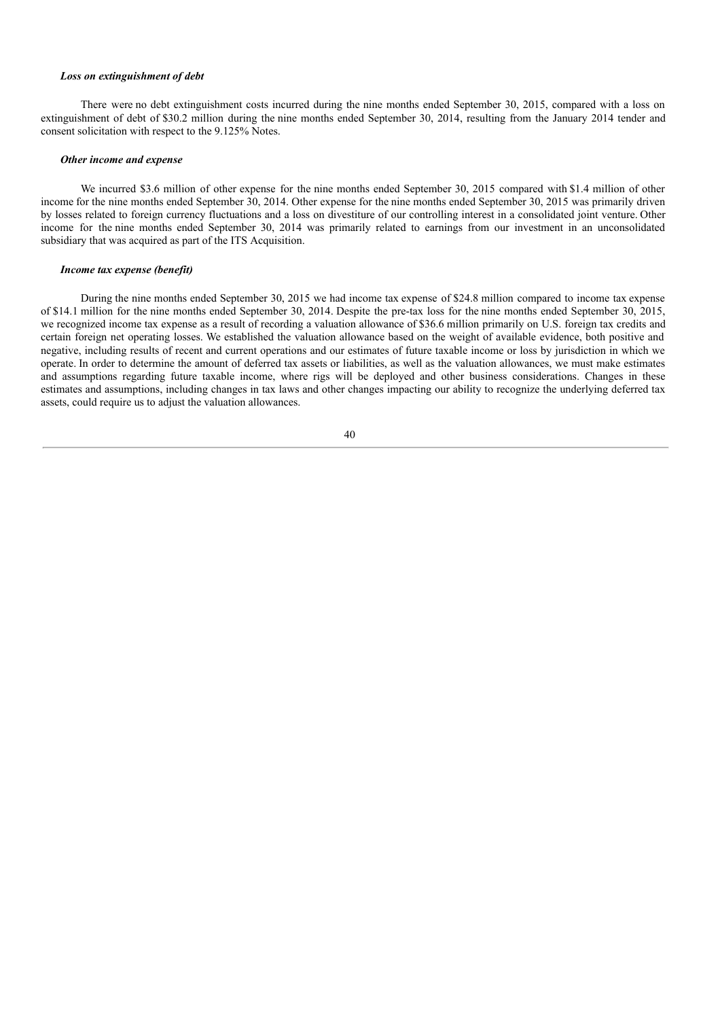# *Loss on extinguishment of debt*

There were no debt extinguishment costs incurred during the nine months ended September 30, 2015, compared with a loss on extinguishment of debt of \$30.2 million during the nine months ended September 30, 2014, resulting from the January 2014 tender and consent solicitation with respect to the 9.125% Notes.

#### *Other income and expense*

We incurred \$3.6 million of other expense for the nine months ended September 30, 2015 compared with \$1.4 million of other income for the nine months ended September 30, 2014. Other expense for the nine months ended September 30, 2015 was primarily driven by losses related to foreign currency fluctuations and a loss on divestiture of our controlling interest in a consolidated joint venture. Other income for the nine months ended September 30, 2014 was primarily related to earnings from our investment in an unconsolidated subsidiary that was acquired as part of the ITS Acquisition.

#### *Income tax expense (benefit)*

During the nine months ended September 30, 2015 we had income tax expense of \$24.8 million compared to income tax expense of \$14.1 million for the nine months ended September 30, 2014. Despite the pre-tax loss for the nine months ended September 30, 2015, we recognized income tax expense as a result of recording a valuation allowance of \$36.6 million primarily on U.S. foreign tax credits and certain foreign net operating losses. We established the valuation allowance based on the weight of available evidence, both positive and negative, including results of recent and current operations and our estimates of future taxable income or loss by jurisdiction in which we operate. In order to determine the amount of deferred tax assets or liabilities, as well as the valuation allowances, we must make estimates and assumptions regarding future taxable income, where rigs will be deployed and other business considerations. Changes in these estimates and assumptions, including changes in tax laws and other changes impacting our ability to recognize the underlying deferred tax assets, could require us to adjust the valuation allowances.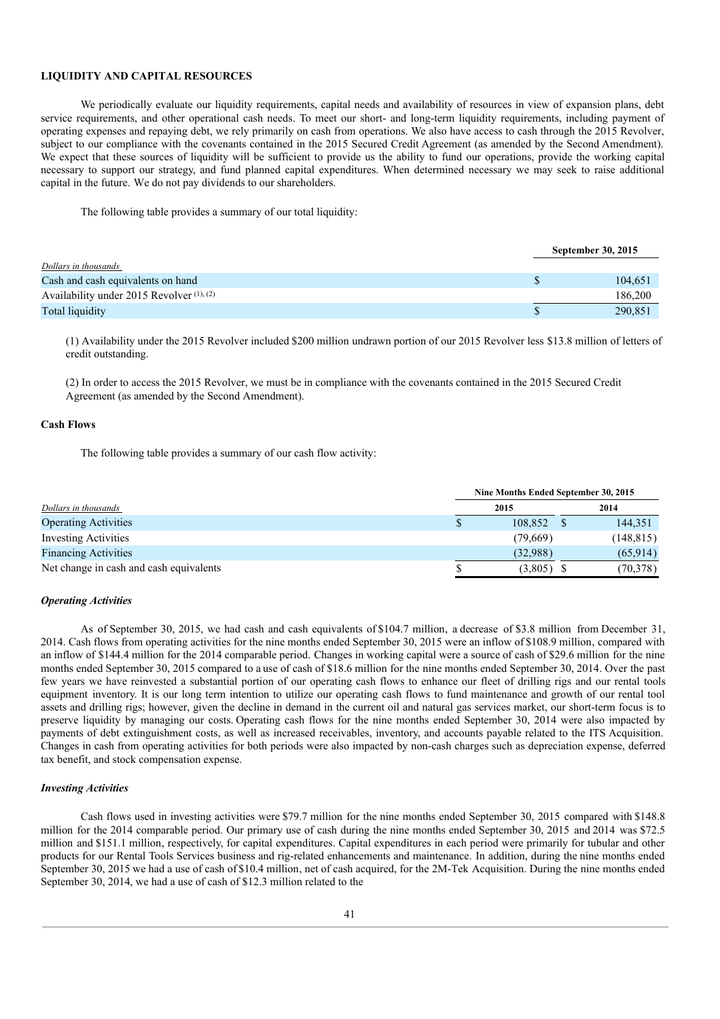# **LIQUIDITY AND CAPITAL RESOURCES**

We periodically evaluate our liquidity requirements, capital needs and availability of resources in view of expansion plans, debt service requirements, and other operational cash needs. To meet our short- and long-term liquidity requirements, including payment of operating expenses and repaying debt, we rely primarily on cash from operations. We also have access to cash through the 2015 Revolver, subject to our compliance with the covenants contained in the 2015 Secured Credit Agreement (as amended by the Second Amendment). We expect that these sources of liquidity will be sufficient to provide us the ability to fund our operations, provide the working capital necessary to support our strategy, and fund planned capital expenditures. When determined necessary we may seek to raise additional capital in the future. We do not pay dividends to our shareholders.

The following table provides a summary of our total liquidity:

|                                                  | <b>September 30, 2015</b> |
|--------------------------------------------------|---------------------------|
| Dollars in thousands                             |                           |
| Cash and cash equivalents on hand                | 104.651                   |
| Availability under $2015$ Revolver $(1)$ , $(2)$ | 186,200                   |
| Total liquidity                                  | 290,851                   |

(1) Availability under the 2015 Revolver included \$200 million undrawn portion of our 2015 Revolver less \$13.8 million of letters of credit outstanding.

(2) In order to access the 2015 Revolver, we must be in compliance with the covenants contained in the 2015 Secured Credit Agreement (as amended by the Second Amendment).

## **Cash Flows**

The following table provides a summary of our cash flow activity:

|                                         |   | Nine Months Ended September 30, 2015 |  |            |  |
|-----------------------------------------|---|--------------------------------------|--|------------|--|
| Dollars in thousands                    |   | 2015                                 |  | 2014       |  |
| <b>Operating Activities</b>             | S | 108,852                              |  | 144,351    |  |
| <b>Investing Activities</b>             |   | (79.669)                             |  | (148, 815) |  |
| <b>Financing Activities</b>             |   | (32,988)                             |  | (65.914)   |  |
| Net change in cash and cash equivalents |   | (3,805)                              |  | (70,378)   |  |

## *Operating Activities*

As of September 30, 2015, we had cash and cash equivalents of \$104.7 million, a decrease of \$3.8 million from December 31, 2014. Cash flows from operating activities for the nine months ended September 30, 2015 were an inflow of\$108.9 million, compared with an inflow of \$144.4 million for the 2014 comparable period. Changes in working capital were a source of cash of \$29.6 million for the nine months ended September 30, 2015 compared to ause of cash of \$18.6 million for the nine months ended September 30, 2014. Over the past few years we have reinvested a substantial portion of our operating cash flows to enhance our fleet of drilling rigs and our rental tools equipment inventory. It is our long term intention to utilize our operating cash flows to fund maintenance and growth of our rental tool assets and drilling rigs; however, given the decline in demand in the current oil and natural gas services market, our short-term focus is to preserve liquidity by managing our costs. Operating cash flows for the nine months ended September 30, 2014 were also impacted by payments of debt extinguishment costs, as well as increased receivables, inventory, and accounts payable related to the ITS Acquisition. Changes in cash from operating activities for both periods were also impacted by non-cash charges such as depreciation expense, deferred tax benefit, and stock compensation expense.

#### *Investing Activities*

Cash flows used in investing activities were \$79.7 million for the nine months ended September 30, 2015 compared with \$148.8 million for the 2014 comparable period. Our primary use of cash during the nine months ended September 30, 2015 and 2014 was \$72.5 million and \$151.1 million, respectively, for capital expenditures. Capital expenditures in each period were primarily for tubular and other products for our Rental Tools Services business and rig-related enhancements and maintenance. In addition, during the nine months ended September 30, 2015 we had a use of cash of\$10.4 million, net of cash acquired, for the 2M-Tek Acquisition. During the nine months ended September 30, 2014, we had a use of cash of \$12.3 million related to the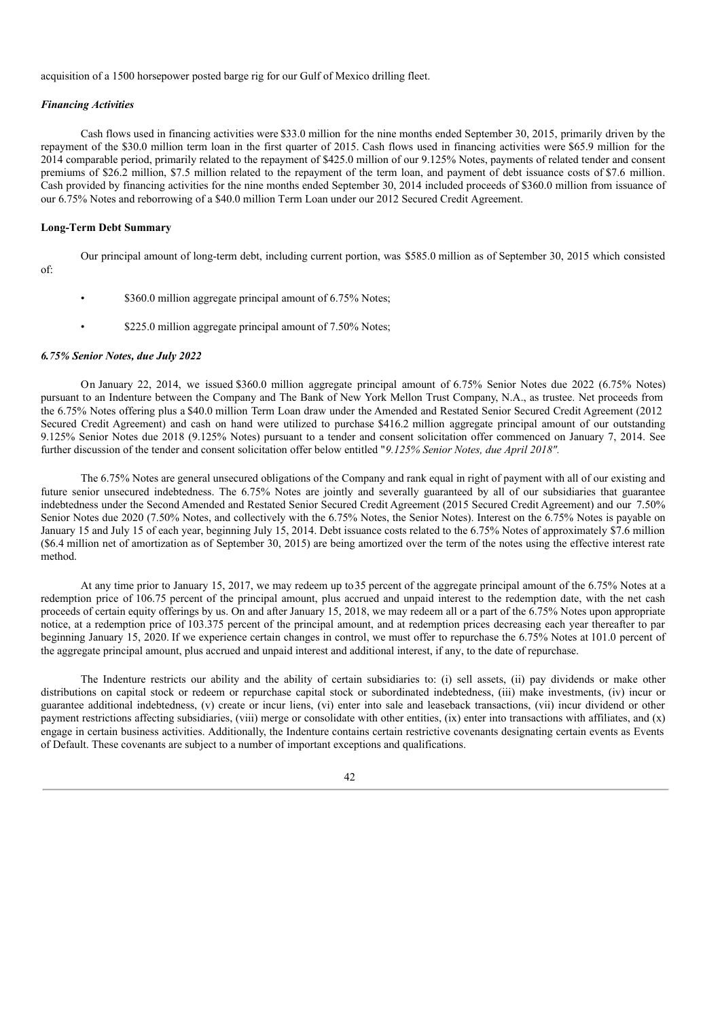acquisition of a 1500 horsepower posted barge rig for our Gulf of Mexico drilling fleet.

## *Financing Activities*

Cash flows used in financing activities were \$33.0 million for the nine months ended September 30, 2015, primarily driven by the repayment of the \$30.0 million term loan in the first quarter of 2015. Cash flows used in financing activities were \$65.9 million for the 2014 comparable period, primarily related to the repayment of \$425.0 million of our 9.125% Notes, payments of related tender and consent premiums of \$26.2 million, \$7.5 million related to the repayment of the term loan, and payment of debt issuance costs of \$7.6 million. Cash provided by financing activities for the nine months ended September 30, 2014 included proceeds of \$360.0 million from issuance of our 6.75% Notes and reborrowing of a \$40.0 million Term Loan under our 2012 Secured Credit Agreement.

#### **Long-Term Debt Summary**

Our principal amount of long-term debt, including current portion, was \$585.0 million as of September 30, 2015 which consisted of:

- \$360.0 million aggregate principal amount of 6.75% Notes;
- \$225.0 million aggregate principal amount of 7.50% Notes;

#### *6.75% Senior Notes, due July 2022*

On January 22, 2014, we issued \$360.0 million aggregate principal amount of 6.75% Senior Notes due 2022 (6.75% Notes) pursuant to an Indenture between the Company and The Bank of New York Mellon Trust Company, N.A., as trustee. Net proceeds from the 6.75% Notes offering plus a \$40.0 million Term Loan draw under the Amended and Restated Senior Secured Credit Agreement (2012 Secured Credit Agreement) and cash on hand were utilized to purchase \$416.2 million aggregate principal amount of our outstanding 9.125% Senior Notes due 2018 (9.125% Notes) pursuant to a tender and consent solicitation offer commenced on January 7, 2014. See further discussion of the tender and consent solicitation offer below entitled "*9.125% Senior Notes, due April 2018".*

The 6.75% Notes are general unsecured obligations of the Company and rank equal in right of payment with all of our existing and future senior unsecured indebtedness. The 6.75% Notes are jointly and severally guaranteed by all of our subsidiaries that guarantee indebtedness under the Second Amended and Restated Senior Secured Credit Agreement (2015 Secured Credit Agreement) and our 7.50% Senior Notes due 2020 (7.50% Notes, and collectively with the 6.75% Notes, the Senior Notes). Interest on the 6.75% Notes is payable on January 15 and July 15 of each year, beginning July 15, 2014. Debt issuance costs related to the 6.75% Notes of approximately \$7.6 million (\$6.4 million net of amortization as of September 30, 2015) are being amortized over the term of the notes using the effective interest rate method.

At any time prior to January 15, 2017, we may redeem up to35 percent of the aggregate principal amount of the 6.75% Notes at a redemption price of 106.75 percent of the principal amount, plus accrued and unpaid interest to the redemption date, with the net cash proceeds of certain equity offerings by us. On and after January 15, 2018, we may redeem all or a part of the 6.75% Notes upon appropriate notice, at a redemption price of 103.375 percent of the principal amount, and at redemption prices decreasing each year thereafter to par beginning January 15, 2020. If we experience certain changes in control, we must offer to repurchase the 6.75% Notes at 101.0 percent of the aggregate principal amount, plus accrued and unpaid interest and additional interest, if any, to the date of repurchase.

The Indenture restricts our ability and the ability of certain subsidiaries to: (i) sell assets, (ii) pay dividends or make other distributions on capital stock or redeem or repurchase capital stock or subordinated indebtedness, (iii) make investments, (iv) incur or guarantee additional indebtedness, (v) create or incur liens, (vi) enter into sale and leaseback transactions, (vii) incur dividend or other payment restrictions affecting subsidiaries, (viii) merge or consolidate with other entities, (ix) enter into transactions with affiliates, and (x) engage in certain business activities. Additionally, the Indenture contains certain restrictive covenants designating certain events as Events of Default. These covenants are subject to a number of important exceptions and qualifications.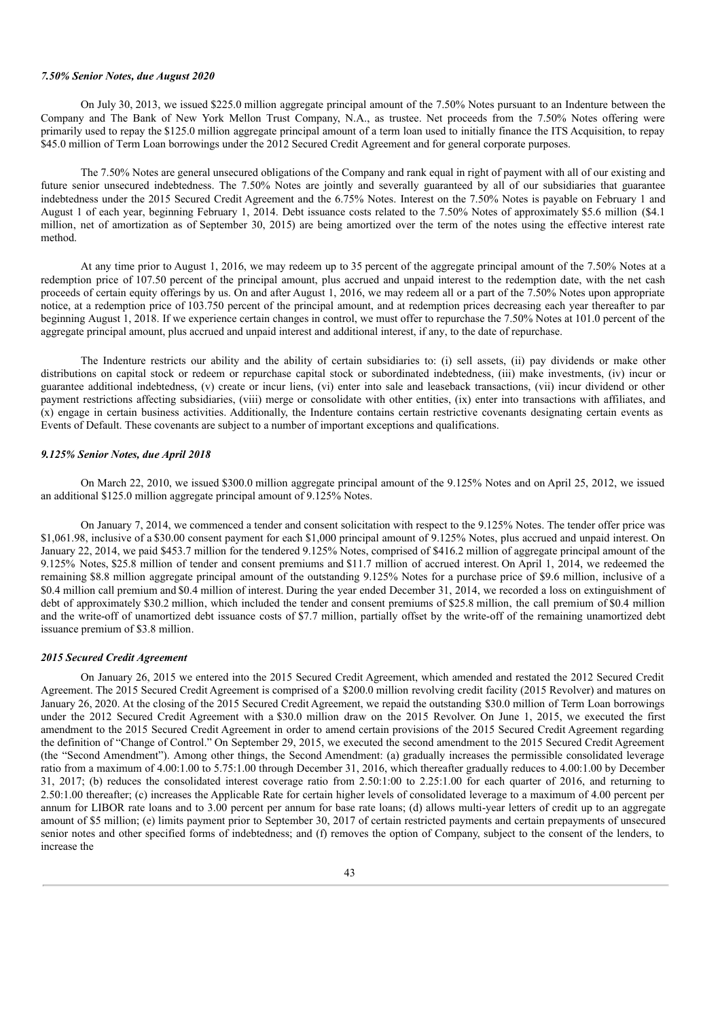#### *7.50% Senior Notes, due August 2020*

On July 30, 2013, we issued \$225.0 million aggregate principal amount of the 7.50% Notes pursuant to an Indenture between the Company and The Bank of New York Mellon Trust Company, N.A., as trustee. Net proceeds from the 7.50% Notes offering were primarily used to repay the \$125.0 million aggregate principal amount of a term loan used to initially finance the ITS Acquisition, to repay \$45.0 million of Term Loan borrowings under the 2012 Secured Credit Agreement and for general corporate purposes.

The 7.50% Notes are general unsecured obligations of the Company and rank equal in right of payment with all of our existing and future senior unsecured indebtedness. The 7.50% Notes are jointly and severally guaranteed by all of our subsidiaries that guarantee indebtedness under the 2015 Secured Credit Agreement and the 6.75% Notes. Interest on the 7.50% Notes is payable on February 1 and August 1 of each year, beginning February 1, 2014. Debt issuance costs related to the 7.50% Notes of approximately \$5.6 million (\$4.1 million, net of amortization as of September 30, 2015) are being amortized over the term of the notes using the effective interest rate method.

At any time prior to August 1, 2016, we may redeem up to 35 percent of the aggregate principal amount of the 7.50% Notes at a redemption price of 107.50 percent of the principal amount, plus accrued and unpaid interest to the redemption date, with the net cash proceeds of certain equity offerings by us. On and after August 1, 2016, we may redeem all or a part of the 7.50% Notes upon appropriate notice, at a redemption price of 103.750 percent of the principal amount, and at redemption prices decreasing each year thereafter to par beginning August 1, 2018. If we experience certain changes in control, we must offer to repurchase the 7.50% Notes at 101.0 percent of the aggregate principal amount, plus accrued and unpaid interest and additional interest, if any, to the date of repurchase.

The Indenture restricts our ability and the ability of certain subsidiaries to: (i) sell assets, (ii) pay dividends or make other distributions on capital stock or redeem or repurchase capital stock or subordinated indebtedness, (iii) make investments, (iv) incur or guarantee additional indebtedness, (v) create or incur liens, (vi) enter into sale and leaseback transactions, (vii) incur dividend or other payment restrictions affecting subsidiaries, (viii) merge or consolidate with other entities, (ix) enter into transactions with affiliates, and (x) engage in certain business activities. Additionally, the Indenture contains certain restrictive covenants designating certain events as Events of Default. These covenants are subject to a number of important exceptions and qualifications.

#### *9.125% Senior Notes, due April 2018*

On March 22, 2010, we issued \$300.0 million aggregate principal amount of the 9.125% Notes and on April 25, 2012, we issued an additional \$125.0 million aggregate principal amount of 9.125% Notes.

On January 7, 2014, we commenced a tender and consent solicitation with respect to the 9.125% Notes. The tender offer price was \$1,061.98, inclusive of a \$30.00 consent payment for each \$1,000 principal amount of 9.125% Notes, plus accrued and unpaid interest. On January 22, 2014, we paid \$453.7 million for the tendered 9.125% Notes, comprised of \$416.2 million of aggregate principal amount of the 9.125% Notes, \$25.8 million of tender and consent premiums and \$11.7 million of accrued interest. On April 1, 2014, we redeemed the remaining \$8.8 million aggregate principal amount of the outstanding 9.125% Notes for a purchase price of \$9.6 million, inclusive of a \$0.4 million call premium and\$0.4 million of interest. During the year ended December 31, 2014, we recorded a loss on extinguishment of debt of approximately \$30.2 million, which included the tender and consent premiums of \$25.8 million, the call premium of \$0.4 million and the write-off of unamortized debt issuance costs of \$7.7 million, partially offset by the write-off of the remaining unamortized debt issuance premium of \$3.8 million.

#### *2015 Secured Credit Agreement*

On January 26, 2015 we entered into the 2015 Secured Credit Agreement, which amended and restated the 2012 Secured Credit Agreement. The 2015 Secured Credit Agreement is comprised of a \$200.0 million revolving credit facility (2015 Revolver) and matures on January 26, 2020. At the closing of the 2015 Secured Credit Agreement, we repaid the outstanding \$30.0 million of Term Loan borrowings under the 2012 Secured Credit Agreement with a \$30.0 million draw on the 2015 Revolver. On June 1, 2015, we executed the first amendment to the 2015 Secured Credit Agreement in order to amend certain provisions of the 2015 Secured Credit Agreement regarding the definition of "Change of Control." On September 29, 2015, we executed the second amendment to the 2015 Secured Credit Agreement (the "Second Amendment"). Among other things, the Second Amendment: (a) gradually increases the permissible consolidated leverage ratio from a maximum of 4.00:1.00 to 5.75:1.00 through December 31, 2016, which thereafter gradually reduces to 4.00:1.00 by December 31, 2017; (b) reduces the consolidated interest coverage ratio from 2.50:1:00 to 2.25:1.00 for each quarter of 2016, and returning to 2.50:1.00 thereafter; (c) increases the Applicable Rate for certain higher levels of consolidated leverage to a maximum of 4.00 percent per annum for LIBOR rate loans and to 3.00 percent per annum for base rate loans; (d) allows multi-year letters of credit up to an aggregate amount of \$5 million; (e) limits payment prior to September 30, 2017 of certain restricted payments and certain prepayments of unsecured senior notes and other specified forms of indebtedness; and (f) removes the option of Company, subject to the consent of the lenders, to increase the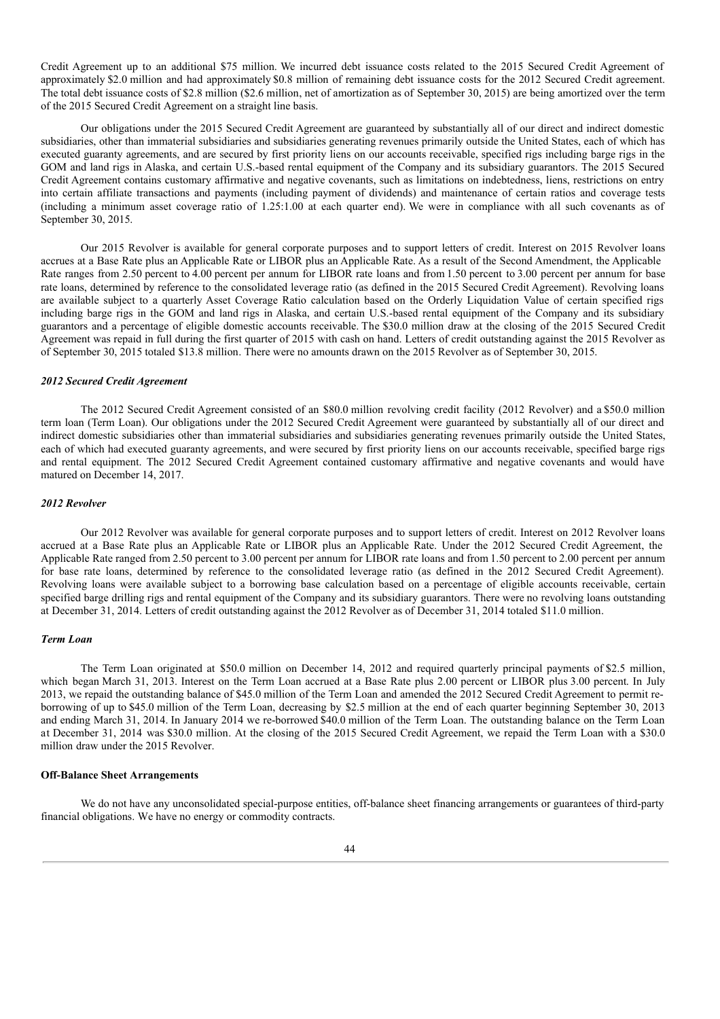Credit Agreement up to an additional \$75 million. We incurred debt issuance costs related to the 2015 Secured Credit Agreement of approximately \$2.0 million and had approximately\$0.8 million of remaining debt issuance costs for the 2012 Secured Credit agreement. The total debt issuance costs of \$2.8 million (\$2.6 million, net of amortization as of September 30, 2015) are being amortized over the term of the 2015 Secured Credit Agreement on a straight line basis.

Our obligations under the 2015 Secured Credit Agreement are guaranteed by substantially all of our direct and indirect domestic subsidiaries, other than immaterial subsidiaries and subsidiaries generating revenues primarily outside the United States, each of which has executed guaranty agreements, and are secured by first priority liens on our accounts receivable, specified rigs including barge rigs in the GOM and land rigs in Alaska, and certain U.S.-based rental equipment of the Company and its subsidiary guarantors. The 2015 Secured Credit Agreement contains customary affirmative and negative covenants, such as limitations on indebtedness, liens, restrictions on entry into certain affiliate transactions and payments (including payment of dividends) and maintenance of certain ratios and coverage tests (including a minimum asset coverage ratio of 1.25:1.00 at each quarter end). We were in compliance with all such covenants as of September 30, 2015.

Our 2015 Revolver is available for general corporate purposes and to support letters of credit. Interest on 2015 Revolver loans accrues at a Base Rate plus an Applicable Rate or LIBOR plus an Applicable Rate. As a result of the Second Amendment, the Applicable Rate ranges from 2.50 percent to 4.00 percent per annum for LIBOR rate loans and from 1.50 percent to 3.00 percent per annum for base rate loans, determined by reference to the consolidated leverage ratio (as defined in the 2015 Secured Credit Agreement). Revolving loans are available subject to a quarterly Asset Coverage Ratio calculation based on the Orderly Liquidation Value of certain specified rigs including barge rigs in the GOM and land rigs in Alaska, and certain U.S.-based rental equipment of the Company and its subsidiary guarantors and a percentage of eligible domestic accounts receivable. The \$30.0 million draw at the closing of the 2015 Secured Credit Agreement was repaid in full during the first quarter of 2015 with cash on hand. Letters of credit outstanding against the 2015 Revolver as of September 30, 2015 totaled \$13.8 million. There were no amounts drawn on the 2015 Revolver as of September 30, 2015.

#### *2012 Secured Credit Agreement*

The 2012 Secured Credit Agreement consisted of an \$80.0 million revolving credit facility (2012 Revolver) and a \$50.0 million term loan (Term Loan). Our obligations under the 2012 Secured Credit Agreement were guaranteed by substantially all of our direct and indirect domestic subsidiaries other than immaterial subsidiaries and subsidiaries generating revenues primarily outside the United States, each of which had executed guaranty agreements, and were secured by first priority liens on our accounts receivable, specified barge rigs and rental equipment. The 2012 Secured Credit Agreement contained customary affirmative and negative covenants and would have matured on December 14, 2017.

#### *2012 Revolver*

Our 2012 Revolver was available for general corporate purposes and to support letters of credit. Interest on 2012 Revolver loans accrued at a Base Rate plus an Applicable Rate or LIBOR plus an Applicable Rate. Under the 2012 Secured Credit Agreement, the Applicable Rate ranged from 2.50 percent to 3.00 percent per annum for LIBOR rate loans and from 1.50 percent to 2.00 percent per annum for base rate loans, determined by reference to the consolidated leverage ratio (as defined in the 2012 Secured Credit Agreement). Revolving loans were available subject to a borrowing base calculation based on a percentage of eligible accounts receivable, certain specified barge drilling rigs and rental equipment of the Company and its subsidiary guarantors. There were no revolving loans outstanding at December 31, 2014. Letters of credit outstanding against the 2012 Revolver as of December 31, 2014 totaled \$11.0 million.

#### *Term Loan*

The Term Loan originated at \$50.0 million on December 14, 2012 and required quarterly principal payments of \$2.5 million, which began March 31, 2013. Interest on the Term Loan accrued at a Base Rate plus 2.00 percent or LIBOR plus 3.00 percent. In July 2013, we repaid the outstanding balance of \$45.0 million of the Term Loan and amended the 2012 Secured Credit Agreement to permit reborrowing of up to \$45.0 million of the Term Loan, decreasing by \$2.5 million at the end of each quarter beginning September 30, 2013 and ending March 31, 2014. In January 2014 we re-borrowed \$40.0 million of the Term Loan. The outstanding balance on the Term Loan at December 31, 2014 was \$30.0 million. At the closing of the 2015 Secured Credit Agreement, we repaid the Term Loan with a \$30.0 million draw under the 2015 Revolver.

#### **Off-Balance Sheet Arrangements**

We do not have any unconsolidated special-purpose entities, off-balance sheet financing arrangements or guarantees of third-party financial obligations. We have no energy or commodity contracts.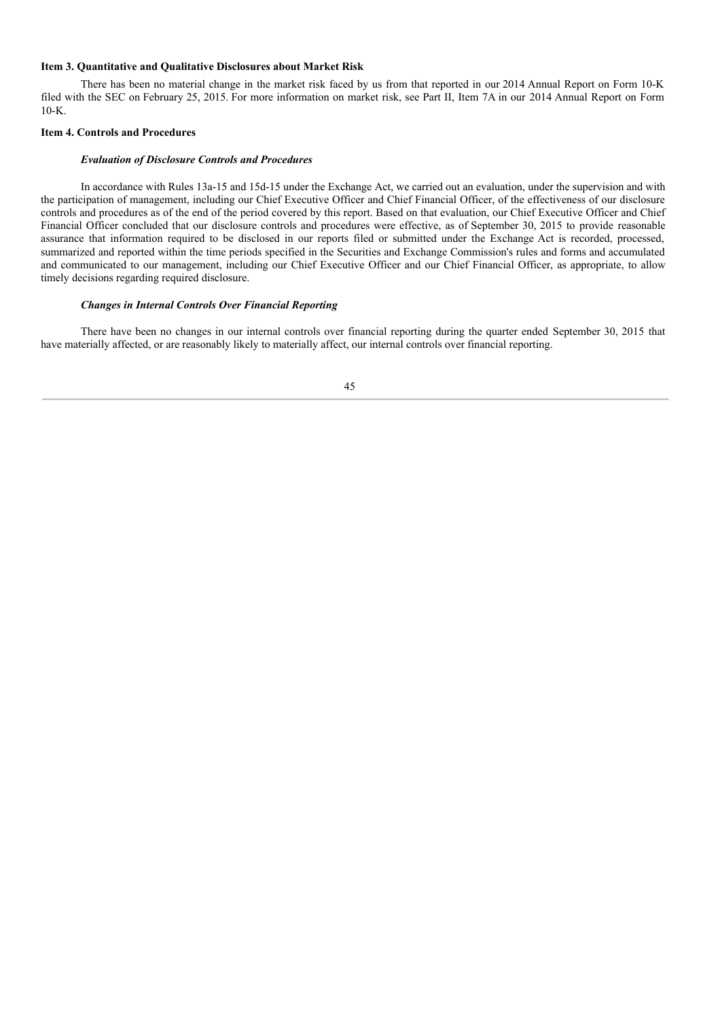#### **Item 3. Quantitative and Qualitative Disclosures about Market Risk**

There has been no material change in the market risk faced by us from that reported in our 2014 Annual Report on Form 10-K filed with the SEC on February 25, 2015. For more information on market risk, see Part II, Item 7A in our 2014 Annual Report on Form 10-K.

## **Item 4. Controls and Procedures**

#### *Evaluation of Disclosure Controls and Procedures*

In accordance with Rules 13a-15 and 15d-15 under the Exchange Act, we carried out an evaluation, under the supervision and with the participation of management, including our Chief Executive Officer and Chief Financial Officer, of the effectiveness of our disclosure controls and procedures as of the end of the period covered by this report. Based on that evaluation, our Chief Executive Officer and Chief Financial Officer concluded that our disclosure controls and procedures were effective, as of September 30, 2015 to provide reasonable assurance that information required to be disclosed in our reports filed or submitted under the Exchange Act is recorded, processed, summarized and reported within the time periods specified in the Securities and Exchange Commission's rules and forms and accumulated and communicated to our management, including our Chief Executive Officer and our Chief Financial Officer, as appropriate, to allow timely decisions regarding required disclosure.

#### *Changes in Internal Controls Over Financial Reporting*

There have been no changes in our internal controls over financial reporting during the quarter ended September 30, 2015 that have materially affected, or are reasonably likely to materially affect, our internal controls over financial reporting.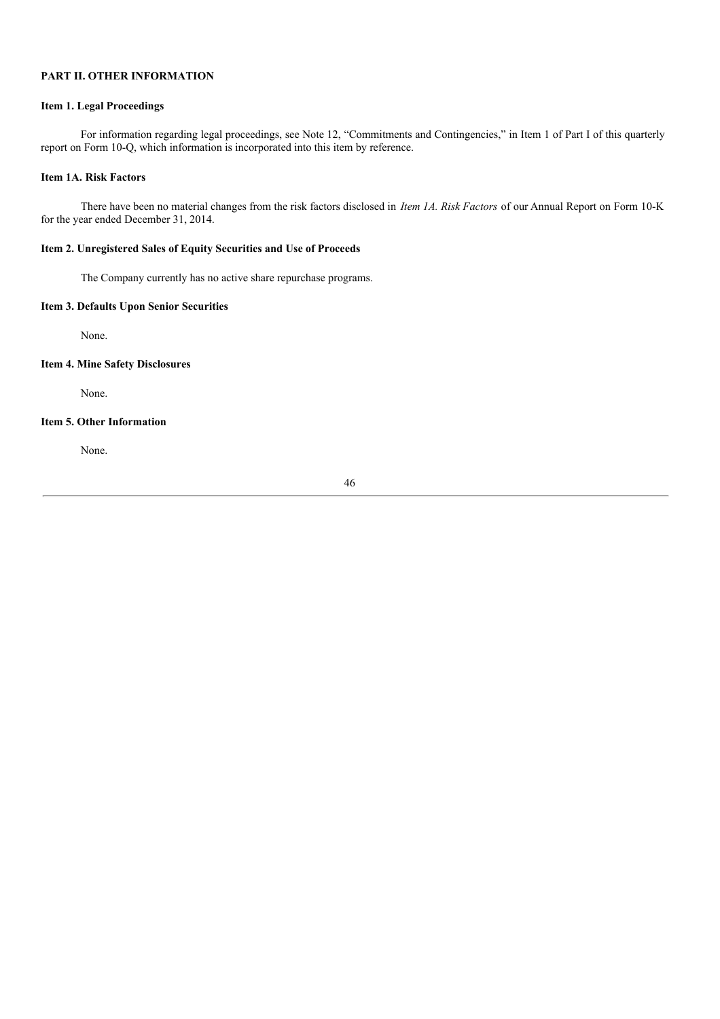# **PART II. OTHER INFORMATION**

# **Item 1. Legal Proceedings**

For information regarding legal proceedings, see Note 12, "Commitments and Contingencies," in Item 1 of Part I of this quarterly report on Form 10-Q, which information is incorporated into this item by reference.

## **Item 1A. Risk Factors**

There have been no material changes from the risk factors disclosed in *Item 1A. Risk Factors* of our Annual Report on Form 10-K for the year ended December 31, 2014.

## **Item 2. Unregistered Sales of Equity Securities and Use of Proceeds**

The Company currently has no active share repurchase programs.

# **Item 3. Defaults Upon Senior Securities**

None.

# **Item 4. Mine Safety Disclosures**

None.

# **Item 5. Other Information**

None.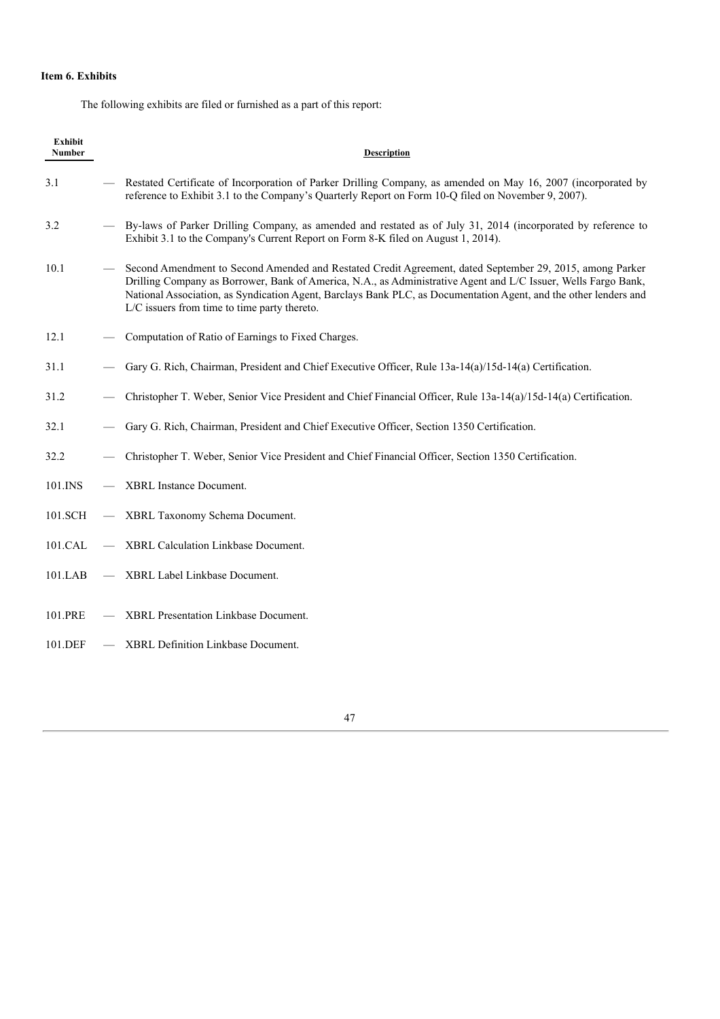# **Item 6. Exhibits**

The following exhibits are filed or furnished as a part of this report:

| <b>Exhibit</b><br><b>Number</b> | <b>Description</b>                                                                                                                                                                                                                                                                                                                                                                             |
|---------------------------------|------------------------------------------------------------------------------------------------------------------------------------------------------------------------------------------------------------------------------------------------------------------------------------------------------------------------------------------------------------------------------------------------|
| 3.1                             | Restated Certificate of Incorporation of Parker Drilling Company, as amended on May 16, 2007 (incorporated by<br>reference to Exhibit 3.1 to the Company's Quarterly Report on Form 10-Q filed on November 9, 2007).                                                                                                                                                                           |
| 3.2                             | By-laws of Parker Drilling Company, as amended and restated as of July 31, 2014 (incorporated by reference to<br>Exhibit 3.1 to the Company's Current Report on Form 8-K filed on August 1, 2014).                                                                                                                                                                                             |
| 10.1                            | Second Amendment to Second Amended and Restated Credit Agreement, dated September 29, 2015, among Parker<br>Drilling Company as Borrower, Bank of America, N.A., as Administrative Agent and L/C Issuer, Wells Fargo Bank,<br>National Association, as Syndication Agent, Barclays Bank PLC, as Documentation Agent, and the other lenders and<br>L/C issuers from time to time party thereto. |
| 12.1                            | Computation of Ratio of Earnings to Fixed Charges.                                                                                                                                                                                                                                                                                                                                             |
| 31.1                            | Gary G. Rich, Chairman, President and Chief Executive Officer, Rule 13a-14(a)/15d-14(a) Certification.                                                                                                                                                                                                                                                                                         |
| 31.2                            | Christopher T. Weber, Senior Vice President and Chief Financial Officer, Rule 13a-14(a)/15d-14(a) Certification.                                                                                                                                                                                                                                                                               |
| 32.1                            | Gary G. Rich, Chairman, President and Chief Executive Officer, Section 1350 Certification.                                                                                                                                                                                                                                                                                                     |
| 32.2                            | Christopher T. Weber, Senior Vice President and Chief Financial Officer, Section 1350 Certification.                                                                                                                                                                                                                                                                                           |
| 101.INS                         | XBRL Instance Document.                                                                                                                                                                                                                                                                                                                                                                        |
| 101.SCH                         | XBRL Taxonomy Schema Document.                                                                                                                                                                                                                                                                                                                                                                 |
| 101.CAL                         | XBRL Calculation Linkbase Document.                                                                                                                                                                                                                                                                                                                                                            |
| 101.LAB                         | XBRL Label Linkbase Document.                                                                                                                                                                                                                                                                                                                                                                  |
| 101.PRE                         | XBRL Presentation Linkbase Document.                                                                                                                                                                                                                                                                                                                                                           |
| 101.DEF                         | XBRL Definition Linkbase Document.                                                                                                                                                                                                                                                                                                                                                             |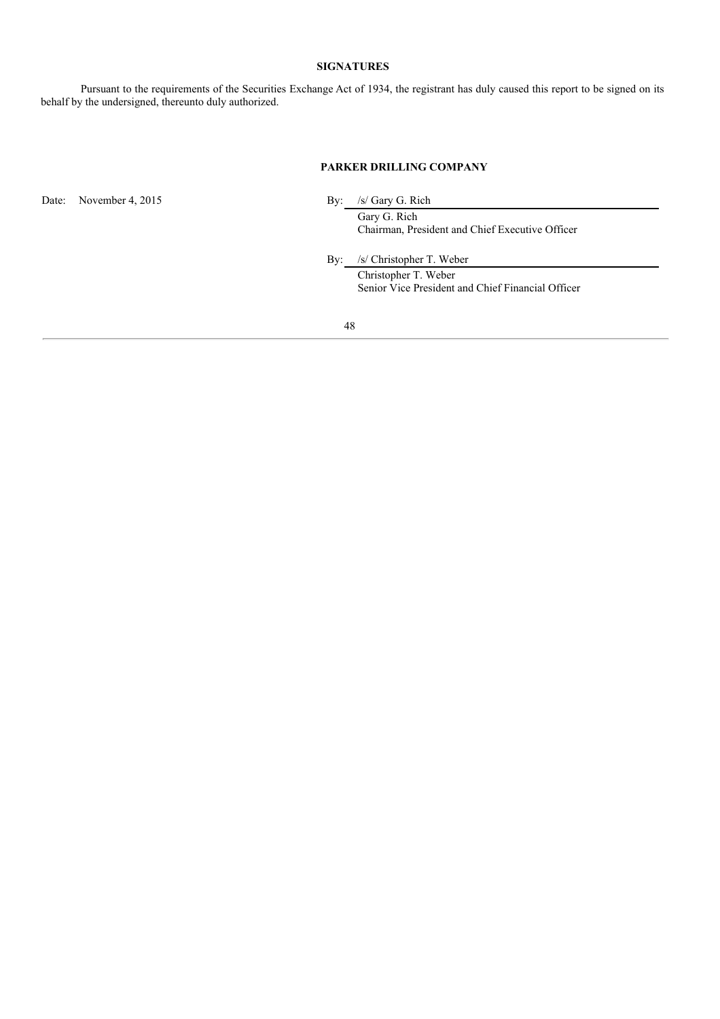# **SIGNATURES**

Pursuant to the requirements of the Securities Exchange Act of 1934, the registrant has duly caused this report to be signed on its behalf by the undersigned, thereunto duly authorized.

# **PARKER DRILLING COMPANY**

Date: November 4, 2015 By: /s/ Gary G. Rich

Gary G. Rich Chairman, President and Chief Executive Officer

By: /s/ Christopher T. Weber

Christopher T. Weber Senior Vice President and Chief Financial Officer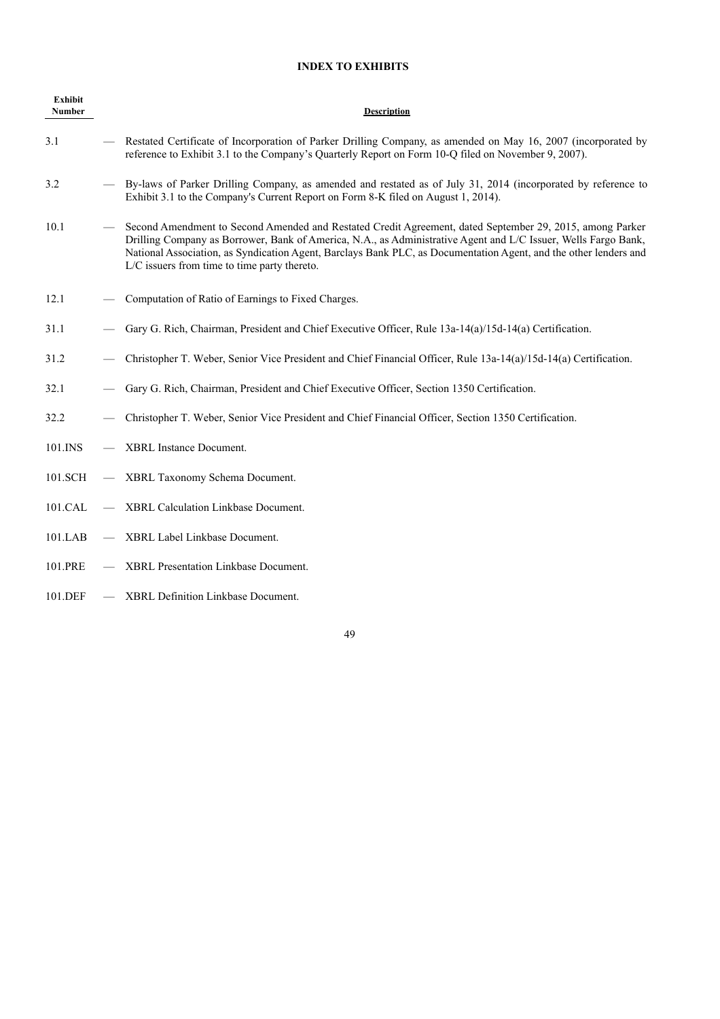# **INDEX TO EXHIBITS**

| <b>Exhibit</b><br><b>Number</b> | <b>Description</b>                                                                                                                                                                                                                                                                                                                                                                             |
|---------------------------------|------------------------------------------------------------------------------------------------------------------------------------------------------------------------------------------------------------------------------------------------------------------------------------------------------------------------------------------------------------------------------------------------|
| 3.1                             | Restated Certificate of Incorporation of Parker Drilling Company, as amended on May 16, 2007 (incorporated by<br>reference to Exhibit 3.1 to the Company's Quarterly Report on Form 10-Q filed on November 9, 2007).                                                                                                                                                                           |
| 3.2                             | By-laws of Parker Drilling Company, as amended and restated as of July 31, 2014 (incorporated by reference to<br>Exhibit 3.1 to the Company's Current Report on Form 8-K filed on August 1, 2014).                                                                                                                                                                                             |
| 10.1                            | Second Amendment to Second Amended and Restated Credit Agreement, dated September 29, 2015, among Parker<br>Drilling Company as Borrower, Bank of America, N.A., as Administrative Agent and L/C Issuer, Wells Fargo Bank,<br>National Association, as Syndication Agent, Barclays Bank PLC, as Documentation Agent, and the other lenders and<br>L/C issuers from time to time party thereto. |
| 12.1                            | Computation of Ratio of Earnings to Fixed Charges.                                                                                                                                                                                                                                                                                                                                             |
| 31.1                            | Gary G. Rich, Chairman, President and Chief Executive Officer, Rule 13a-14(a)/15d-14(a) Certification.                                                                                                                                                                                                                                                                                         |
| 31.2                            | Christopher T. Weber, Senior Vice President and Chief Financial Officer, Rule 13a-14(a)/15d-14(a) Certification.                                                                                                                                                                                                                                                                               |
| 32.1                            | Gary G. Rich, Chairman, President and Chief Executive Officer, Section 1350 Certification.                                                                                                                                                                                                                                                                                                     |
| 32.2                            | Christopher T. Weber, Senior Vice President and Chief Financial Officer, Section 1350 Certification.                                                                                                                                                                                                                                                                                           |
| 101.INS                         | <b>XBRL</b> Instance Document.                                                                                                                                                                                                                                                                                                                                                                 |
| 101.SCH                         | XBRL Taxonomy Schema Document.                                                                                                                                                                                                                                                                                                                                                                 |
| 101.CAL                         | XBRL Calculation Linkbase Document.                                                                                                                                                                                                                                                                                                                                                            |
| 101.LAB                         | XBRL Label Linkbase Document.                                                                                                                                                                                                                                                                                                                                                                  |
| 101.PRE                         | <b>XBRL Presentation Linkbase Document.</b>                                                                                                                                                                                                                                                                                                                                                    |
| 101.DEF                         | <b>XBRL Definition Linkbase Document.</b>                                                                                                                                                                                                                                                                                                                                                      |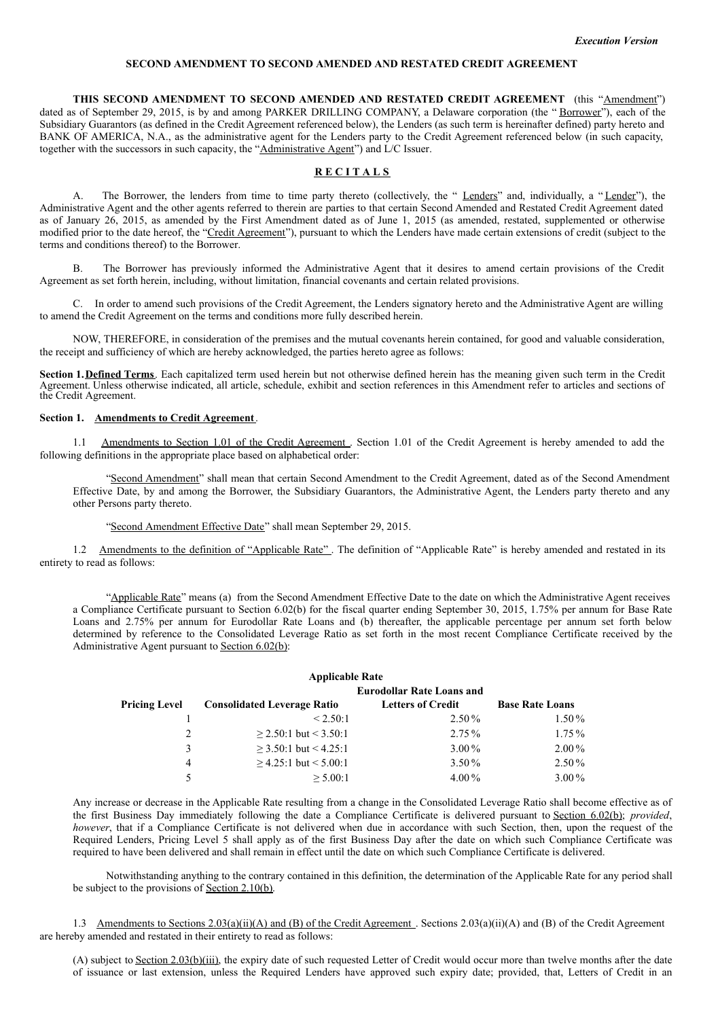### **SECOND AMENDMENT TO SECOND AMENDED AND RESTATED CREDIT AGREEMENT**

**THIS SECOND AMENDMENT TO SECOND AMENDED AND RESTATED CREDIT AGREEMENT** (this "Amendment") dated as of September 29, 2015, is by and among PARKER DRILLING COMPANY, a Delaware corporation (the "Borrower"), each of the Subsidiary Guarantors (as defined in the Credit Agreement referenced below), the Lenders (as such term is hereinafter defined) party hereto and BANK OF AMERICA, N.A., as the administrative agent for the Lenders party to the Credit Agreement referenced below (in such capacity, together with the successors in such capacity, the "Administrative Agent") and L/C Issuer.

#### **R E C I T A L S**

A. The Borrower, the lenders from time to time party thereto (collectively, the " Lenders" and, individually, a "Lender"), the Administrative Agent and the other agents referred to therein are parties to that certain Second Amended and Restated Credit Agreement dated as of January 26, 2015, as amended by the First Amendment dated as of June 1, 2015 (as amended, restated, supplemented or otherwise modified prior to the date hereof, the "Credit Agreement"), pursuant to which the Lenders have made certain extensions of credit (subject to the terms and conditions thereof) to the Borrower.

B. The Borrower has previously informed the Administrative Agent that it desires to amend certain provisions of the Credit Agreement as set forth herein, including, without limitation, financial covenants and certain related provisions.

C. In order to amend such provisions of the Credit Agreement, the Lenders signatory hereto and the Administrative Agent are willing to amend the Credit Agreement on the terms and conditions more fully described herein.

NOW, THEREFORE, in consideration of the premises and the mutual covenants herein contained, for good and valuable consideration, the receipt and sufficiency of which are hereby acknowledged, the parties hereto agree as follows:

**Section 1.Defined Terms**. Each capitalized term used herein but not otherwise defined herein has the meaning given such term in the Credit Agreement. Unless otherwise indicated, all article, schedule, exhibit and section references in this Amendment refer to articles and sections of the Credit Agreement.

# **Section 1. Amendments to Credit Agreement**.

1.1 Amendments to Section 1.01 of the Credit Agreement . Section 1.01 of the Credit Agreement is hereby amended to add the following definitions in the appropriate place based on alphabetical order:

"Second Amendment" shall mean that certain Second Amendment to the Credit Agreement, dated as of the Second Amendment Effective Date, by and among the Borrower, the Subsidiary Guarantors, the Administrative Agent, the Lenders party thereto and any other Persons party thereto.

"Second Amendment Effective Date" shall mean September 29, 2015.

1.2 Amendments to the definition of "Applicable Rate". The definition of "Applicable Rate" is hereby amended and restated in its entirety to read as follows:

"Applicable Rate" means (a) from the Second Amendment Effective Date to the date on which the Administrative Agent receives a Compliance Certificate pursuant to Section 6.02(b) for the fiscal quarter ending September 30, 2015, 1.75% per annum for Base Rate Loans and 2.75% per annum for Eurodollar Rate Loans and (b) thereafter, the applicable percentage per annum set forth below determined by reference to the Consolidated Leverage Ratio as set forth in the most recent Compliance Certificate received by the Administrative Agent pursuant to Section 6.02(b):

| <b>Applicable Rate</b>           |                                    |                          |                        |  |  |  |
|----------------------------------|------------------------------------|--------------------------|------------------------|--|--|--|
| <b>Eurodollar Rate Loans and</b> |                                    |                          |                        |  |  |  |
| <b>Pricing Level</b>             | <b>Consolidated Leverage Ratio</b> | <b>Letters of Credit</b> | <b>Base Rate Loans</b> |  |  |  |
|                                  | < 2.50:1                           | $2.50\%$                 | $1.50\%$               |  |  |  |
| 2                                | $\geq$ 2.50:1 but < 3.50:1         | $2.75\%$                 | $1.75\%$               |  |  |  |
| 3                                | $>$ 3.50:1 but $<$ 4.25:1          | $3.00\%$                 | $2.00\%$               |  |  |  |
| $\overline{4}$                   | $>$ 4.25:1 but $<$ 5.00:1          | $3.50\%$                 | $2.50\%$               |  |  |  |
| 5                                | > 5.00:1                           | 4.00 $\%$                | $3.00\%$               |  |  |  |

Any increase or decrease in the Applicable Rate resulting from a change in the Consolidated Leverage Ratio shall become effective as of the first Business Day immediately following the date a Compliance Certificate is delivered pursuant to Section 6.02(b); *provided*, *however*, that if a Compliance Certificate is not delivered when due in accordance with such Section, then, upon the request of the Required Lenders, Pricing Level 5 shall apply as of the first Business Day after the date on which such Compliance Certificate was required to have been delivered and shall remain in effect until the date on which such Compliance Certificate is delivered.

Notwithstanding anything to the contrary contained in this definition, the determination of the Applicable Rate for any period shall be subject to the provisions of Section 2.10(b).

1.3 Amendments to Sections 2.03(a)(ii)(A) and (B) of the Credit Agreement . Sections 2.03(a)(ii)(A) and (B) of the Credit Agreement are hereby amended and restated in their entirety to read as follows:

(A) subject to Section 2.03(b)(iii), the expiry date of such requested Letter of Credit would occur more than twelve months after the date of issuance or last extension, unless the Required Lenders have approved such expiry date; provided, that, Letters of Credit in an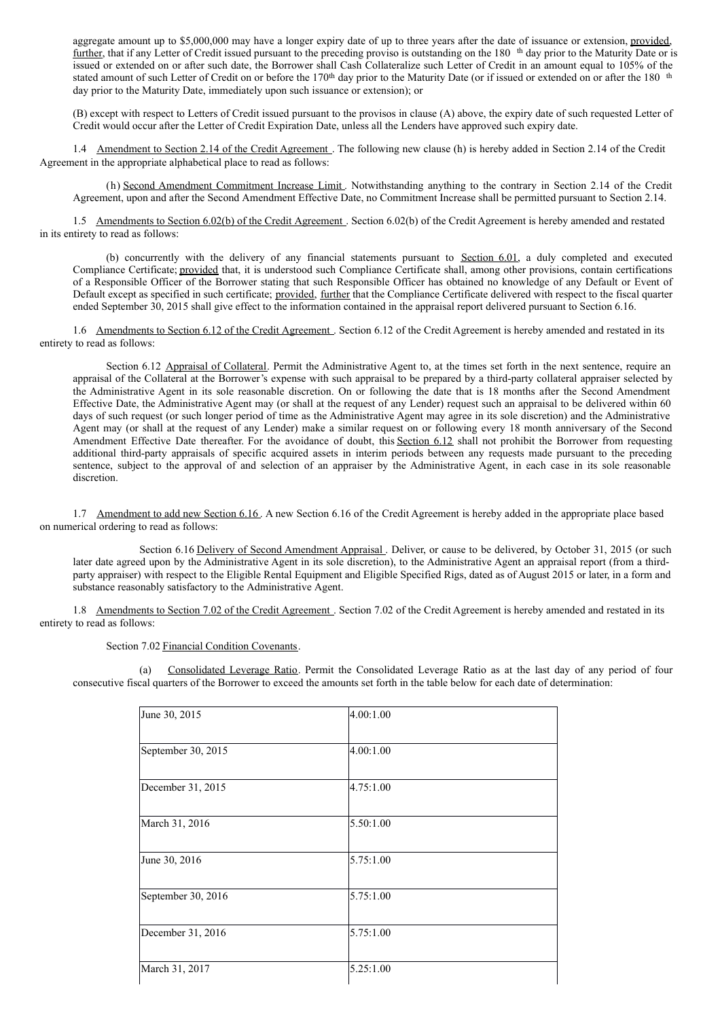aggregate amount up to \$5,000,000 may have a longer expiry date of up to three years after the date of issuance or extension, provided, further, that if any Letter of Credit issued pursuant to the preceding proviso is outstanding on the 180<sup>th</sup> day prior to the Maturity Date or is issued or extended on or after such date, the Borrower shall Cash Collateralize such Letter of Credit in an amount equal to 105% of the stated amount of such Letter of Credit on or before the 170<sup>th</sup> day prior to the Maturity Date (or if issued or extended on or after the 180<sup>th</sup> day prior to the Maturity Date, immediately upon such issuance or extension); or

(B) except with respect to Letters of Credit issued pursuant to the provisos in clause (A) above, the expiry date of such requested Letter of Credit would occur after the Letter of Credit Expiration Date, unless all the Lenders have approved such expiry date.

1.4 Amendment to Section 2.14 of the Credit Agreement . The following new clause (h) is hereby added in Section 2.14 of the Credit Agreement in the appropriate alphabetical place to read as follows:

(h) Second Amendment Commitment Increase Limit. Notwithstanding anything to the contrary in Section 2.14 of the Credit Agreement, upon and after the Second Amendment Effective Date, no Commitment Increase shall be permitted pursuant to Section 2.14.

1.5 Amendments to Section 6.02(b) of the Credit Agreement . Section 6.02(b) of the Credit Agreement is hereby amended and restated in its entirety to read as follows:

(b) concurrently with the delivery of any financial statements pursuant to Section 6.01, a duly completed and executed Compliance Certificate; provided that, it is understood such Compliance Certificate shall, among other provisions, contain certifications of a Responsible Officer of the Borrower stating that such Responsible Officer has obtained no knowledge of any Default or Event of Default except as specified in such certificate; provided, further that the Compliance Certificate delivered with respect to the fiscal quarter ended September 30, 2015 shall give effect to the information contained in the appraisal report delivered pursuant to Section 6.16.

1.6 Amendments to Section 6.12 of the Credit Agreement . Section 6.12 of the Credit Agreement is hereby amended and restated in its entirety to read as follows:

Section 6.12 Appraisal of Collateral. Permit the Administrative Agent to, at the times set forth in the next sentence, require an appraisal of the Collateral at the Borrower's expense with such appraisal to be prepared by a third-party collateral appraiser selected by the Administrative Agent in its sole reasonable discretion. On or following the date that is 18 months after the Second Amendment Effective Date, the Administrative Agent may (or shall at the request of any Lender) request such an appraisal to be delivered within 60 days of such request (or such longer period of time as the Administrative Agent may agree in its sole discretion) and the Administrative Agent may (or shall at the request of any Lender) make a similar request on or following every 18 month anniversary of the Second Amendment Effective Date thereafter. For the avoidance of doubt, this Section 6.12 shall not prohibit the Borrower from requesting additional third-party appraisals of specific acquired assets in interim periods between any requests made pursuant to the preceding sentence, subject to the approval of and selection of an appraiser by the Administrative Agent, in each case in its sole reasonable discretion.

1.7 Amendment to add new Section 6.16. A new Section 6.16 of the Credit Agreement is hereby added in the appropriate place based on numerical ordering to read as follows:

Section 6.16 Delivery of Second Amendment Appraisal . Deliver, or cause to be delivered, by October 31, 2015 (or such later date agreed upon by the Administrative Agent in its sole discretion), to the Administrative Agent an appraisal report (from a thirdparty appraiser) with respect to the Eligible Rental Equipment and Eligible Specified Rigs, dated as of August 2015 or later, in a form and substance reasonably satisfactory to the Administrative Agent.

1.8 Amendments to Section 7.02 of the Credit Agreement . Section 7.02 of the Credit Agreement is hereby amended and restated in its entirety to read as follows:

Section 7.02 Financial Condition Covenants.

(a) Consolidated Leverage Ratio. Permit the Consolidated Leverage Ratio as at the last day of any period of four consecutive fiscal quarters of the Borrower to exceed the amounts set forth in the table below for each date of determination:

| June 30, 2015      | 4.00:1.00 |  |
|--------------------|-----------|--|
| September 30, 2015 | 4.00:1.00 |  |
| December 31, 2015  | 4.75:1.00 |  |
| March 31, 2016     | 5.50:1.00 |  |
| June 30, 2016      | 5.75:1.00 |  |
| September 30, 2016 | 5.75:1.00 |  |
| December 31, 2016  | 5.75:1.00 |  |
| March 31, 2017     | 5.25:1.00 |  |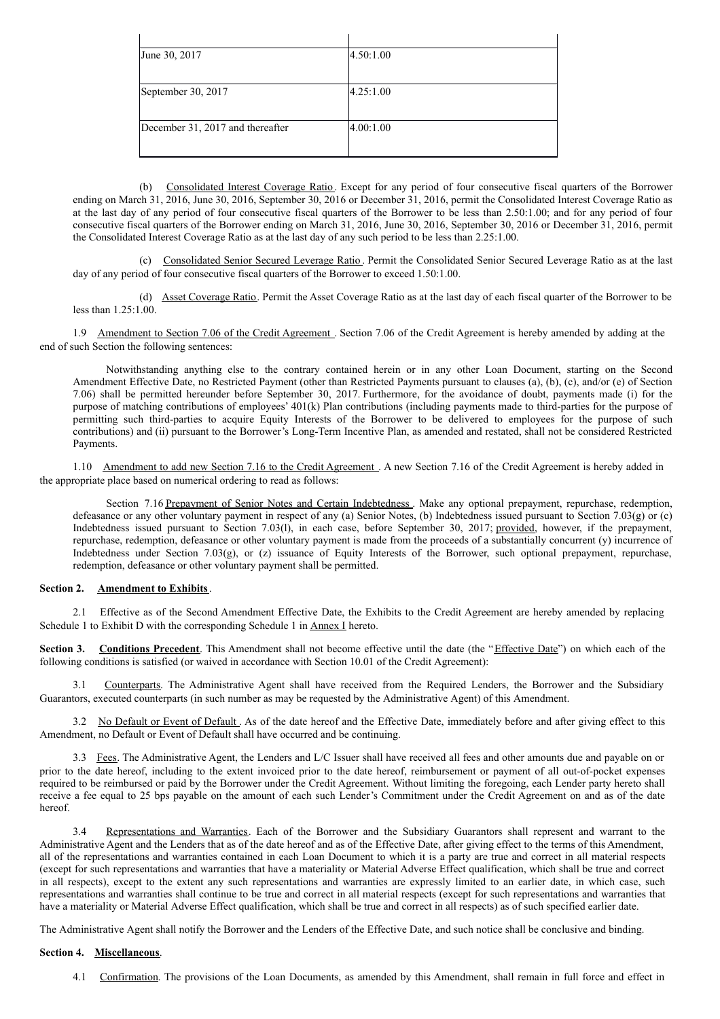| June 30, 2017                    | 4.50:1.00 |
|----------------------------------|-----------|
|                                  |           |
| September 30, 2017               | 4.25:1.00 |
|                                  |           |
| December 31, 2017 and thereafter | 4.00:1.00 |
|                                  |           |

(b) Consolidated Interest Coverage Ratio. Except for any period of four consecutive fiscal quarters of the Borrower ending on March 31, 2016, June 30, 2016, September 30, 2016 or December 31, 2016, permit the Consolidated Interest Coverage Ratio as at the last day of any period of four consecutive fiscal quarters of the Borrower to be less than 2.50:1.00; and for any period of four consecutive fiscal quarters of the Borrower ending on March 31, 2016, June 30, 2016, September 30, 2016 or December 31, 2016, permit the Consolidated Interest Coverage Ratio as at the last day of any such period to be less than 2.25:1.00.

(c) Consolidated Senior Secured Leverage Ratio . Permit the Consolidated Senior Secured Leverage Ratio as at the last day of any period of four consecutive fiscal quarters of the Borrower to exceed 1.50:1.00.

(d) Asset Coverage Ratio. Permit the Asset Coverage Ratio as at the last day of each fiscal quarter of the Borrower to be less than 1.25:1.00.

1.9 Amendment to Section 7.06 of the Credit Agreement . Section 7.06 of the Credit Agreement is hereby amended by adding at the end of such Section the following sentences:

Notwithstanding anything else to the contrary contained herein or in any other Loan Document, starting on the Second Amendment Effective Date, no Restricted Payment (other than Restricted Payments pursuant to clauses (a), (b), (c), and/or (e) of Section 7.06) shall be permitted hereunder before September 30, 2017. Furthermore, for the avoidance of doubt, payments made (i) for the purpose of matching contributions of employees' 401(k) Plan contributions (including payments made to third-parties for the purpose of permitting such third-parties to acquire Equity Interests of the Borrower to be delivered to employees for the purpose of such contributions) and (ii) pursuant to the Borrower's Long-Term Incentive Plan, as amended and restated, shall not be considered Restricted Payments.

1.10 Amendment to add new Section 7.16 to the Credit Agreement . A new Section 7.16 of the Credit Agreement is hereby added in the appropriate place based on numerical ordering to read as follows:

Section 7.16 Prepayment of Senior Notes and Certain Indebtedness. Make any optional prepayment, repurchase, redemption, defeasance or any other voluntary payment in respect of any (a) Senior Notes, (b) Indebtedness issued pursuant to Section 7.03(g) or (c) Indebtedness issued pursuant to Section 7.03(l), in each case, before September 30, 2017; provided, however, if the prepayment, repurchase, redemption, defeasance or other voluntary payment is made from the proceeds of a substantially concurrent (y) incurrence of Indebtedness under Section 7.03(g), or (z) issuance of Equity Interests of the Borrower, such optional prepayment, repurchase, redemption, defeasance or other voluntary payment shall be permitted.

# **Section 2. Amendment to Exhibits**.

2.1 Effective as of the Second Amendment Effective Date, the Exhibits to the Credit Agreement are hereby amended by replacing Schedule 1 to Exhibit D with the corresponding Schedule 1 in Annex I hereto.

**Section 3. Conditions Precedent**. This Amendment shall not become effective until the date (the "Effective Date") on which each of the following conditions is satisfied (or waived in accordance with Section 10.01 of the Credit Agreement):

3.1 Counterparts. The Administrative Agent shall have received from the Required Lenders, the Borrower and the Subsidiary Guarantors, executed counterparts (in such number as may be requested by the Administrative Agent) of this Amendment.

3.2 No Default or Event of Default. As of the date hereof and the Effective Date, immediately before and after giving effect to this Amendment, no Default or Event of Default shall have occurred and be continuing.

3.3 Fees. The Administrative Agent, the Lenders and L/C Issuer shall have received all fees and other amounts due and payable on or prior to the date hereof, including to the extent invoiced prior to the date hereof, reimbursement or payment of all out-of-pocket expenses required to be reimbursed or paid by the Borrower under the Credit Agreement. Without limiting the foregoing, each Lender party hereto shall receive a fee equal to 25 bps payable on the amount of each such Lender's Commitment under the Credit Agreement on and as of the date hereof.

3.4 Representations and Warranties. Each of the Borrower and the Subsidiary Guarantors shall represent and warrant to the Administrative Agent and the Lenders that as of the date hereof and as of the Effective Date, after giving effect to the terms of this Amendment, all of the representations and warranties contained in each Loan Document to which it is a party are true and correct in all material respects (except for such representations and warranties that have a materiality or Material Adverse Effect qualification, which shall be true and correct in all respects), except to the extent any such representations and warranties are expressly limited to an earlier date, in which case, such representations and warranties shall continue to be true and correct in all material respects (except for such representations and warranties that have a materiality or Material Adverse Effect qualification, which shall be true and correct in all respects) as of such specified earlier date.

The Administrative Agent shall notify the Borrower and the Lenders of the Effective Date, and such notice shall be conclusive and binding.

#### **Section 4. Miscellaneous**.

4.1 Confirmation. The provisions of the Loan Documents, as amended by this Amendment, shall remain in full force and effect in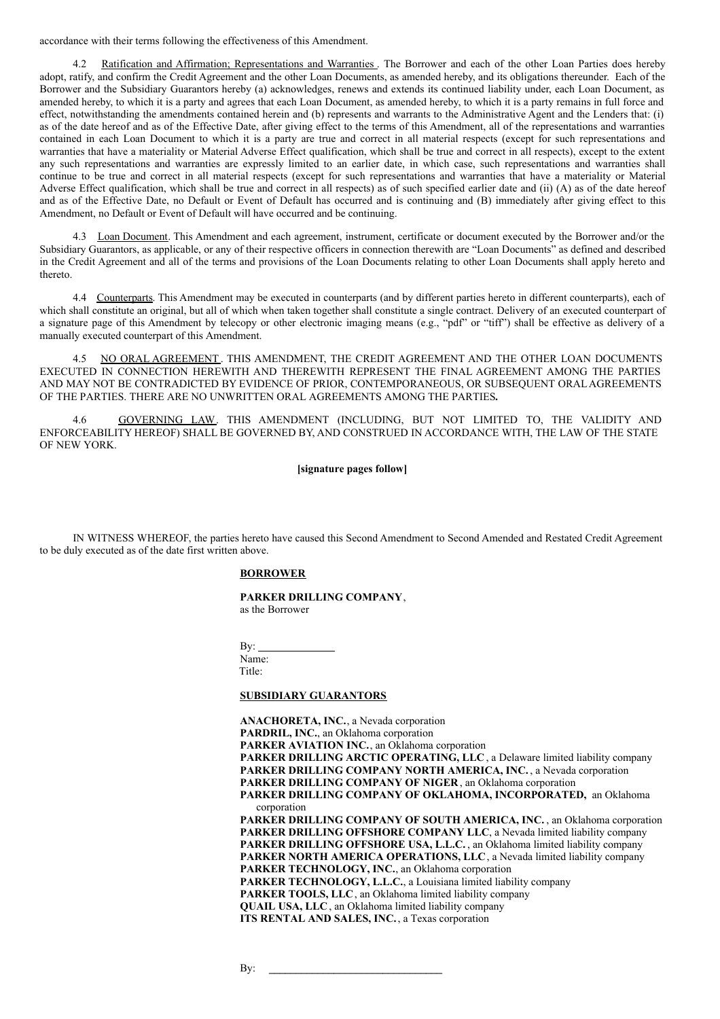accordance with their terms following the effectiveness of this Amendment.

4.2 Ratification and Affirmation; Representations and Warranties . The Borrower and each of the other Loan Parties does hereby adopt, ratify, and confirm the Credit Agreement and the other Loan Documents, as amended hereby, and its obligations thereunder. Each of the Borrower and the Subsidiary Guarantors hereby (a) acknowledges, renews and extends its continued liability under, each Loan Document, as amended hereby, to which it is a party and agrees that each Loan Document, as amended hereby, to which it is a party remains in full force and effect, notwithstanding the amendments contained herein and (b) represents and warrants to the Administrative Agent and the Lenders that: (i) as of the date hereof and as of the Effective Date, after giving effect to the terms of this Amendment, all of the representations and warranties contained in each Loan Document to which it is a party are true and correct in all material respects (except for such representations and warranties that have a materiality or Material Adverse Effect qualification, which shall be true and correct in all respects), except to the extent any such representations and warranties are expressly limited to an earlier date, in which case, such representations and warranties shall continue to be true and correct in all material respects (except for such representations and warranties that have a materiality or Material Adverse Effect qualification, which shall be true and correct in all respects) as of such specified earlier date and (ii) (A) as of the date hereof and as of the Effective Date, no Default or Event of Default has occurred and is continuing and (B) immediately after giving effect to this Amendment, no Default or Event of Default will have occurred and be continuing.

4.3 Loan Document. This Amendment and each agreement, instrument, certificate or document executed by the Borrower and/or the Subsidiary Guarantors, as applicable, or any of their respective officers in connection therewith are "Loan Documents" as defined and described in the Credit Agreement and all of the terms and provisions of the Loan Documents relating to other Loan Documents shall apply hereto and thereto.

4.4 Counterparts. This Amendment may be executed in counterparts (and by different parties hereto in different counterparts), each of which shall constitute an original, but all of which when taken together shall constitute a single contract. Delivery of an executed counterpart of a signature page of this Amendment by telecopy or other electronic imaging means (e.g., "pdf" or "tiff") shall be effective as delivery of a manually executed counterpart of this Amendment.

4.5 NO ORAL AGREEMENT . THIS AMENDMENT, THE CREDIT AGREEMENT AND THE OTHER LOAN DOCUMENTS EXECUTED IN CONNECTION HEREWITH AND THEREWITH REPRESENT THE FINAL AGREEMENT AMONG THE PARTIES AND MAY NOT BE CONTRADICTED BY EVIDENCE OF PRIOR, CONTEMPORANEOUS, OR SUBSEQUENT ORALAGREEMENTS OF THE PARTIES. THERE ARE NO UNWRITTEN ORAL AGREEMENTS AMONG THE PARTIES**.**

4.6 GOVERNING LAW. THIS AMENDMENT (INCLUDING, BUT NOT LIMITED TO, THE VALIDITY AND ENFORCEABILITY HEREOF) SHALL BE GOVERNED BY, AND CONSTRUED IN ACCORDANCE WITH, THE LAW OF THE STATE OF NEW YORK.

**[signature pages follow]**

IN WITNESS WHEREOF, the parties hereto have caused this Second Amendment to Second Amended and Restated Credit Agreement to be duly executed as of the date first written above.

#### **BORROWER**

#### **PARKER DRILLING COMPANY**, as the Borrower

By: Name: Title:

#### **SUBSIDIARY GUARANTORS**

**ANACHORETA, INC.**, a Nevada corporation **PARDRIL, INC.**, an Oklahoma corporation **PARKER AVIATION INC.**, an Oklahoma corporation **PARKER DRILLING ARCTIC OPERATING, LLC** , a Delaware limited liability company **PARKER DRILLING COMPANY NORTH AMERICA, INC.** , a Nevada corporation **PARKER DRILLING COMPANY OF NIGER**, an Oklahoma corporation **PARKER DRILLING COMPANY OF OKLAHOMA, INCORPORATED,** an Oklahoma corporation **PARKER DRILLING COMPANY OF SOUTH AMERICA, INC.** , an Oklahoma corporation **PARKER DRILLING OFFSHORE COMPANY LLC**, a Nevada limited liability company **PARKER DRILLING OFFSHORE USA, L.L.C.** , an Oklahoma limited liability company **PARKER NORTH AMERICA OPERATIONS, LLC**, a Nevada limited liability company **PARKER TECHNOLOGY, INC.**, an Oklahoma corporation **PARKER TECHNOLOGY, L.L.C.**, a Louisiana limited liability company **PARKER TOOLS, LLC**, an Oklahoma limited liability company **QUAIL USA, LLC**, an Oklahoma limited liability company **ITS RENTAL AND SALES, INC.** , a Texas corporation

By: **\_\_\_\_\_\_\_\_\_\_\_\_\_\_\_\_\_\_\_\_\_\_\_\_\_\_\_\_\_\_\_\_**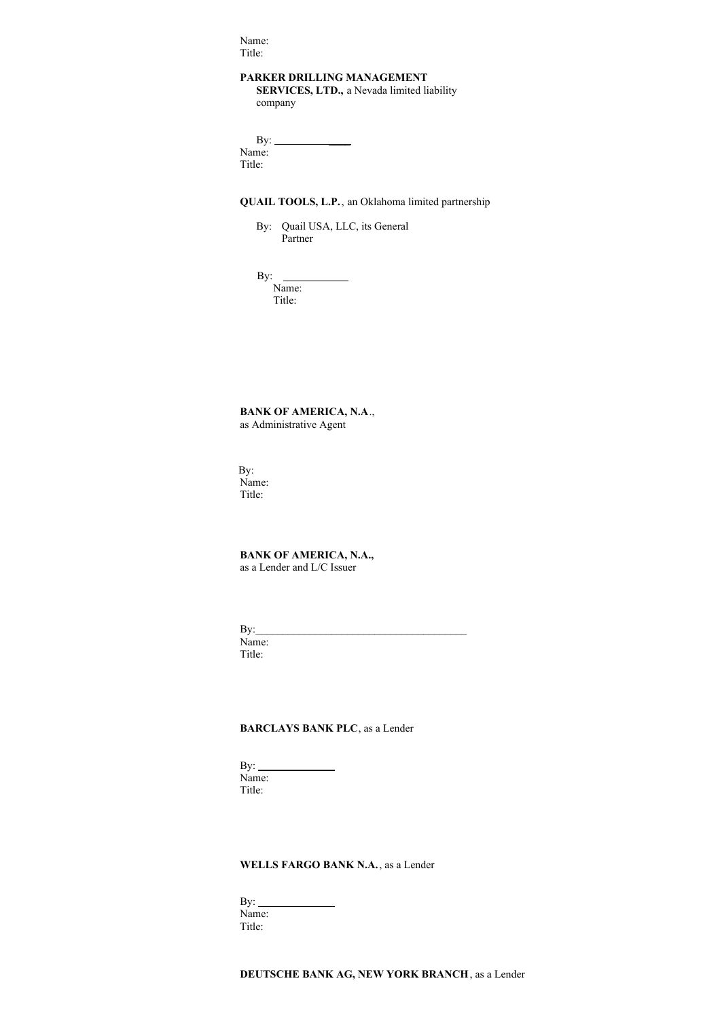Name: Title:

# **PARKER DRILLING MANAGEMENT**

**SERVICES, LTD.,** a Nevada limited liability company

| By: $\overline{\phantom{0}}$ |  |
|------------------------------|--|
| Name:                        |  |
| Title:                       |  |

**QUAIL TOOLS, L.P.**, an Oklahoma limited partnership

By: Quail USA, LLC, its General Partner

By:

Name: Title:

**BANK OF AMERICA, N.A**., as Administrative Agent

By: Name: Title:

**BANK OF AMERICA, N.A.,** as a Lender and L/C Issuer

| By:    |  |  |
|--------|--|--|
| Name:  |  |  |
| Title: |  |  |

# **BARCLAYS BANK PLC**, as a Lender

By:  $\_$ Name: Title:

## **WELLS FARGO BANK N.A.**, as a Lender

By:  $\overline{\phantom{a}}$ Name: Title:

**DEUTSCHE BANK AG, NEW YORK BRANCH**, as a Lender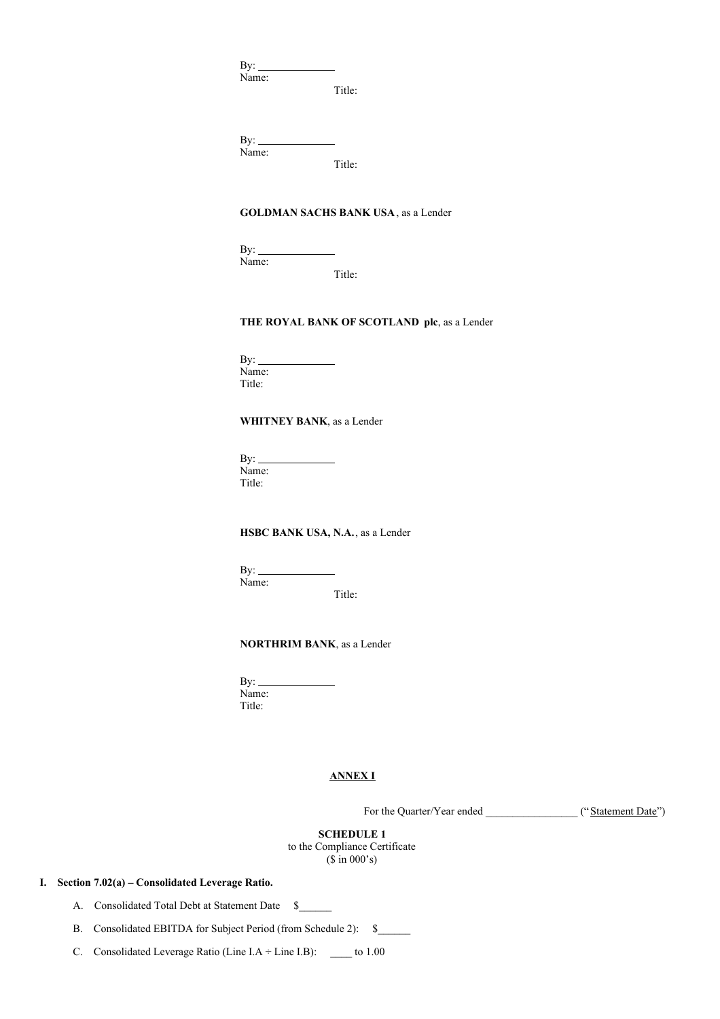| By:   |        |
|-------|--------|
| Name: |        |
|       | Title: |

 $By:$ Name:

Title:

# **GOLDMAN SACHS BANK USA**, as a Lender

Title:

 $By:$ Name:

## **THE ROYAL BANK OF SCOTLAND plc**, as a Lender

 $By:$ Name: Title:

# **WHITNEY BANK**, as a Lender

By: Name: Title:

#### **HSBC BANK USA, N.A.**, as a Lender

 $By:$ Name:

Title:

# **NORTHRIM BANK**, as a Lender

 $By:$ Name: Title:

# **ANNEX I**

For the Quarter/Year ended \_\_\_\_\_\_\_\_\_\_\_\_\_\_\_\_\_\_\_\_\_\_\_ ("Statement Date")

**SCHEDULE 1** to the Compliance Certificate (\$ in 000's)

## **I. Section 7.02(a) – Consolidated Leverage Ratio.**

A. Consolidated Total Debt at Statement Date \$

B. Consolidated EBITDA for Subject Period (from Schedule 2): \$

C. Consolidated Leverage Ratio (Line I.A  $\div$  Line I.B): \_\_\_\_\_ to 1.00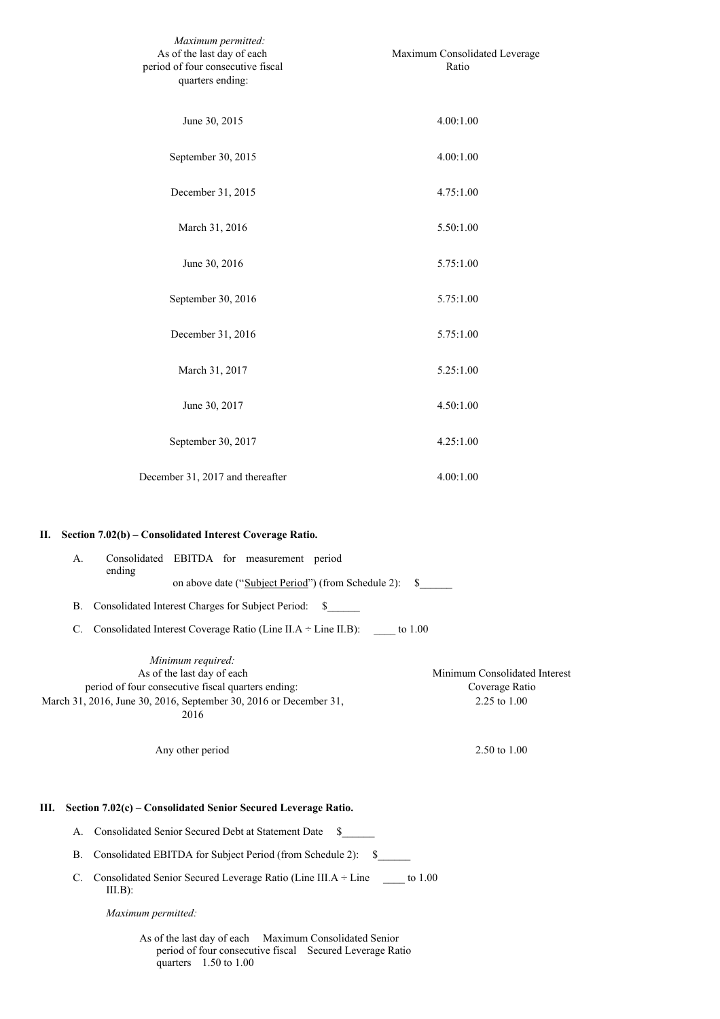|    |    |        | Maximum permitted:<br>As of the last day of each<br>period of four consecutive fiscal<br>quarters ending:                                                                          |                               | Maximum Consolidated Leverage<br>Ratio                          |
|----|----|--------|------------------------------------------------------------------------------------------------------------------------------------------------------------------------------------|-------------------------------|-----------------------------------------------------------------|
|    |    |        | June 30, 2015                                                                                                                                                                      |                               | 4.00:1.00                                                       |
|    |    |        | September 30, 2015                                                                                                                                                                 |                               | 4.00:1.00                                                       |
|    |    |        | December 31, 2015                                                                                                                                                                  |                               | 4.75:1.00                                                       |
|    |    |        | March 31, 2016                                                                                                                                                                     |                               | 5.50:1.00                                                       |
|    |    |        | June 30, 2016                                                                                                                                                                      |                               | 5.75:1.00                                                       |
|    |    |        | September 30, 2016                                                                                                                                                                 |                               | 5.75:1.00                                                       |
|    |    |        | December 31, 2016                                                                                                                                                                  |                               | 5.75:1.00                                                       |
|    |    |        | March 31, 2017                                                                                                                                                                     |                               | 5.25:1.00                                                       |
|    |    |        | June 30, 2017                                                                                                                                                                      |                               | 4.50:1.00                                                       |
|    |    |        | September 30, 2017                                                                                                                                                                 |                               | 4.25:1.00                                                       |
|    |    |        | December 31, 2017 and thereafter                                                                                                                                                   |                               | 4.00:1.00                                                       |
| П. |    |        | Section 7.02(b) - Consolidated Interest Coverage Ratio.                                                                                                                            |                               |                                                                 |
|    |    |        |                                                                                                                                                                                    |                               |                                                                 |
|    | А. | ending | Consolidated EBITDA for measurement period                                                                                                                                         |                               |                                                                 |
|    |    |        | on above date ("Subject Period") (from Schedule 2): \$                                                                                                                             |                               |                                                                 |
|    | В. |        | Consolidated Interest Charges for Subject Period: \$                                                                                                                               |                               |                                                                 |
|    | C. |        | Consolidated Interest Coverage Ratio (Line II.A $\div$ Line II.B): ______ to 1.00                                                                                                  |                               |                                                                 |
|    |    |        | Minimum required:<br>As of the last day of each<br>period of four consecutive fiscal quarters ending:<br>March 31, 2016, June 30, 2016, September 30, 2016 or December 31,<br>2016 |                               | Minimum Consolidated Interest<br>Coverage Ratio<br>2.25 to 1.00 |
|    |    |        | Any other period                                                                                                                                                                   |                               | 2.50 to 1.00                                                    |
| Ш. |    |        | Section 7.02(c) - Consolidated Senior Secured Leverage Ratio.                                                                                                                      |                               |                                                                 |
|    | А. |        | Consolidated Senior Secured Debt at Statement Date                                                                                                                                 | $\mathbb{S}$ and $\mathbb{S}$ |                                                                 |
|    |    |        |                                                                                                                                                                                    |                               |                                                                 |
|    | В. |        | Consolidated EBITDA for Subject Period (from Schedule 2): \$<br>Consolidated Sonics Sequent Lovenage Batio (Line III A $\cdot$ Line to 1.00                                        |                               |                                                                 |

C. Consolidated Senior Secured Leverage Ratio (Line III.A  $\div$  Line \_\_\_\_\_ to 1.00 III.B):

*Maximum permitted:*

As of the last day of each Maximum Consolidated Senior period of four consecutive fiscal Secured Leverage Ratio quarters  $1.50$  to  $1.00$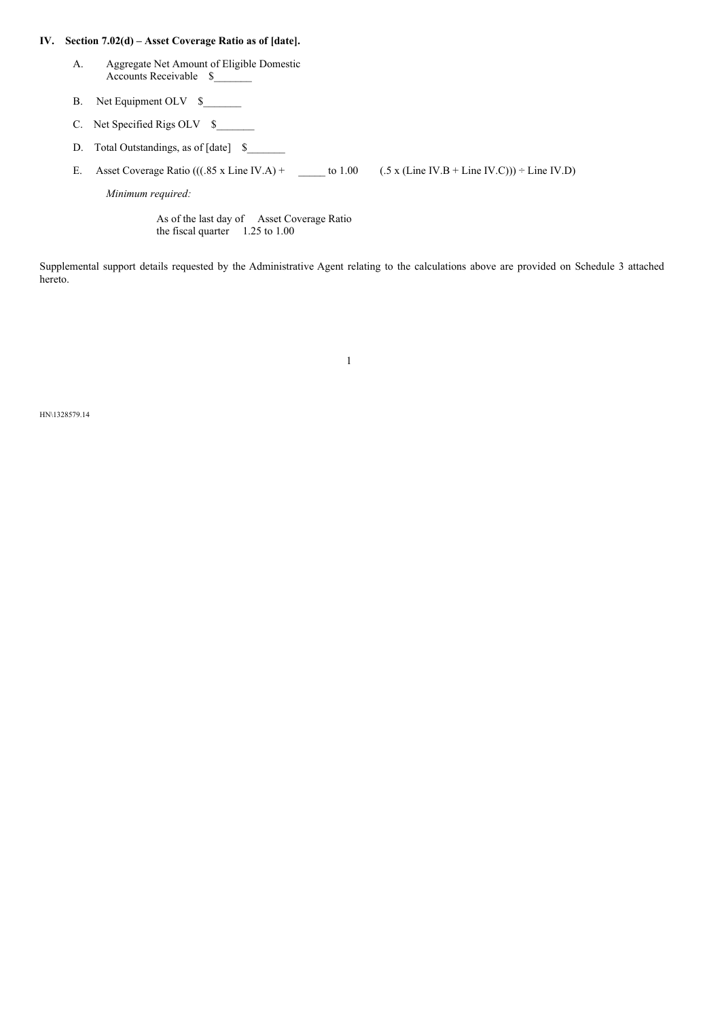## **IV. Section 7.02(d) – Asset Coverage Ratio as of [date].**

- A. Aggregate Net Amount of Eligible Domestic Accounts Receivable \$\_\_\_\_\_\_\_
- B. Net Equipment OLV  $\quad \text{S}$
- C. Net Specified Rigs OLV  $\quad \text{S}$
- D. Total Outstandings, as of [date] \$
- E. Asset Coverage Ratio (((.85 x Line IV.A) + \_\_\_\_\_\_\_ to 1.00 (.5 x (Line IV.B + Line IV.C))) ÷ Line IV.D)

*Minimum required:*

As of the last day of Asset Coverage Ratio the fiscal quarter 1.25 to 1.00

Supplemental support details requested by the Administrative Agent relating to the calculations above are provided on Schedule 3 attached hereto.

1

HN\1328579.14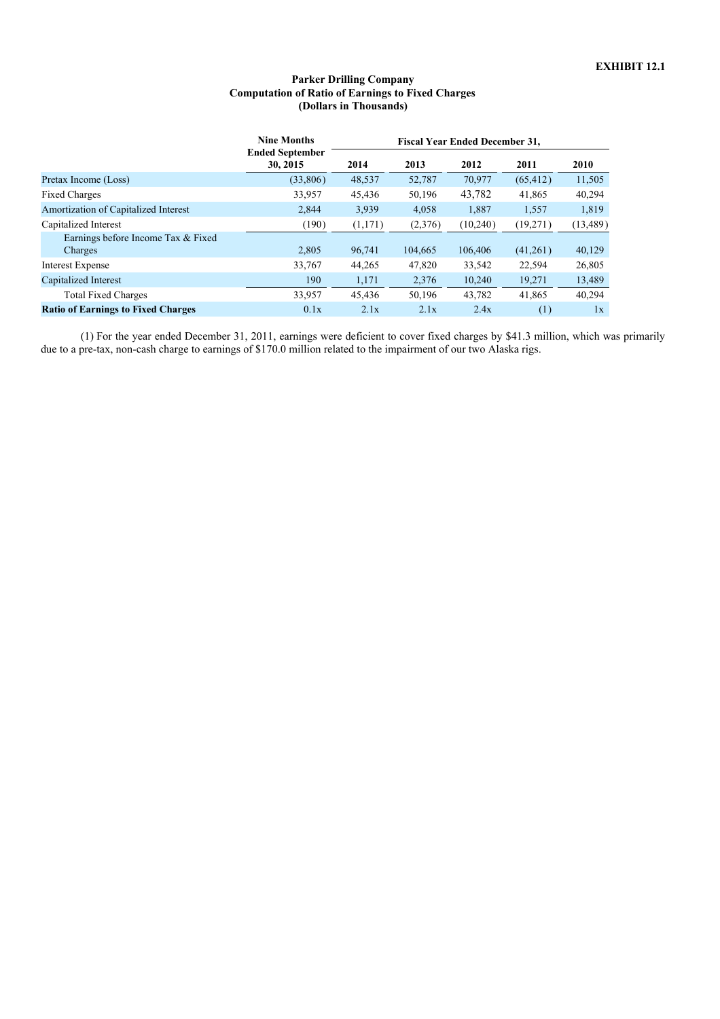# **Parker Drilling Company Computation of Ratio of Earnings to Fixed Charges (Dollars in Thousands)**

|                                               | <b>Nine Months</b>                 | <b>Fiscal Year Ended December 31,</b> |         |          |           |           |  |
|-----------------------------------------------|------------------------------------|---------------------------------------|---------|----------|-----------|-----------|--|
|                                               | <b>Ended September</b><br>30, 2015 | 2014                                  | 2013    | 2012     | 2011      | 2010      |  |
| Pretax Income (Loss)                          | (33,806)                           | 48,537                                | 52,787  | 70,977   | (65, 412) | 11,505    |  |
| <b>Fixed Charges</b>                          | 33,957                             | 45,436                                | 50,196  | 43,782   | 41,865    | 40,294    |  |
| Amortization of Capitalized Interest          | 2,844                              | 3,939                                 | 4,058   | 1,887    | 1,557     | 1,819     |  |
| Capitalized Interest                          | (190)                              | (1,171)                               | (2,376) | (10,240) | (19,271)  | (13, 489) |  |
| Earnings before Income Tax & Fixed<br>Charges | 2,805                              | 96,741                                | 104.665 | 106,406  | (41,261)  | 40,129    |  |
| Interest Expense                              | 33,767                             | 44,265                                | 47,820  | 33,542   | 22,594    | 26,805    |  |
| Capitalized Interest                          | 190                                | 1,171                                 | 2,376   | 10,240   | 19,271    | 13,489    |  |
| <b>Total Fixed Charges</b>                    | 33,957                             | 45.436                                | 50.196  | 43,782   | 41.865    | 40,294    |  |
| <b>Ratio of Earnings to Fixed Charges</b>     | 0.1x                               | 2.1x                                  | 2.1x    | 2.4x     | (1)       | 1x        |  |

(1) For the year ended December 31, 2011, earnings were deficient to cover fixed charges by \$41.3 million, which was primarily due to a pre-tax, non-cash charge to earnings of \$170.0 million related to the impairment of our two Alaska rigs.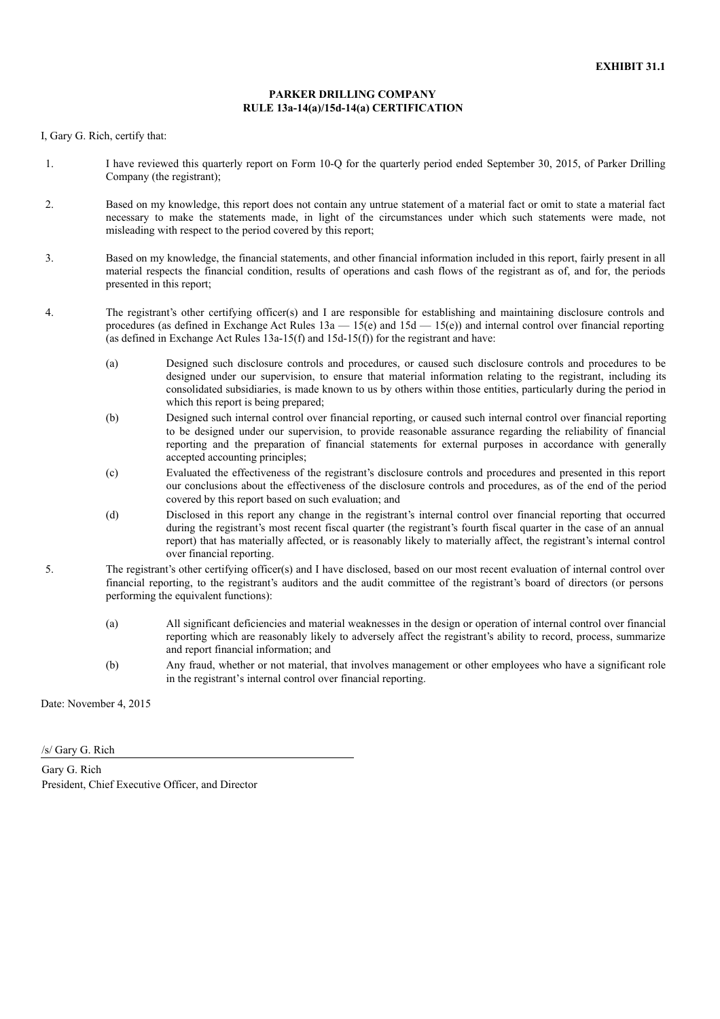# **PARKER DRILLING COMPANY RULE 13a-14(a)/15d-14(a) CERTIFICATION**

I, Gary G. Rich, certify that:

- 1. I have reviewed this quarterly report on Form 10-Q for the quarterly period ended September 30, 2015, of Parker Drilling Company (the registrant);
- 2. Based on my knowledge, this report does not contain any untrue statement of a material fact or omit to state a material fact necessary to make the statements made, in light of the circumstances under which such statements were made, not misleading with respect to the period covered by this report;
- 3. Based on my knowledge, the financial statements, and other financial information included in this report, fairly present in all material respects the financial condition, results of operations and cash flows of the registrant as of, and for, the periods presented in this report;
- 4. The registrant's other certifying officer(s) and I are responsible for establishing and maintaining disclosure controls and procedures (as defined in Exchange Act Rules  $13a - 15(e)$  and  $15d - 15(e)$ ) and internal control over financial reporting (as defined in Exchange Act Rules 13a-15(f) and 15d-15(f)) for the registrant and have:
	- (a) Designed such disclosure controls and procedures, or caused such disclosure controls and procedures to be designed under our supervision, to ensure that material information relating to the registrant, including its consolidated subsidiaries, is made known to us by others within those entities, particularly during the period in which this report is being prepared;
	- (b) Designed such internal control over financial reporting, or caused such internal control over financial reporting to be designed under our supervision, to provide reasonable assurance regarding the reliability of financial reporting and the preparation of financial statements for external purposes in accordance with generally accepted accounting principles;
	- (c) Evaluated the effectiveness of the registrant's disclosure controls and procedures and presented in this report our conclusions about the effectiveness of the disclosure controls and procedures, as of the end of the period covered by this report based on such evaluation; and
	- (d) Disclosed in this report any change in the registrant's internal control over financial reporting that occurred during the registrant's most recent fiscal quarter (the registrant's fourth fiscal quarter in the case of an annual report) that has materially affected, or is reasonably likely to materially affect, the registrant's internal control over financial reporting.
- 5. The registrant's other certifying officer(s) and I have disclosed, based on our most recent evaluation of internal control over financial reporting, to the registrant's auditors and the audit committee of the registrant's board of directors (or persons performing the equivalent functions):
	- (a) All significant deficiencies and material weaknesses in the design or operation of internal control over financial reporting which are reasonably likely to adversely affect the registrant's ability to record, process, summarize and report financial information; and
	- (b) Any fraud, whether or not material, that involves management or other employees who have a significant role in the registrant's internal control over financial reporting.

Date: November 4, 2015

/s/ Gary G. Rich

Gary G. Rich President, Chief Executive Officer, and Director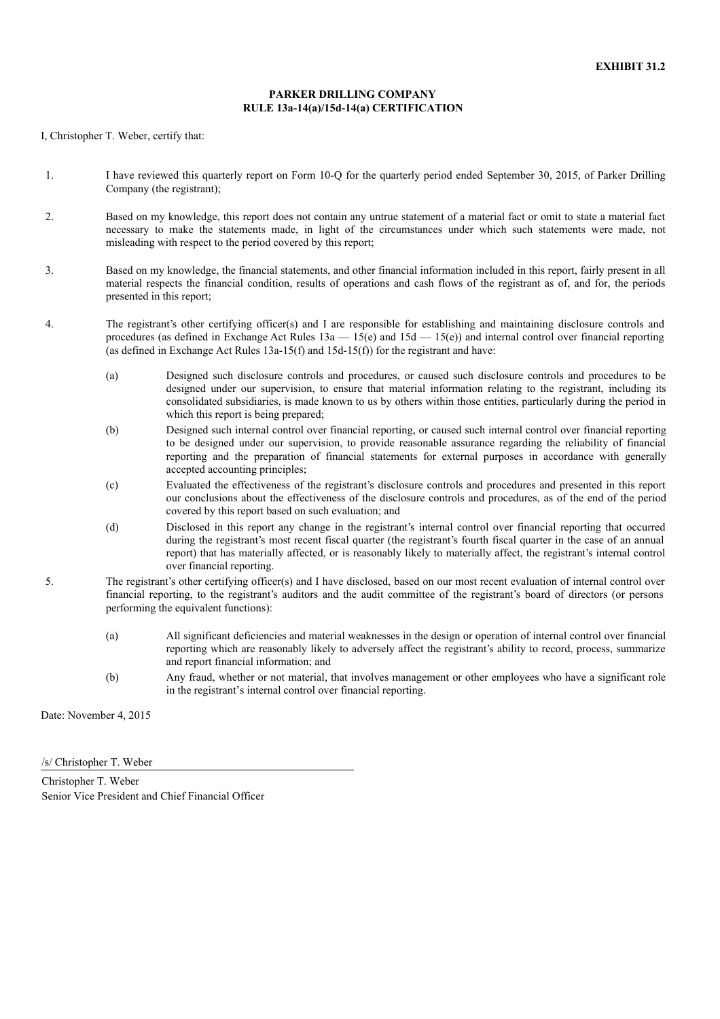# **PARKER DRILLING COMPANY RULE 13a-14(a)/15d-14(a) CERTIFICATION**

I, Christopher T. Weber, certify that:

- 1. I have reviewed this quarterly report on Form 10-Q for the quarterly period ended September 30, 2015, of Parker Drilling Company (the registrant);
- 2. Based on my knowledge, this report does not contain any untrue statement of a material fact or omit to state a material fact necessary to make the statements made, in light of the circumstances under which such statements were made, not misleading with respect to the period covered by this report;
- 3. Based on my knowledge, the financial statements, and other financial information included in this report, fairly present in all material respects the financial condition, results of operations and cash flows of the registrant as of, and for, the periods presented in this report;
- 4. The registrant's other certifying officer(s) and I are responsible for establishing and maintaining disclosure controls and procedures (as defined in Exchange Act Rules  $13a - 15(e)$  and  $15d - 15(e)$ ) and internal control over financial reporting (as defined in Exchange Act Rules 13a-15(f) and  $15d-15(f)$  for the registrant and have:
	- (a) Designed such disclosure controls and procedures, or caused such disclosure controls and procedures to be designed under our supervision, to ensure that material information relating to the registrant, including its consolidated subsidiaries, is made known to us by others within those entities, particularly during the period in which this report is being prepared;
	- (b) Designed such internal control over financial reporting, or caused such internal control over financial reporting to be designed under our supervision, to provide reasonable assurance regarding the reliability of financial reporting and the preparation of financial statements for external purposes in accordance with generally accepted accounting principles;
	- (c) Evaluated the effectiveness of the registrant's disclosure controls and procedures and presented in this report our conclusions about the effectiveness of the disclosure controls and procedures, as of the end of the period covered by this report based on such evaluation; and
	- (d) Disclosed in this report any change in the registrant's internal control over financial reporting that occurred during the registrant's most recent fiscal quarter (the registrant's fourth fiscal quarter in the case of an annual report) that has materially affected, or is reasonably likely to materially affect, the registrant's internal control over financial reporting.
- 5. The registrant's other certifying officer(s) and I have disclosed, based on our most recent evaluation of internal control over financial reporting, to the registrant's auditors and the audit committee of the registrant's board of directors (or persons performing the equivalent functions):
	- (a) All significant deficiencies and material weaknesses in the design or operation of internal control over financial reporting which are reasonably likely to adversely affect the registrant's ability to record, process, summarize and report financial information; and
	- (b) Any fraud, whether or not material, that involves management or other employees who have a significant role in the registrant's internal control over financial reporting.

Date: November 4, 2015

/s/ Christopher T. Weber

Christopher T. Weber Senior Vice President and Chief Financial Officer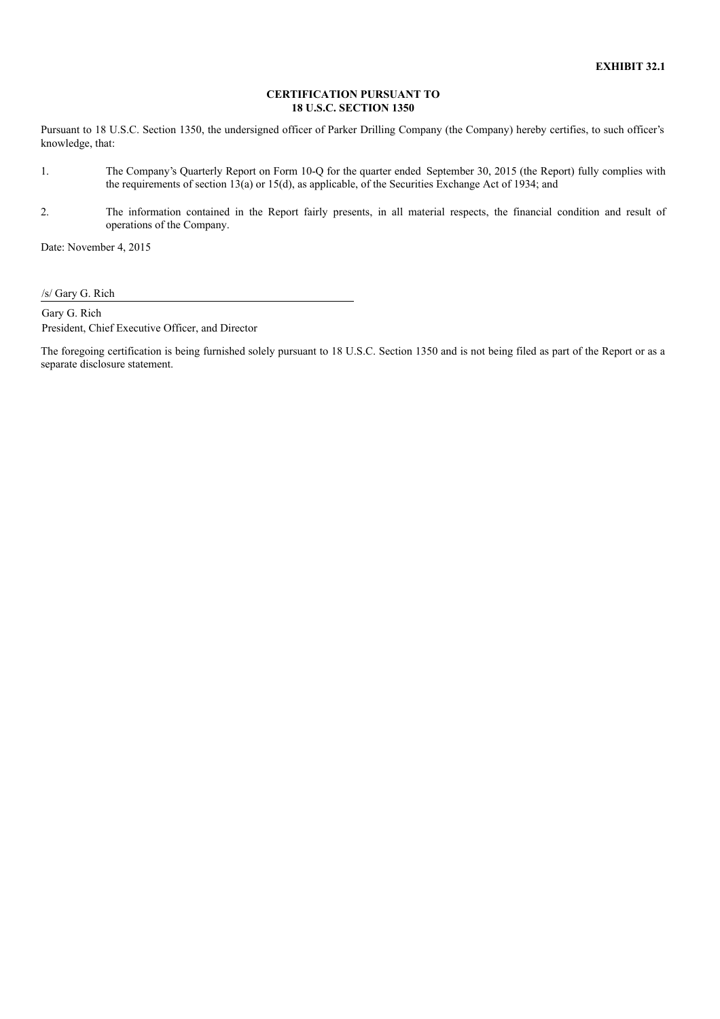## **CERTIFICATION PURSUANT TO 18 U.S.C. SECTION 1350**

Pursuant to 18 U.S.C. Section 1350, the undersigned officer of Parker Drilling Company (the Company) hereby certifies, to such officer's knowledge, that:

- 1. The Company's Quarterly Report on Form 10-Q for the quarter ended September 30, 2015 (the Report) fully complies with the requirements of section 13(a) or 15(d), as applicable, of the Securities Exchange Act of 1934; and
- 2. The information contained in the Report fairly presents, in all material respects, the financial condition and result of operations of the Company.

Date: November 4, 2015

/s/ Gary G. Rich

Gary G. Rich President, Chief Executive Officer, and Director

The foregoing certification is being furnished solely pursuant to 18 U.S.C. Section 1350 and is not being filed as part of the Report or as a separate disclosure statement.